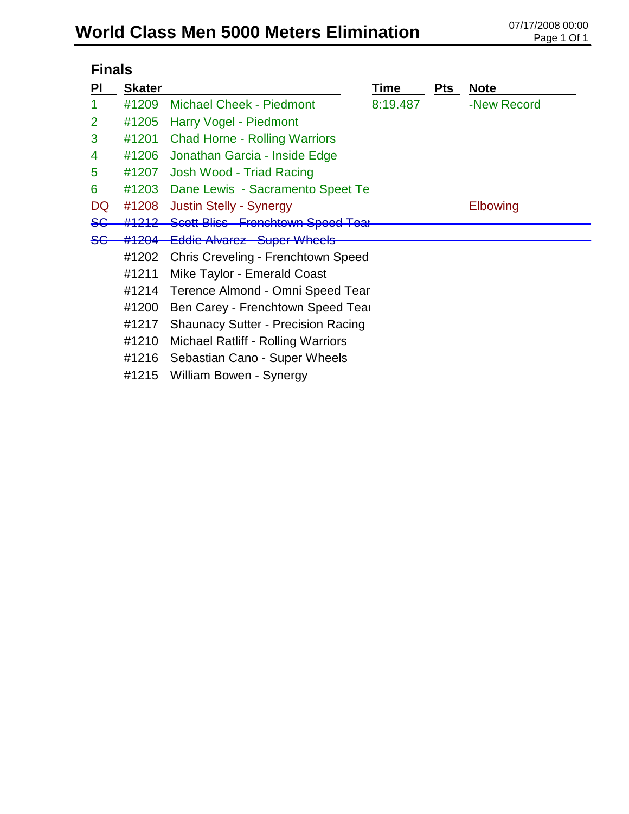# World Class Men 5000 Meters Elimination **CLASS Men 5000 Meters** Elimination

|                | <b>Finals</b>                           |                                           |          |          |             |  |  |
|----------------|-----------------------------------------|-------------------------------------------|----------|----------|-------------|--|--|
| <b>PI</b>      | <b>Skater</b>                           |                                           | Time     | Pts      | <b>Note</b> |  |  |
|                | #1209                                   | <b>Michael Cheek - Piedmont</b>           | 8:19.487 |          | -New Record |  |  |
| $\overline{2}$ | #1205                                   | Harry Vogel - Piedmont                    |          |          |             |  |  |
| 3              | #1201                                   | <b>Chad Horne - Rolling Warriors</b>      |          |          |             |  |  |
| 4              | #1206                                   | Jonathan Garcia - Inside Edge             |          |          |             |  |  |
| 5              | #1207                                   | Josh Wood - Triad Racing                  |          |          |             |  |  |
| 6              | #1203                                   | Dane Lewis - Sacramento Speet Te          |          |          |             |  |  |
| DQ             | #1208<br><b>Justin Stelly - Synergy</b> |                                           |          | Elbowing |             |  |  |
| <del>SG</del>  | #1212                                   | Scott Bliss Frenchtown Speed Tear         |          |          |             |  |  |
|                | #1204                                   | <b>Eddie Alvarez Super Wheels</b>         |          |          |             |  |  |
|                | #1202                                   | Chris Creveling - Frenchtown Speed        |          |          |             |  |  |
|                | #1211                                   | Mike Taylor - Emerald Coast               |          |          |             |  |  |
|                | #1214                                   | Terence Almond - Omni Speed Tear          |          |          |             |  |  |
|                | #1200                                   | Ben Carey - Frenchtown Speed Tear         |          |          |             |  |  |
|                | #1217                                   | <b>Shaunacy Sutter - Precision Racing</b> |          |          |             |  |  |
|                | #1210                                   | Michael Ratliff - Rolling Warriors        |          |          |             |  |  |
|                | #1216                                   | Sebastian Cano - Super Wheels             |          |          |             |  |  |
|                | #1215                                   | William Bowen - Synergy                   |          |          |             |  |  |
|                |                                         |                                           |          |          |             |  |  |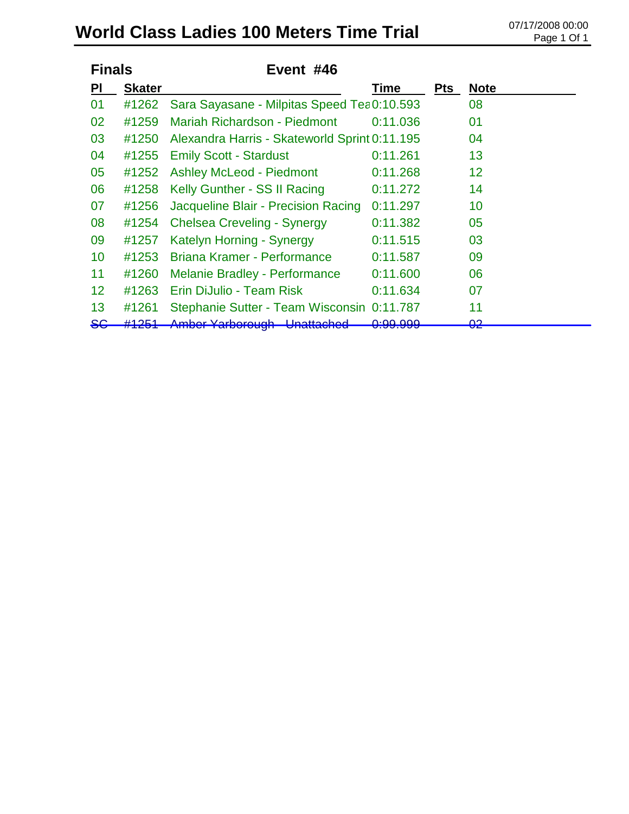# World Class Ladies 100 Meters Time Trial <sup>07/17/2008 00:00</sup>

| <b>Finals</b> |                 | Event #46                                     |                                |            |                               |
|---------------|-----------------|-----------------------------------------------|--------------------------------|------------|-------------------------------|
| <b>PI</b>     | <b>Skater</b>   |                                               | Time                           | <b>Pts</b> | <b>Note</b>                   |
| 01            | #1262           | Sara Sayasane - Milpitas Speed Tea 0:10.593   |                                |            | 08                            |
| 02            | #1259           | Mariah Richardson - Piedmont                  | 0:11.036                       |            | 01                            |
| 03            | #1250           | Alexandra Harris - Skateworld Sprint 0:11.195 |                                |            | 04                            |
| 04            | #1255           | <b>Emily Scott - Stardust</b>                 | 0:11.261                       |            | 13                            |
| 05            | #1252           | <b>Ashley McLeod - Piedmont</b>               | 0:11.268                       |            | 12                            |
| 06            | #1258           | Kelly Gunther - SS II Racing                  | 0:11.272                       |            | 14                            |
| 07            | #1256           | Jacqueline Blair - Precision Racing           | 0:11.297                       |            | 10                            |
| 08            | #1254           | <b>Chelsea Creveling - Synergy</b>            | 0:11.382                       |            | 05                            |
| 09            | #1257           | Katelyn Horning - Synergy                     | 0:11.515                       |            | 03                            |
| 10            | #1253           | Briana Kramer - Performance                   | 0:11.587                       |            | 09                            |
| 11            | #1260           | <b>Melanie Bradley - Performance</b>          | 0:11.600                       |            | 06                            |
| 12            | #1263           | Erin DiJulio - Team Risk                      | 0:11.634                       |            | 07                            |
| 13            | #1261           | Stephanie Sutter - Team Wisconsin 0:11.787    |                                |            | 11                            |
| <del>SG</del> | <u> 410 E 1</u> | <u>Tanoorough</u>                             | n.an nnn<br><del>u.ju.ju</del> |            | ററ<br>$\overline{\mathbf{v}}$ |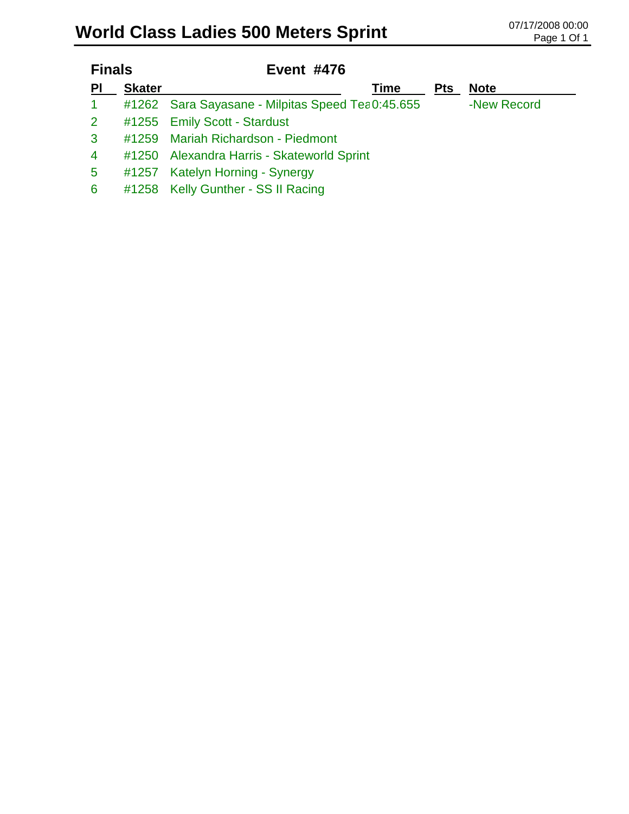# World Class Ladies 500 Meters Sprint **Class Cadies 500 Meters Sprint**

| <b>Finals</b>   |               | <b>Event #476</b>                                 |      |            |             |  |
|-----------------|---------------|---------------------------------------------------|------|------------|-------------|--|
| PI              | <b>Skater</b> |                                                   | Time | <b>Pts</b> | <b>Note</b> |  |
| $\mathbf{1}$    |               | #1262 Sara Sayasane - Milpitas Speed Tea 0:45.655 |      |            | -New Record |  |
| $\mathbf{2}$    |               | #1255 Emily Scott - Stardust                      |      |            |             |  |
| $\mathbf{3}$    | #1259         | <b>Mariah Richardson - Piedmont</b>               |      |            |             |  |
| $\overline{4}$  |               | #1250 Alexandra Harris - Skateworld Sprint        |      |            |             |  |
| $5\overline{)}$ |               | #1257 Katelyn Horning - Synergy                   |      |            |             |  |
| 6               |               | #1258 Kelly Gunther - SS II Racing                |      |            |             |  |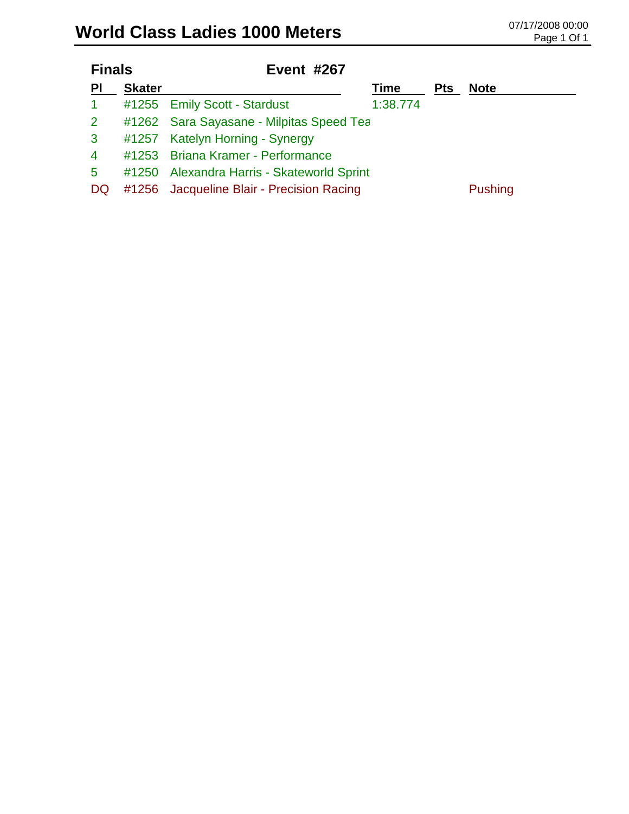| <b>Finals</b> | <b>Event #267</b>         |                                                                                                                                                   |                                                                                        |                |
|---------------|---------------------------|---------------------------------------------------------------------------------------------------------------------------------------------------|----------------------------------------------------------------------------------------|----------------|
| <b>Skater</b> | <b>Pts</b><br><b>Time</b> |                                                                                                                                                   |                                                                                        | <b>Note</b>    |
|               |                           | 1:38.774                                                                                                                                          |                                                                                        |                |
|               |                           |                                                                                                                                                   |                                                                                        |                |
|               |                           |                                                                                                                                                   |                                                                                        |                |
|               |                           |                                                                                                                                                   |                                                                                        |                |
|               |                           |                                                                                                                                                   |                                                                                        |                |
|               |                           |                                                                                                                                                   |                                                                                        | <b>Pushing</b> |
|               |                           | #1255 Emily Scott - Stardust<br>#1257 Katelyn Horning - Synergy<br>#1253 Briana Kramer - Performance<br>#1256 Jacqueline Blair - Precision Racing | #1262 Sara Sayasane - Milpitas Speed Tea<br>#1250 Alexandra Harris - Skateworld Sprint |                |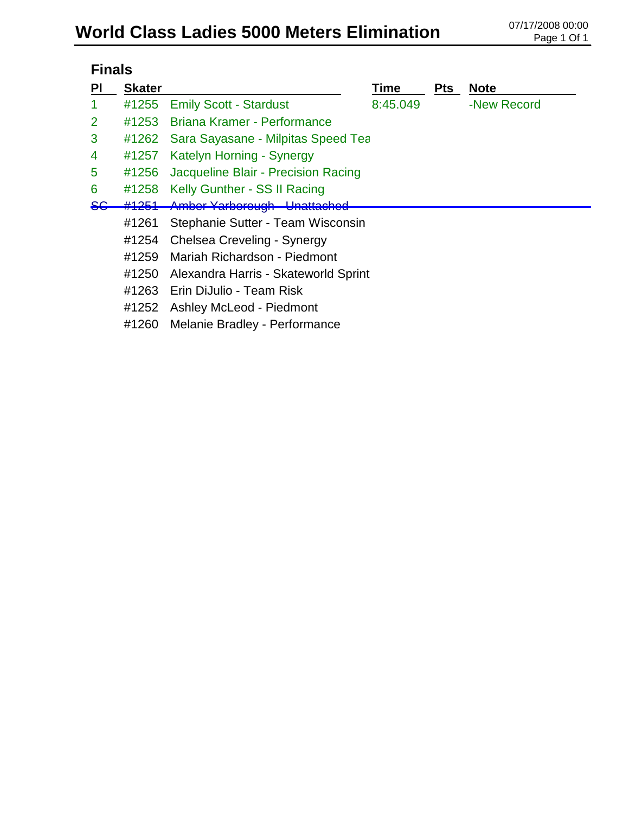# World Class Ladies 5000 Meters Elimination **07/17/2008 00:00**

|               | <b>Finals</b> |                                      |          |     |             |  |  |  |
|---------------|---------------|--------------------------------------|----------|-----|-------------|--|--|--|
| PI            | <b>Skater</b> |                                      | Time     | Pts | <b>Note</b> |  |  |  |
| 1             | #1255         | <b>Emily Scott - Stardust</b>        | 8:45.049 |     | -New Record |  |  |  |
| 2             | #1253         | Briana Kramer - Performance          |          |     |             |  |  |  |
| 3             | #1262         | Sara Sayasane - Milpitas Speed Tea   |          |     |             |  |  |  |
| 4             | #1257         | Katelyn Horning - Synergy            |          |     |             |  |  |  |
| 5             | #1256         | Jacqueline Blair - Precision Racing  |          |     |             |  |  |  |
| 6             | #1258         | Kelly Gunther - SS II Racing         |          |     |             |  |  |  |
| <del>SG</del> | #1251         | <b>Amber Yarborough - Unattached</b> |          |     |             |  |  |  |
|               | #1261         | Stephanie Sutter - Team Wisconsin    |          |     |             |  |  |  |
|               | #1254         | Chelsea Creveling - Synergy          |          |     |             |  |  |  |
|               | #1259         | Mariah Richardson - Piedmont         |          |     |             |  |  |  |
|               | #1250         | Alexandra Harris - Skateworld Sprint |          |     |             |  |  |  |
|               | #1263         | Erin DiJulio - Team Risk             |          |     |             |  |  |  |
|               | #1252         | Ashley McLeod - Piedmont             |          |     |             |  |  |  |
|               | #1260         | <b>Melanie Bradley - Performance</b> |          |     |             |  |  |  |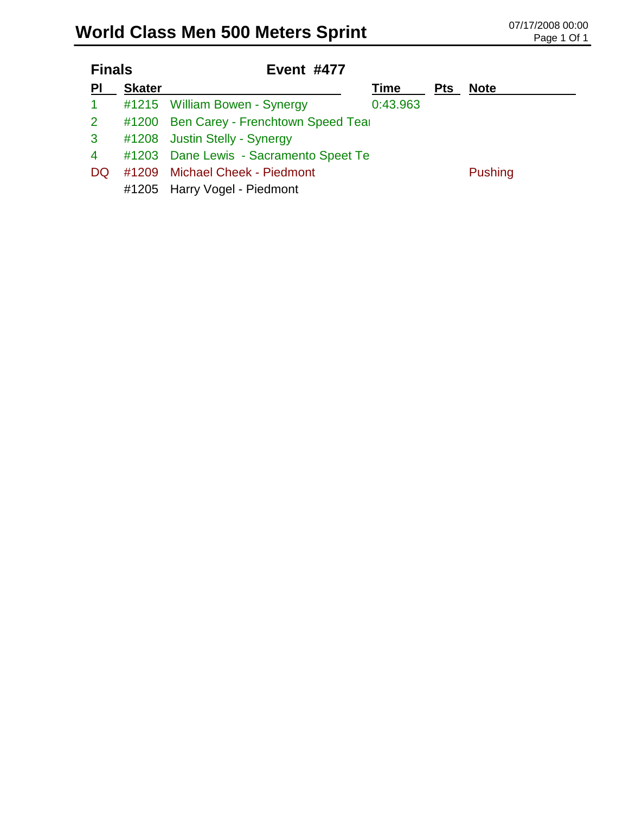# World Class Men 500 Meters Sprint **Class Men 500 Meters Sprint CLASS Men 500 Meters** Sprint

| <b>Finals</b> |               | <b>Event #477</b>                      |          |            |                |
|---------------|---------------|----------------------------------------|----------|------------|----------------|
| PI            | <b>Skater</b> | Time                                   |          | <b>Pts</b> | <b>Note</b>    |
| $\mathbf{1}$  |               | #1215 William Bowen - Synergy          | 0:43.963 |            |                |
| $\mathbf{2}$  | #1200         | Ben Carey - Frenchtown Speed Tear      |          |            |                |
| $\mathbf{3}$  |               | #1208 Justin Stelly - Synergy          |          |            |                |
| 4             |               | #1203 Dane Lewis - Sacramento Speet Te |          |            |                |
| <b>DQ</b>     |               | #1209 Michael Cheek - Piedmont         |          |            | <b>Pushing</b> |
|               |               | #1205 Harry Vogel - Piedmont           |          |            |                |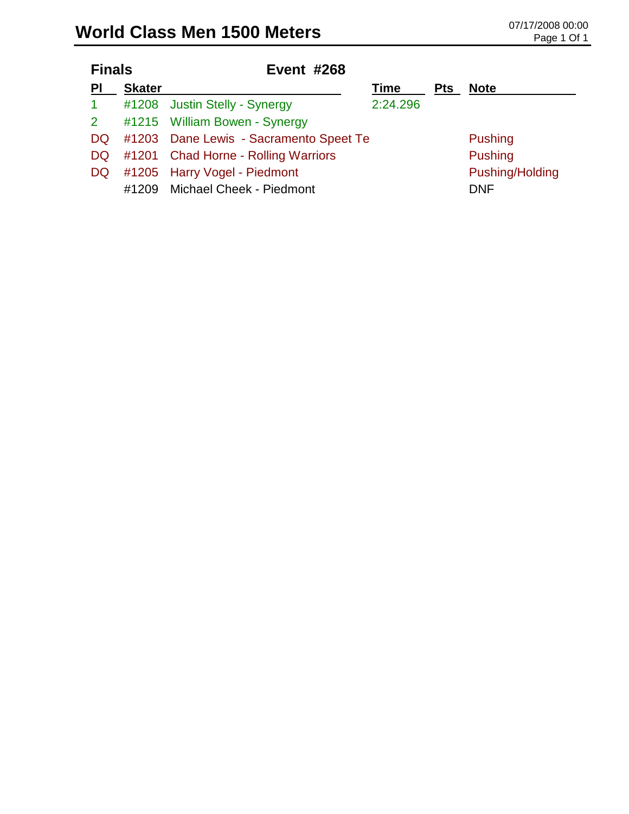| <b>Finals</b> |               | <b>Event #268</b>                         |          |            |                 |
|---------------|---------------|-------------------------------------------|----------|------------|-----------------|
| PI            | <b>Skater</b> |                                           | Time     | <b>Pts</b> | <b>Note</b>     |
| $\mathbf{1}$  |               | #1208 Justin Stelly - Synergy             | 2:24.296 |            |                 |
|               |               | 2 #1215 William Bowen - Synergy           |          |            |                 |
|               |               | DQ #1203 Dane Lewis - Sacramento Speet Te |          |            | <b>Pushing</b>  |
|               |               | DQ #1201 Chad Horne - Rolling Warriors    |          |            | <b>Pushing</b>  |
|               |               | DQ #1205 Harry Vogel - Piedmont           |          |            | Pushing/Holding |
| #1209         |               | Michael Cheek - Piedmont                  |          |            | <b>DNF</b>      |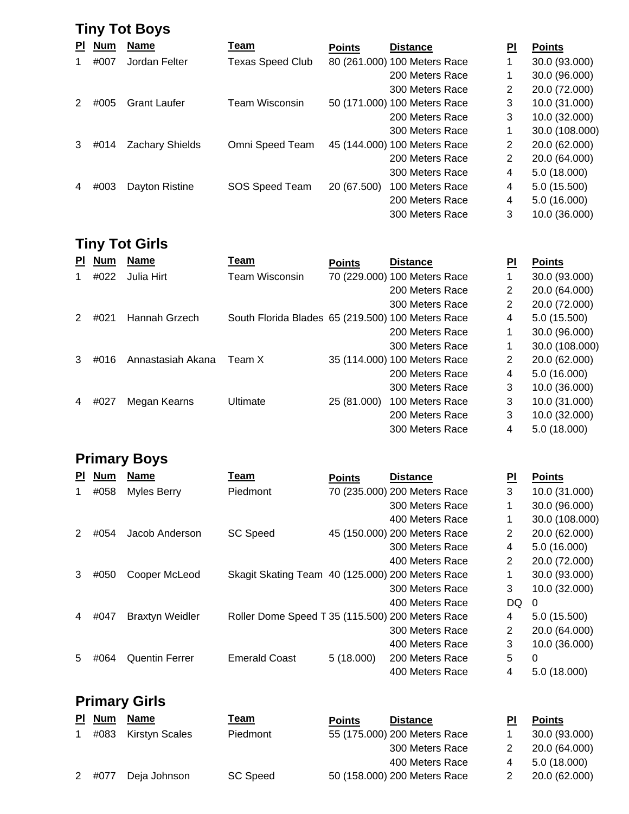|           | <b>Tiny Tot Boys</b> |                        |                         |               |                              |                |                |  |  |  |
|-----------|----------------------|------------------------|-------------------------|---------------|------------------------------|----------------|----------------|--|--|--|
| <b>PI</b> | <b>Num</b>           | <b>Name</b>            | Team                    | <b>Points</b> | <b>Distance</b>              | PI             | <b>Points</b>  |  |  |  |
|           | #007                 | Jordan Felter          | <b>Texas Speed Club</b> |               | 80 (261.000) 100 Meters Race |                | 30.0 (93.000)  |  |  |  |
|           |                      |                        |                         |               | 200 Meters Race              | 1              | 30.0 (96.000)  |  |  |  |
|           |                      |                        |                         |               | 300 Meters Race              | 2              | 20.0 (72.000)  |  |  |  |
|           | #005                 | <b>Grant Laufer</b>    | Team Wisconsin          |               | 50 (171.000) 100 Meters Race | 3              | 10.0 (31.000)  |  |  |  |
|           |                      |                        |                         |               | 200 Meters Race              | 3              | 10.0 (32.000)  |  |  |  |
|           |                      |                        |                         |               | 300 Meters Race              | 1              | 30.0 (108.000) |  |  |  |
| 3         | #014                 | <b>Zachary Shields</b> | Omni Speed Team         |               | 45 (144.000) 100 Meters Race | $\overline{2}$ | 20.0 (62.000)  |  |  |  |
|           |                      |                        |                         |               | 200 Meters Race              | 2              | 20.0 (64.000)  |  |  |  |
|           |                      |                        |                         |               | 300 Meters Race              | 4              | 5.0(18.000)    |  |  |  |
|           | #003                 | Dayton Ristine         | SOS Speed Team          | 20 (67.500)   | 100 Meters Race              | 4              | 5.0(15.500)    |  |  |  |
|           |                      |                        |                         |               | 200 Meters Race              | 4              | 5.0 (16.000)   |  |  |  |
|           |                      |                        |                         |               | 300 Meters Race              | 3              | 10.0 (36.000)  |  |  |  |

### **Tiny Tot Girls**

| <b>PI</b> | <b>Num</b> | <b>Name</b>       | Team                                              | <b>Points</b> | <b>Distance</b>              | PI                    | <b>Points</b>  |
|-----------|------------|-------------------|---------------------------------------------------|---------------|------------------------------|-----------------------|----------------|
|           | #022       | Julia Hirt        | Team Wisconsin                                    |               | 70 (229.000) 100 Meters Race |                       | 30.0 (93.000)  |
|           |            |                   |                                                   |               | 200 Meters Race              | $\overline{2}$        | 20.0 (64.000)  |
|           |            |                   |                                                   |               | 300 Meters Race              | $\overline{2}$        | 20.0 (72.000)  |
| 2         | #021       | Hannah Grzech     | South Florida Blades 65 (219.500) 100 Meters Race |               |                              | 4                     | 5.0 (15.500)   |
|           |            |                   |                                                   |               | 200 Meters Race              |                       | 30.0 (96.000)  |
|           |            |                   |                                                   |               | 300 Meters Race              |                       | 30.0 (108.000) |
| 3         | #016       | Annastasiah Akana | Team X                                            |               | 35 (114.000) 100 Meters Race | $\mathbf{2}^{\prime}$ | 20.0 (62.000)  |
|           |            |                   |                                                   |               | 200 Meters Race              | 4                     | 5.0 (16.000)   |
|           |            |                   |                                                   |               | 300 Meters Race              | 3                     | 10.0 (36.000)  |
| 4         | #027       | Megan Kearns      | Ultimate                                          | 25 (81.000)   | 100 Meters Race              | 3                     | 10.0 (31.000)  |
|           |            |                   |                                                   |               | 200 Meters Race              | 3                     | 10.0 (32.000)  |
|           |            |                   |                                                   |               | 300 Meters Race              | 4                     | 5.0 (18.000)   |

#### **Primary Boys**

| <b>PI</b> | <b>Num</b> | <b>Name</b>            | Team                                             | <b>Points</b> | <b>Distance</b>              | PI             | <b>Points</b>  |
|-----------|------------|------------------------|--------------------------------------------------|---------------|------------------------------|----------------|----------------|
|           | #058       | Myles Berry            | Piedmont                                         |               | 70 (235.000) 200 Meters Race | 3              | 10.0 (31.000)  |
|           |            |                        |                                                  |               | 300 Meters Race              | 1              | 30.0 (96.000)  |
|           |            |                        |                                                  |               | 400 Meters Race              |                | 30.0 (108.000) |
|           | #054       | Jacob Anderson         | <b>SC Speed</b>                                  |               | 45 (150.000) 200 Meters Race | $\overline{2}$ | 20.0 (62.000)  |
|           |            |                        |                                                  |               | 300 Meters Race              | 4              | 5.0 (16.000)   |
|           |            |                        |                                                  |               | 400 Meters Race              | 2              | 20.0 (72.000)  |
| 3         | #050       | Cooper McLeod          | Skagit Skating Team 40 (125.000) 200 Meters Race |               |                              | 1              | 30.0 (93.000)  |
|           |            |                        |                                                  |               | 300 Meters Race              | 3              | 10.0 (32.000)  |
|           |            |                        |                                                  |               | 400 Meters Race              | DQ             | 0              |
|           | #047       | <b>Braxtyn Weidler</b> | Roller Dome Speed T 35 (115.500) 200 Meters Race |               |                              | 4              | 5.0(15.500)    |
|           |            |                        |                                                  |               | 300 Meters Race              | 2              | 20.0 (64.000)  |
|           |            |                        |                                                  |               | 400 Meters Race              | 3              | 10.0 (36.000)  |
| 5         | #064       | <b>Quentin Ferrer</b>  | <b>Emerald Coast</b>                             | 5(18.000)     | 200 Meters Race              | 5              | 0              |
|           |            |                        |                                                  |               | 400 Meters Race              | 4              | 5.0(18.000)    |

### **Primary Girls Pl Num Name Team Points Distance Pl Points** 1 #083 Kirstyn Scal

|      | #083 Kirstyn Scales | Piedmont | 55 (175.000) 200 Meters Race |   | 30.0 (93.000) |
|------|---------------------|----------|------------------------------|---|---------------|
|      |                     |          | 300 Meters Race              |   | 20.0 (64.000) |
|      |                     |          | 400 Meters Race              | 4 | 5.0 (18.000)  |
| #077 | Deia Johnson        | SC Speed | 50 (158.000) 200 Meters Race |   | 20.0 (62.000) |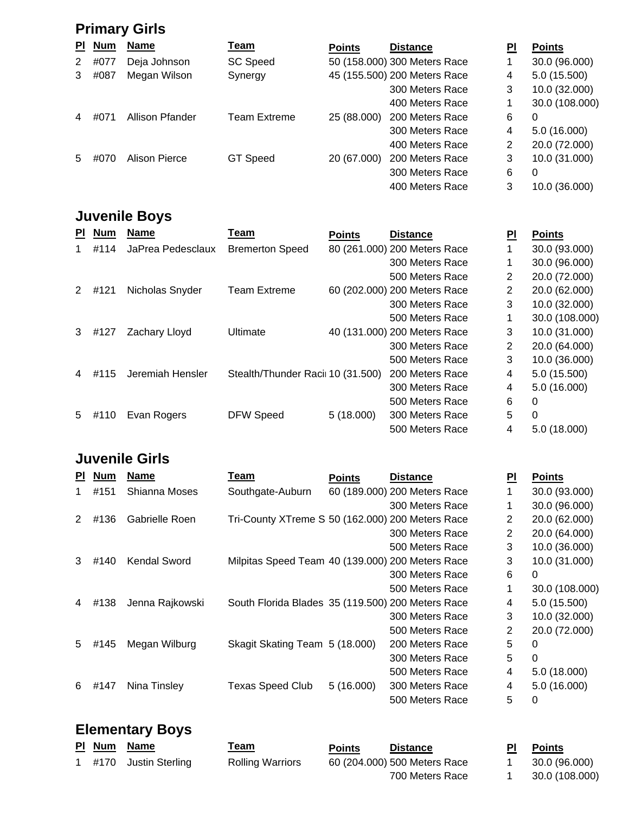## **Primary Girls**

| PI. | <b>Num</b> | <b>Name</b>     | <u>Team</u>     | <b>Points</b> | <b>Distance</b>              | <u>PI</u> | <b>Points</b>  |
|-----|------------|-----------------|-----------------|---------------|------------------------------|-----------|----------------|
| 2   | #077       | Deja Johnson    | <b>SC Speed</b> |               | 50 (158.000) 300 Meters Race |           | 30.0 (96.000)  |
| 3   | #087       | Megan Wilson    | Synergy         |               | 45 (155.500) 200 Meters Race | 4         | 5.0 (15.500)   |
|     |            |                 |                 |               | 300 Meters Race              | 3         | 10.0 (32.000)  |
|     |            |                 |                 |               | 400 Meters Race              |           | 30.0 (108.000) |
| 4   | #071       | Allison Pfander | Team Extreme    | 25 (88.000)   | 200 Meters Race              | 6         | 0              |
|     |            |                 |                 |               | 300 Meters Race              | 4         | 5.0 (16.000)   |
|     |            |                 |                 |               | 400 Meters Race              | 2         | 20.0 (72.000)  |
| 5   | #070       | Alison Pierce   | GT Speed        | 20 (67.000)   | 200 Meters Race              | 3         | 10.0 (31.000)  |
|     |            |                 |                 |               | 300 Meters Race              | 6         | 0              |
|     |            |                 |                 |               | 400 Meters Race              | 3         | 10.0 (36.000)  |

## **Juvenile Boys**

| <b>PI</b> | <b>Num</b> | <b>Name</b>       | Team                              | <b>Points</b> | <b>Distance</b>              | PI | <b>Points</b>  |
|-----------|------------|-------------------|-----------------------------------|---------------|------------------------------|----|----------------|
|           | #114       | JaPrea Pedesclaux | <b>Bremerton Speed</b>            |               | 80 (261.000) 200 Meters Race |    | 30.0 (93.000)  |
|           |            |                   |                                   |               | 300 Meters Race              |    | 30.0 (96.000)  |
|           |            |                   |                                   |               | 500 Meters Race              | 2  | 20.0 (72.000)  |
| 2         | #121       | Nicholas Snyder   | <b>Team Extreme</b>               |               | 60 (202.000) 200 Meters Race | 2  | 20.0 (62.000)  |
|           |            |                   |                                   |               | 300 Meters Race              | 3  | 10.0 (32.000)  |
|           |            |                   |                                   |               | 500 Meters Race              | 1  | 30.0 (108.000) |
| 3         | #127       | Zachary Lloyd     | Ultimate                          |               | 40 (131.000) 200 Meters Race | 3  | 10.0 (31.000)  |
|           |            |                   |                                   |               | 300 Meters Race              | 2  | 20.0 (64.000)  |
|           |            |                   |                                   |               | 500 Meters Race              | 3  | 10.0 (36.000)  |
| 4         | #115       | Jeremiah Hensler  | Stealth/Thunder Racii 10 (31.500) |               | 200 Meters Race              | 4  | 5.0 (15.500)   |
|           |            |                   |                                   |               | 300 Meters Race              | 4  | 5.0 (16.000)   |
|           |            |                   |                                   |               | 500 Meters Race              | 6  | 0              |
| 5         | #110       | Evan Rogers       | <b>DFW Speed</b>                  | 5(18.000)     | 300 Meters Race              | 5  | $\Omega$       |
|           |            |                   |                                   |               | 500 Meters Race              | 4  | 5.0 (18.000)   |

### **Juvenile Girls**

| PI. | <b>Num</b> | <b>Name</b>     | Team                                              | <b>Points</b> | <b>Distance</b>              | PI             | <b>Points</b>  |
|-----|------------|-----------------|---------------------------------------------------|---------------|------------------------------|----------------|----------------|
|     | #151       | Shianna Moses   | Southgate-Auburn                                  |               | 60 (189.000) 200 Meters Race |                | 30.0 (93.000)  |
|     |            |                 |                                                   |               | 300 Meters Race              |                | 30.0 (96.000)  |
| 2   | #136       | Gabrielle Roen  | Tri-County XTreme S 50 (162.000) 200 Meters Race  |               |                              | 2              | 20.0 (62.000)  |
|     |            |                 |                                                   |               | 300 Meters Race              | 2              | 20.0 (64.000)  |
|     |            |                 |                                                   |               | 500 Meters Race              | 3              | 10.0 (36.000)  |
| 3   | #140       | Kendal Sword    | Milpitas Speed Team 40 (139.000) 200 Meters Race  |               |                              | 3              | 10.0 (31.000)  |
|     |            |                 |                                                   |               | 300 Meters Race              | 6              | 0              |
|     |            |                 |                                                   |               | 500 Meters Race              | 1              | 30.0 (108.000) |
| 4   | #138       | Jenna Rajkowski | South Florida Blades 35 (119.500) 200 Meters Race |               |                              | 4              | 5.0 (15.500)   |
|     |            |                 |                                                   |               | 300 Meters Race              | 3              | 10.0 (32.000)  |
|     |            |                 |                                                   |               | 500 Meters Race              | $\overline{2}$ | 20.0 (72.000)  |
| 5   | #145       | Megan Wilburg   | Skagit Skating Team 5 (18.000)                    |               | 200 Meters Race              | 5              | 0              |
|     |            |                 |                                                   |               | 300 Meters Race              | 5              | 0              |
|     |            |                 |                                                   |               | 500 Meters Race              | 4              | 5.0 (18.000)   |
| 6   | #147       | Nina Tinsley    | <b>Texas Speed Club</b>                           | 5(16.000)     | 300 Meters Race              | 4              | 5.0 (16.000)   |
|     |            |                 |                                                   |               | 500 Meters Race              | 5              | 0              |

#### **Elementary Boys**

|  | PI Num Name            | <u>Feam</u>             | <b>Points</b> | <b>Distance</b>              | <b>Points</b>  |
|--|------------------------|-------------------------|---------------|------------------------------|----------------|
|  | 1 #170 Justin Sterling | <b>Rolling Warriors</b> |               | 60 (204.000) 500 Meters Race | 30.0 (96.000)  |
|  |                        |                         |               | 700 Meters Race              | 30.0 (108.000) |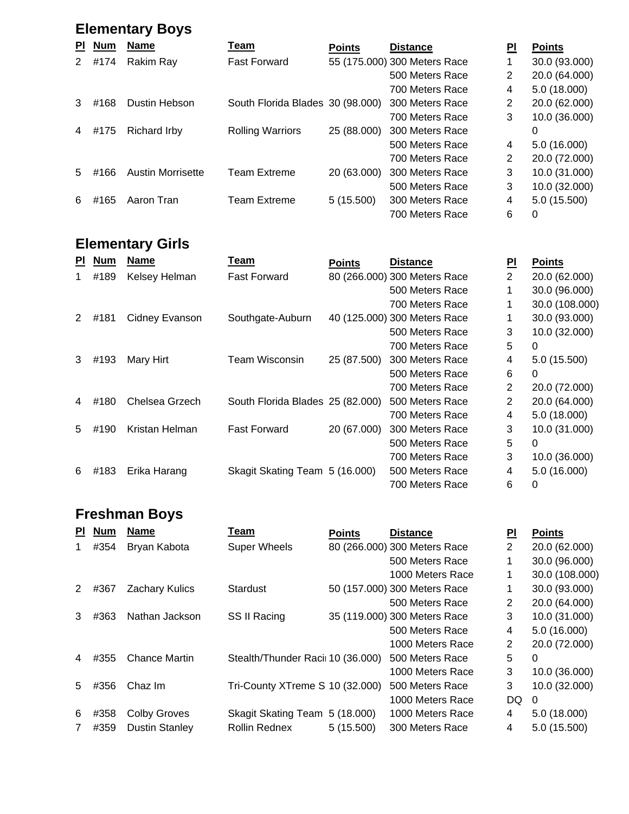## **Elementary Boys**

| PI. | <b>Num</b> | <b>Name</b>              | Team                             | <b>Points</b> | <b>Distance</b>              | ΡI | <b>Points</b> |
|-----|------------|--------------------------|----------------------------------|---------------|------------------------------|----|---------------|
| 2   | #174       | Rakim Ray                | <b>Fast Forward</b>              |               | 55 (175.000) 300 Meters Race |    | 30.0 (93.000) |
|     |            |                          |                                  |               | 500 Meters Race              | 2  | 20.0 (64.000) |
|     |            |                          |                                  |               | 700 Meters Race              | 4  | 5.0 (18.000)  |
|     | #168       | Dustin Hebson            | South Florida Blades 30 (98.000) |               | 300 Meters Race              | 2  | 20.0 (62.000) |
|     |            |                          |                                  |               | 700 Meters Race              | 3  | 10.0 (36.000) |
|     | #175       | <b>Richard Irby</b>      | <b>Rolling Warriors</b>          | 25 (88.000)   | 300 Meters Race              |    | 0             |
|     |            |                          |                                  |               | 500 Meters Race              | 4  | 5.0 (16.000)  |
|     |            |                          |                                  |               | 700 Meters Race              | 2  | 20.0 (72.000) |
| 5.  | #166       | <b>Austin Morrisette</b> | <b>Team Extreme</b>              | 20 (63.000)   | 300 Meters Race              | 3  | 10.0 (31.000) |
|     |            |                          |                                  |               | 500 Meters Race              | 3  | 10.0 (32.000) |
| 6   | #165       | Aaron Tran               | <b>Team Extreme</b>              | 5(15.500)     | 300 Meters Race              | 4  | 5.0 (15.500)  |
|     |            |                          |                                  |               | 700 Meters Race              | 6  | 0             |

## **Elementary Girls**

| <b>PI</b> | <b>Num</b> | <b>Name</b>    | Team                             | <b>Points</b> | <b>Distance</b>              | ΡI | <b>Points</b>  |
|-----------|------------|----------------|----------------------------------|---------------|------------------------------|----|----------------|
| 1         | #189       | Kelsey Helman  | <b>Fast Forward</b>              |               | 80 (266.000) 300 Meters Race | 2  | 20.0 (62.000)  |
|           |            |                |                                  |               | 500 Meters Race              | 1  | 30.0 (96.000)  |
|           |            |                |                                  |               | 700 Meters Race              |    | 30.0 (108.000) |
| 2         | #181       | Cidney Evanson | Southgate-Auburn                 |               | 40 (125.000) 300 Meters Race |    | 30.0 (93.000)  |
|           |            |                |                                  |               | 500 Meters Race              | 3  | 10.0 (32.000)  |
|           |            |                |                                  |               | 700 Meters Race              | 5  | $\Omega$       |
| 3         | #193       | Mary Hirt      | <b>Team Wisconsin</b>            | 25 (87.500)   | 300 Meters Race              | 4  | 5.0 (15.500)   |
|           |            |                |                                  |               | 500 Meters Race              | 6  | 0              |
|           |            |                |                                  |               | 700 Meters Race              | 2  | 20.0 (72.000)  |
| 4         | #180       | Chelsea Grzech | South Florida Blades 25 (82.000) |               | 500 Meters Race              | 2  | 20.0 (64.000)  |
|           |            |                |                                  |               | 700 Meters Race              | 4  | 5.0 (18.000)   |
| 5         | #190       | Kristan Helman | <b>Fast Forward</b>              | 20 (67.000)   | 300 Meters Race              | 3  | 10.0 (31.000)  |
|           |            |                |                                  |               | 500 Meters Race              | 5  | 0              |
|           |            |                |                                  |               | 700 Meters Race              | 3  | 10.0 (36.000)  |
| 6         | #183       | Erika Harang   | Skagit Skating Team 5 (16.000)   |               | 500 Meters Race              | 4  | 5.0 (16.000)   |
|           |            |                |                                  |               | 700 Meters Race              | 6  | 0              |

### **Freshman Boys**

| <b>PI</b> | <b>Num</b> | <b>Name</b>           | Team                              | <b>Points</b> | <b>Distance</b>              | PI | <b>Points</b>  |
|-----------|------------|-----------------------|-----------------------------------|---------------|------------------------------|----|----------------|
| 1         | #354       | Bryan Kabota          | <b>Super Wheels</b>               |               | 80 (266.000) 300 Meters Race | 2  | 20.0 (62.000)  |
|           |            |                       |                                   |               | 500 Meters Race              | 1  | 30.0 (96.000)  |
|           |            |                       |                                   |               | 1000 Meters Race             | 1  | 30.0 (108.000) |
| 2         | #367       | <b>Zachary Kulics</b> | Stardust                          |               | 50 (157.000) 300 Meters Race |    | 30.0 (93.000)  |
|           |            |                       |                                   |               | 500 Meters Race              | 2  | 20.0 (64.000)  |
| 3         | #363       | Nathan Jackson        | SS II Racing                      |               | 35 (119.000) 300 Meters Race | 3  | 10.0 (31.000)  |
|           |            |                       |                                   |               | 500 Meters Race              | 4  | 5.0 (16.000)   |
|           |            |                       |                                   |               | 1000 Meters Race             | 2  | 20.0 (72.000)  |
| 4         | #355       | <b>Chance Martin</b>  | Stealth/Thunder Racii 10 (36.000) |               | 500 Meters Race              | 5  | 0              |
|           |            |                       |                                   |               | 1000 Meters Race             | 3  | 10.0 (36.000)  |
| 5.        | #356       | Chaz Im               | Tri-County XTreme S 10 (32.000)   |               | 500 Meters Race              | 3  | 10.0 (32.000)  |
|           |            |                       |                                   |               | 1000 Meters Race             | DQ | 0              |
| 6         | #358       | <b>Colby Groves</b>   | Skagit Skating Team 5 (18.000)    |               | 1000 Meters Race             | 4  | 5.0 (18.000)   |
| 7         | #359       | <b>Dustin Stanley</b> | <b>Rollin Rednex</b>              | 5(15.500)     | 300 Meters Race              | 4  | 5.0 (15.500)   |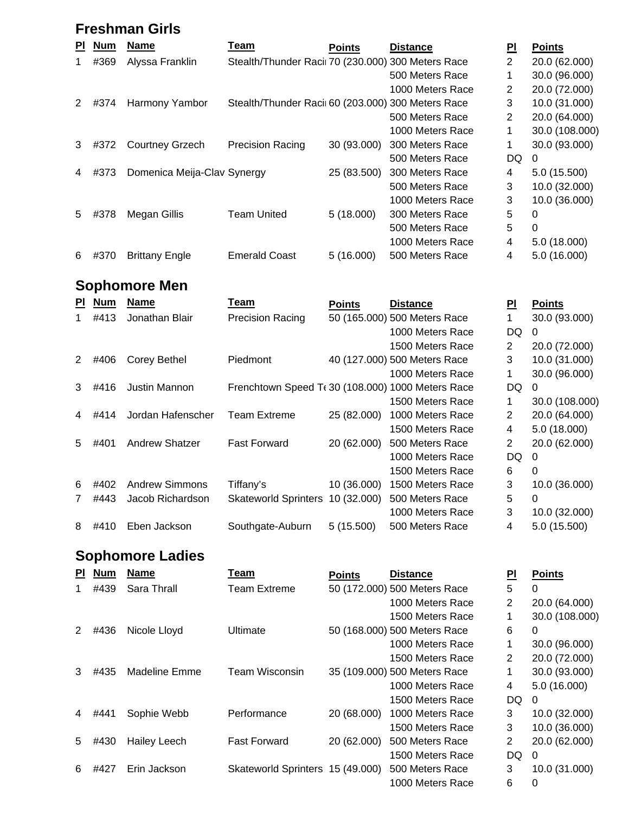### **Freshman Girls**

| PI. | <b>Num</b> | <b>Name</b>                 | Team                                               | <b>Points</b> | <b>Distance</b>  | PI             | <b>Points</b>  |
|-----|------------|-----------------------------|----------------------------------------------------|---------------|------------------|----------------|----------------|
|     | #369       | Alyssa Franklin             | Stealth/Thunder Racii 70 (230.000) 300 Meters Race |               |                  | $\overline{2}$ | 20.0 (62.000)  |
|     |            |                             |                                                    |               | 500 Meters Race  |                | 30.0 (96.000)  |
|     |            |                             |                                                    |               | 1000 Meters Race | 2              | 20.0 (72.000)  |
| 2   | #374       | Harmony Yambor              | Stealth/Thunder Raci 60 (203.000) 300 Meters Race  |               |                  | 3              | 10.0 (31.000)  |
|     |            |                             |                                                    |               | 500 Meters Race  | 2              | 20.0 (64.000)  |
|     |            |                             |                                                    |               | 1000 Meters Race |                | 30.0 (108.000) |
| 3   | #372       | <b>Courtney Grzech</b>      | <b>Precision Racing</b>                            | 30 (93.000)   | 300 Meters Race  | 1              | 30.0 (93.000)  |
|     |            |                             |                                                    |               | 500 Meters Race  | DQ             | $\Omega$       |
| 4   | #373       | Domenica Meija-Clav Synergy |                                                    | 25 (83.500)   | 300 Meters Race  | 4              | 5.0 (15.500)   |
|     |            |                             |                                                    |               | 500 Meters Race  | 3              | 10.0 (32.000)  |
|     |            |                             |                                                    |               | 1000 Meters Race | 3              | 10.0 (36.000)  |
| 5.  | #378       | Megan Gillis                | <b>Team United</b>                                 | 5(18.000)     | 300 Meters Race  | 5              | 0              |
|     |            |                             |                                                    |               | 500 Meters Race  | 5              | 0              |
|     |            |                             |                                                    |               | 1000 Meters Race | 4              | 5.0 (18.000)   |
| 6   | #370       | <b>Brittany Engle</b>       | <b>Emerald Coast</b>                               | 5(16.000)     | 500 Meters Race  | 4              | 5.0 (16.000)   |

### **Sophomore Men**

| PI.           | <b>Num</b> | <b>Name</b>           | Team                                             | <b>Points</b> | <b>Distance</b>              | PI             | <b>Points</b>  |
|---------------|------------|-----------------------|--------------------------------------------------|---------------|------------------------------|----------------|----------------|
|               | #413       | Jonathan Blair        | <b>Precision Racing</b>                          |               | 50 (165.000) 500 Meters Race |                | 30.0 (93.000)  |
|               |            |                       |                                                  |               | 1000 Meters Race             | DQ             | 0              |
|               |            |                       |                                                  |               | 1500 Meters Race             | $\overline{2}$ | 20.0 (72.000)  |
| $\mathcal{P}$ | #406       | Corey Bethel          | Piedmont                                         |               | 40 (127.000) 500 Meters Race | 3              | 10.0 (31.000)  |
|               |            |                       |                                                  |               | 1000 Meters Race             | 1              | 30.0 (96.000)  |
| 3             | #416       | Justin Mannon         | Frenchtown Speed T(30 (108.000) 1000 Meters Race |               |                              | DQ.            | $\Omega$       |
|               |            |                       |                                                  |               | 1500 Meters Race             | 1              | 30.0 (108.000) |
| 4             | #414       | Jordan Hafenscher     | Team Extreme                                     | 25 (82.000)   | 1000 Meters Race             | $\overline{2}$ | 20.0 (64.000)  |
|               |            |                       |                                                  |               | 1500 Meters Race             | 4              | 5.0 (18.000)   |
| 5             | #401       | <b>Andrew Shatzer</b> | <b>Fast Forward</b>                              | 20 (62.000)   | 500 Meters Race              | $\overline{2}$ | 20.0 (62.000)  |
|               |            |                       |                                                  |               | 1000 Meters Race             | DQ             | 0              |
|               |            |                       |                                                  |               | 1500 Meters Race             | 6              | 0              |
| 6             | #402       | <b>Andrew Simmons</b> | Tiffany's                                        | 10 (36.000)   | 1500 Meters Race             | 3              | 10.0 (36.000)  |
|               | #443       | Jacob Richardson      | <b>Skateworld Sprinters</b>                      | 10 (32.000)   | 500 Meters Race              | 5              | 0              |
|               |            |                       |                                                  |               | 1000 Meters Race             | 3              | 10.0 (32.000)  |
| 8             | #410       | Eben Jackson          | Southgate-Auburn                                 | 5(15.500)     | 500 Meters Race              | 4              | 5.0(15.500)    |
|               |            |                       |                                                  |               |                              |                |                |

## **Sophomore Ladies**

| ΡI | <b>Num</b> | <b>Name</b>         | Team                             | <b>Points</b> | <b>Distance</b>              | PI             | <b>Points</b>  |
|----|------------|---------------------|----------------------------------|---------------|------------------------------|----------------|----------------|
|    | #439       | Sara Thrall         | <b>Team Extreme</b>              |               | 50 (172.000) 500 Meters Race | 5              | 0              |
|    |            |                     |                                  |               | 1000 Meters Race             | 2              | 20.0 (64.000)  |
|    |            |                     |                                  |               | 1500 Meters Race             | 1              | 30.0 (108.000) |
| 2  | #436       | Nicole Lloyd        | Ultimate                         |               | 50 (168.000) 500 Meters Race | 6              | 0              |
|    |            |                     |                                  |               | 1000 Meters Race             | 1              | 30.0 (96.000)  |
|    |            |                     |                                  |               | 1500 Meters Race             | 2              | 20.0 (72.000)  |
| 3  | #435       | Madeline Emme       | <b>Team Wisconsin</b>            |               | 35 (109.000) 500 Meters Race | 1              | 30.0 (93.000)  |
|    |            |                     |                                  |               | 1000 Meters Race             | 4              | 5.0 (16.000)   |
|    |            |                     |                                  |               | 1500 Meters Race             | DQ             | $\mathbf{0}$   |
| 4  | #441       | Sophie Webb         | Performance                      | 20 (68.000)   | 1000 Meters Race             | 3              | 10.0 (32.000)  |
|    |            |                     |                                  |               | 1500 Meters Race             | 3              | 10.0 (36.000)  |
| 5  | #430       | <b>Hailey Leech</b> | <b>Fast Forward</b>              | 20 (62.000)   | 500 Meters Race              | $\overline{2}$ | 20.0 (62.000)  |
|    |            |                     |                                  |               | 1500 Meters Race             | DQ             | 0              |
| 6  | #427       | Erin Jackson        | Skateworld Sprinters 15 (49.000) |               | 500 Meters Race              | 3              | 10.0 (31.000)  |
|    |            |                     |                                  |               | 1000 Meters Race             | 6              | 0              |
|    |            |                     |                                  |               |                              |                |                |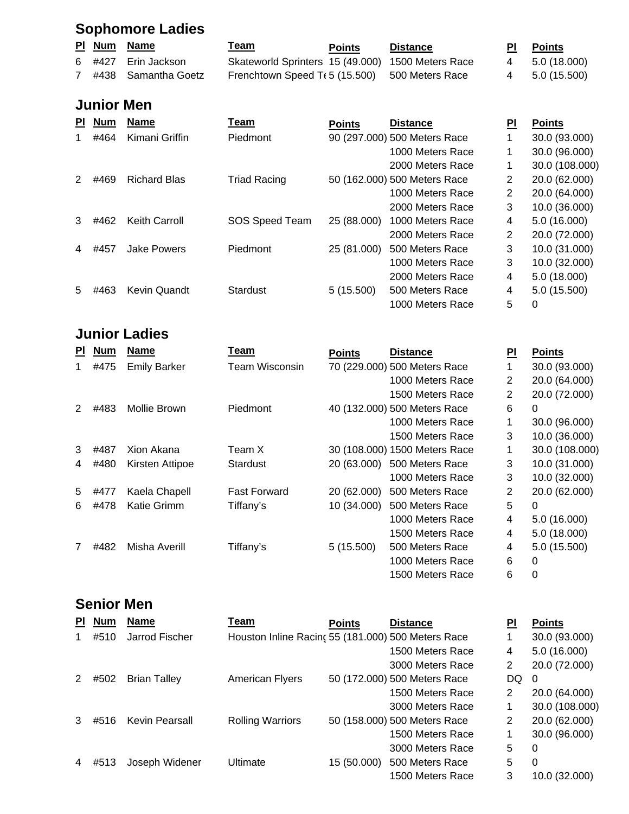## **Sophomore Ladies**

|  | PI Num Name           | <u>Team</u>                                       | <b>Points</b> | <b>Distance</b> | <b>PI</b> Points |
|--|-----------------------|---------------------------------------------------|---------------|-----------------|------------------|
|  | 6 #427 Erin Jackson   | Skateworld Sprinters 15 (49.000) 1500 Meters Race |               |                 | 4 5.0 (18.000)   |
|  | 7 #438 Samantha Goetz | Frenchtown Speed $Tf$ 5 (15.500) 500 Meters Race  |               |                 | 4 5.0 (15.500)   |

### **Junior Men**

| <b>PI</b> | <b>Num</b> | Name                | Team                | <b>Points</b> | <b>Distance</b>              | ΡI             | <b>Points</b>  |
|-----------|------------|---------------------|---------------------|---------------|------------------------------|----------------|----------------|
|           | #464       | Kimani Griffin      | Piedmont            |               | 90 (297.000) 500 Meters Race |                | 30.0 (93.000)  |
|           |            |                     |                     |               | 1000 Meters Race             |                | 30.0 (96.000)  |
|           |            |                     |                     |               | 2000 Meters Race             |                | 30.0 (108.000) |
| 2         | #469       | <b>Richard Blas</b> | <b>Triad Racing</b> |               | 50 (162.000) 500 Meters Race | 2              | 20.0 (62.000)  |
|           |            |                     |                     |               | 1000 Meters Race             | $\overline{2}$ | 20.0 (64.000)  |
|           |            |                     |                     |               | 2000 Meters Race             | 3              | 10.0 (36.000)  |
| 3         | #462       | Keith Carroll       | SOS Speed Team      | 25 (88.000)   | 1000 Meters Race             | 4              | 5.0(16.000)    |
|           |            |                     |                     |               | 2000 Meters Race             | 2              | 20.0 (72.000)  |
| 4         | #457       | <b>Jake Powers</b>  | Piedmont            | 25 (81.000)   | 500 Meters Race              | 3              | 10.0 (31.000)  |
|           |            |                     |                     |               | 1000 Meters Race             | 3              | 10.0 (32.000)  |
|           |            |                     |                     |               | 2000 Meters Race             | 4              | 5.0 (18.000)   |
| 5         | #463       | <b>Kevin Quandt</b> | <b>Stardust</b>     | 5(15.500)     | 500 Meters Race              | 4              | 5.0 (15.500)   |
|           |            |                     |                     |               | 1000 Meters Race             | 5              | 0              |

#### **Junior Ladies**

| <b>PI</b> | <b>Num</b> | <b>Name</b>         | Team                  | <b>Points</b> | <b>Distance</b>               | PI | <b>Points</b>  |
|-----------|------------|---------------------|-----------------------|---------------|-------------------------------|----|----------------|
| 1         | #475       | <b>Emily Barker</b> | <b>Team Wisconsin</b> |               | 70 (229.000) 500 Meters Race  |    | 30.0 (93.000)  |
|           |            |                     |                       |               | 1000 Meters Race              | 2  | 20.0 (64.000)  |
|           |            |                     |                       |               | 1500 Meters Race              | 2  | 20.0 (72.000)  |
| 2         | #483       | Mollie Brown        | Piedmont              |               | 40 (132.000) 500 Meters Race  | 6  | 0              |
|           |            |                     |                       |               | 1000 Meters Race              |    | 30.0 (96.000)  |
|           |            |                     |                       |               | 1500 Meters Race              | 3  | 10.0 (36.000)  |
| 3         | #487       | Xion Akana          | Team X                |               | 30 (108.000) 1500 Meters Race |    | 30.0 (108.000) |
| 4         | #480       | Kirsten Attipoe     | Stardust              | 20 (63.000)   | 500 Meters Race               | 3  | 10.0 (31.000)  |
|           |            |                     |                       |               | 1000 Meters Race              | 3  | 10.0 (32.000)  |
| 5         | #477       | Kaela Chapell       | <b>Fast Forward</b>   | 20 (62.000)   | 500 Meters Race               | 2  | 20.0 (62.000)  |
| 6         | #478       | Katie Grimm         | Tiffany's             | 10 (34.000)   | 500 Meters Race               | 5  | 0              |
|           |            |                     |                       |               | 1000 Meters Race              | 4  | 5.0 (16.000)   |
|           |            |                     |                       |               | 1500 Meters Race              | 4  | 5.0 (18.000)   |
|           | #482       | Misha Averill       | Tiffany's             | 5(15.500)     | 500 Meters Race               | 4  | 5.0 (15.500)   |
|           |            |                     |                       |               | 1000 Meters Race              | 6  | $\Omega$       |
|           |            |                     |                       |               | 1500 Meters Race              | 6  | 0              |

### **Senior Men**

| <b>PI</b> | <b>Num</b> | <b>Name</b>         | Team                                               | <b>Points</b> | <b>Distance</b>              | PI             | <b>Points</b>  |
|-----------|------------|---------------------|----------------------------------------------------|---------------|------------------------------|----------------|----------------|
|           | #510       | Jarrod Fischer      | Houston Inline Racing 55 (181.000) 500 Meters Race |               |                              |                | 30.0 (93.000)  |
|           |            |                     |                                                    |               | 1500 Meters Race             | 4              | 5.0 (16.000)   |
|           |            |                     |                                                    |               | 3000 Meters Race             | 2              | 20.0 (72.000)  |
| 2         | #502       | <b>Brian Talley</b> | <b>American Flyers</b>                             |               | 50 (172.000) 500 Meters Race | DQ             | 0              |
|           |            |                     |                                                    |               | 1500 Meters Race             | 2              | 20.0 (64.000)  |
|           |            |                     |                                                    |               | 3000 Meters Race             |                | 30.0 (108.000) |
|           | #516       | Kevin Pearsall      | <b>Rolling Warriors</b>                            |               | 50 (158.000) 500 Meters Race | $\overline{2}$ | 20.0 (62.000)  |
|           |            |                     |                                                    |               | 1500 Meters Race             |                | 30.0 (96.000)  |
|           |            |                     |                                                    |               | 3000 Meters Race             | 5              | 0              |
|           | #513       | Joseph Widener      | Ultimate                                           | 15 (50.000)   | 500 Meters Race              | 5              | 0              |
|           |            |                     |                                                    |               | 1500 Meters Race             | 3              | 10.0 (32.000)  |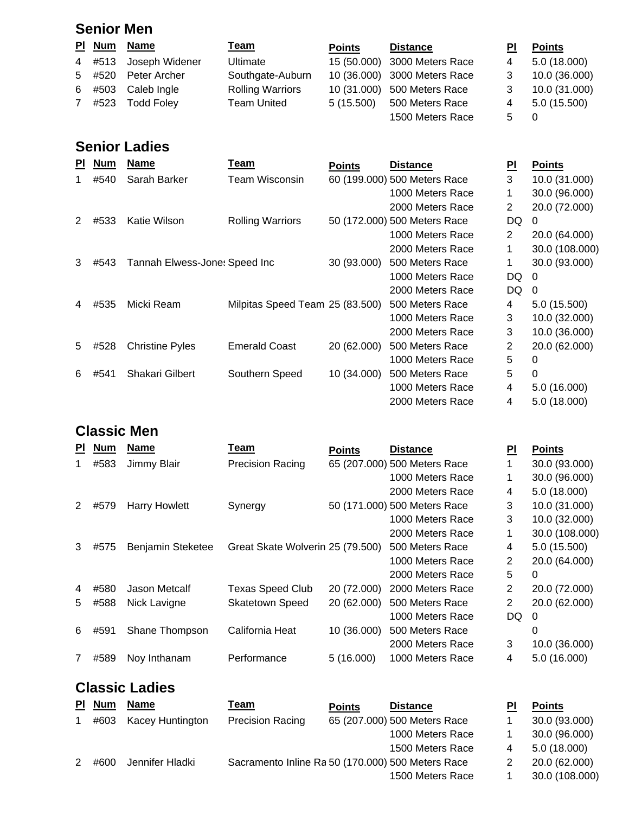#### **Senior Men**

|             |      | PI Num Name           | <u>Team</u>             | <b>Points</b> | <b>Distance</b>              | ΡI | <b>Points</b> |
|-------------|------|-----------------------|-------------------------|---------------|------------------------------|----|---------------|
|             |      | 4 #513 Joseph Widener | Ultimate                |               | 15 (50.000) 3000 Meters Race | 4  | 5.0 (18.000)  |
|             |      | 5 #520 Peter Archer   | Southgate-Auburn        |               | 10 (36.000) 3000 Meters Race |    | 10.0 (36.000) |
|             |      | 6 #503 Caleb Ingle    | <b>Rolling Warriors</b> |               | 10 (31.000) 500 Meters Race  |    | 10.0 (31.000) |
| $7^{\circ}$ | #523 | <b>Todd Foley</b>     | <b>Team United</b>      | 5(15.500)     | 500 Meters Race              | 4  | 5.0(15.500)   |
|             |      |                       |                         |               | 1500 Meters Race             | 5. |               |

### **Senior Ladies**

| <b>PI</b> | Num  | <b>Name</b>                   | Team                            | <b>Points</b> | <b>Distance</b>              | <u> 민</u> | <b>Points</b>  |
|-----------|------|-------------------------------|---------------------------------|---------------|------------------------------|-----------|----------------|
|           | #540 | Sarah Barker                  | Team Wisconsin                  |               | 60 (199.000) 500 Meters Race | 3         | 10.0 (31.000)  |
|           |      |                               |                                 |               | 1000 Meters Race             |           | 30.0 (96.000)  |
|           |      |                               |                                 |               | 2000 Meters Race             | 2         | 20.0 (72.000)  |
| 2         | #533 | Katie Wilson                  | <b>Rolling Warriors</b>         |               | 50 (172.000) 500 Meters Race | DQ.       | $\Omega$       |
|           |      |                               |                                 |               | 1000 Meters Race             | 2         | 20.0 (64.000)  |
|           |      |                               |                                 |               | 2000 Meters Race             | 1         | 30.0 (108.000) |
| 3         | #543 | Tannah Elwess-Jone: Speed Inc |                                 | 30 (93.000)   | 500 Meters Race              | 1         | 30.0 (93.000)  |
|           |      |                               |                                 |               | 1000 Meters Race             | DQ        | 0              |
|           |      |                               |                                 |               | 2000 Meters Race             | DQ        | 0              |
| 4         | #535 | Micki Ream                    | Milpitas Speed Team 25 (83.500) |               | 500 Meters Race              | 4         | 5.0 (15.500)   |
|           |      |                               |                                 |               | 1000 Meters Race             | 3         | 10.0 (32.000)  |
|           |      |                               |                                 |               | 2000 Meters Race             | 3         | 10.0 (36.000)  |
| 5         | #528 | <b>Christine Pyles</b>        | <b>Emerald Coast</b>            | 20 (62.000)   | 500 Meters Race              | 2         | 20.0 (62.000)  |
|           |      |                               |                                 |               | 1000 Meters Race             | 5         | 0              |
| 6         | #541 | Shakari Gilbert               | Southern Speed                  | 10 (34.000)   | 500 Meters Race              | 5         | 0              |
|           |      |                               |                                 |               | 1000 Meters Race             | 4         | 5.0 (16.000)   |
|           |      |                               |                                 |               | 2000 Meters Race             | 4         | 5.0 (18.000)   |

### **Classic Men**

| <b>PI</b> | <b>Num</b> | <b>Name</b>          | Team                             | <b>Points</b> | <b>Distance</b>              | PI | <b>Points</b>  |
|-----------|------------|----------------------|----------------------------------|---------------|------------------------------|----|----------------|
|           | #583       | Jimmy Blair          | <b>Precision Racing</b>          |               | 65 (207.000) 500 Meters Race | 1  | 30.0 (93.000)  |
|           |            |                      |                                  |               | 1000 Meters Race             | 1  | 30.0 (96.000)  |
|           |            |                      |                                  |               | 2000 Meters Race             | 4  | 5.0 (18.000)   |
|           | #579       | <b>Harry Howlett</b> | Synergy                          |               | 50 (171.000) 500 Meters Race | 3  | 10.0 (31.000)  |
|           |            |                      |                                  |               | 1000 Meters Race             | 3  | 10.0 (32.000)  |
|           |            |                      |                                  |               | 2000 Meters Race             | 1  | 30.0 (108.000) |
| 3         | #575       | Benjamin Steketee    | Great Skate Wolverin 25 (79.500) |               | 500 Meters Race              | 4  | 5.0 (15.500)   |
|           |            |                      |                                  |               | 1000 Meters Race             | 2  | 20.0 (64.000)  |
|           |            |                      |                                  |               | 2000 Meters Race             | 5  | 0              |
| 4         | #580       | Jason Metcalf        | <b>Texas Speed Club</b>          | 20 (72.000)   | 2000 Meters Race             | 2  | 20.0 (72.000)  |
| 5         | #588       | Nick Lavigne         | <b>Skatetown Speed</b>           | 20 (62.000)   | 500 Meters Race              | 2  | 20.0 (62.000)  |
|           |            |                      |                                  |               | 1000 Meters Race             | DQ | 0              |
| 6         | #591       | Shane Thompson       | California Heat                  | 10 (36.000)   | 500 Meters Race              |    | 0              |
|           |            |                      |                                  |               | 2000 Meters Race             | 3  | 10.0 (36.000)  |
|           | #589       | Noy Inthanam         | Performance                      | 5(16.000)     | 1000 Meters Race             | 4  | 5.0 (16.000)   |

### **Classic Ladies**

|   | PI Num | <b>Name</b>             | Team                                              | <b>Points</b> | <b>Distance</b>              | ΡI | <b>Points</b>  |
|---|--------|-------------------------|---------------------------------------------------|---------------|------------------------------|----|----------------|
|   | #603   | <b>Kacey Huntington</b> | <b>Precision Racing</b>                           |               | 65 (207.000) 500 Meters Race |    | 30.0 (93.000)  |
|   |        |                         |                                                   |               | 1000 Meters Race             |    | 30.0 (96.000)  |
|   |        |                         |                                                   |               | 1500 Meters Race             | 4  | 5.0(18.000)    |
| 2 | #600   | Jennifer Hladki         | Sacramento Inline Ra 50 (170.000) 500 Meters Race |               |                              |    | 20.0 (62.000)  |
|   |        |                         |                                                   |               | 1500 Meters Race             |    | 30.0 (108.000) |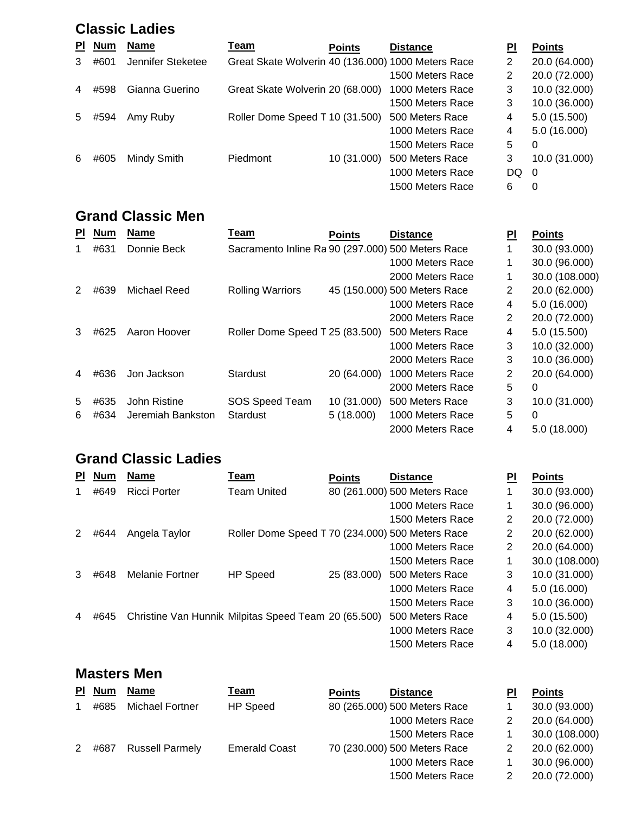#### **Classic Ladies**

| PI. | <b>Num</b> | <b>Name</b>       | <u>Team</u>                                        | <b>Points</b> | <b>Distance</b>  | ΡI  | <b>Points</b>            |
|-----|------------|-------------------|----------------------------------------------------|---------------|------------------|-----|--------------------------|
| 3   | #601       | Jennifer Steketee | Great Skate Wolverin 40 (136.000) 1000 Meters Race |               |                  | 2   | 20.0 (64.000)            |
|     |            |                   |                                                    |               | 1500 Meters Race | 2   | 20.0 (72.000)            |
| 4   | #598       | Gianna Guerino    | Great Skate Wolverin 20 (68.000)                   |               | 1000 Meters Race | 3   | 10.0 (32.000)            |
|     |            |                   |                                                    |               | 1500 Meters Race | 3   | 10.0 (36.000)            |
| 5   | #594       | Amy Ruby          | Roller Dome Speed T 10 (31.500)                    |               | 500 Meters Race  | 4   | 5.0(15.500)              |
|     |            |                   |                                                    |               | 1000 Meters Race | 4   | 5.0 (16.000)             |
|     |            |                   |                                                    |               | 1500 Meters Race | 5   | 0                        |
| 6   | #605       | Mindy Smith       | Piedmont                                           | 10 (31.000)   | 500 Meters Race  | 3   | 10.0 (31.000)            |
|     |            |                   |                                                    |               | 1000 Meters Race | DQ. | $\overline{\phantom{0}}$ |
|     |            |                   |                                                    |               | 1500 Meters Race | 6   | 0                        |

#### **Grand Classic Men**

| <b>PI</b> | <b>Num</b> | <b>Name</b>       | Team                                              | <b>Points</b> | <b>Distance</b>              | PI | <b>Points</b>  |
|-----------|------------|-------------------|---------------------------------------------------|---------------|------------------------------|----|----------------|
|           | #631       | Donnie Beck       | Sacramento Inline Ra 90 (297.000) 500 Meters Race |               |                              |    | 30.0 (93.000)  |
|           |            |                   |                                                   |               | 1000 Meters Race             |    | 30.0 (96.000)  |
|           |            |                   |                                                   |               | 2000 Meters Race             |    | 30.0 (108.000) |
|           | #639       | Michael Reed      | <b>Rolling Warriors</b>                           |               | 45 (150.000) 500 Meters Race | 2  | 20.0 (62.000)  |
|           |            |                   |                                                   |               | 1000 Meters Race             | 4  | 5.0(16.000)    |
|           |            |                   |                                                   |               | 2000 Meters Race             | 2  | 20.0 (72.000)  |
| 3         | #625       | Aaron Hoover      | Roller Dome Speed T 25 (83.500)                   |               | 500 Meters Race              | 4  | 5.0(15.500)    |
|           |            |                   |                                                   |               | 1000 Meters Race             | 3  | 10.0 (32.000)  |
|           |            |                   |                                                   |               | 2000 Meters Race             | 3  | 10.0 (36.000)  |
| 4         | #636       | Jon Jackson       | <b>Stardust</b>                                   | 20 (64.000)   | 1000 Meters Race             | 2  | 20.0 (64.000)  |
|           |            |                   |                                                   |               | 2000 Meters Race             | 5  | 0              |
| 5         | #635       | John Ristine      | SOS Speed Team                                    | 10 (31.000)   | 500 Meters Race              | 3  | 10.0 (31.000)  |
| 6         | #634       | Jeremiah Bankston | <b>Stardust</b>                                   | 5(18.000)     | 1000 Meters Race             | 5  | 0              |
|           |            |                   |                                                   |               | 2000 Meters Race             | 4  | 5.0(18.000)    |

### **Grand Classic Ladies**

| PI. | <b>Num</b> | <b>Name</b>            | Team                                                 | <b>Points</b> | <b>Distance</b>              | PI             | <b>Points</b>  |
|-----|------------|------------------------|------------------------------------------------------|---------------|------------------------------|----------------|----------------|
|     | #649       | <b>Ricci Porter</b>    | <b>Team United</b>                                   |               | 80 (261.000) 500 Meters Race |                | 30.0 (93.000)  |
|     |            |                        |                                                      |               | 1000 Meters Race             |                | 30.0 (96.000)  |
|     |            |                        |                                                      |               | 1500 Meters Race             | $\overline{2}$ | 20.0 (72.000)  |
|     | #644       | Angela Taylor          | Roller Dome Speed T 70 (234.000) 500 Meters Race     |               |                              | 2              | 20.0 (62.000)  |
|     |            |                        |                                                      |               | 1000 Meters Race             | 2              | 20.0 (64.000)  |
|     |            |                        |                                                      |               | 1500 Meters Race             |                | 30.0 (108.000) |
| 3   | #648       | <b>Melanie Fortner</b> | <b>HP Speed</b>                                      | 25 (83.000)   | 500 Meters Race              | 3              | 10.0 (31.000)  |
|     |            |                        |                                                      |               | 1000 Meters Race             | 4              | 5.0(16.000)    |
|     |            |                        |                                                      |               | 1500 Meters Race             | 3              | 10.0 (36.000)  |
| 4   | #645       |                        | Christine Van Hunnik Milpitas Speed Team 20 (65.500) |               | 500 Meters Race              | 4              | 5.0 (15.500)   |
|     |            |                        |                                                      |               | 1000 Meters Race             | 3              | 10.0 (32.000)  |
|     |            |                        |                                                      |               | 1500 Meters Race             | 4              | 5.0 (18.000)   |

#### **Masters Men**

| PI. | <b>Num</b> | <b>Name</b>            | <u>Team</u>          | <b>Points</b> | <b>Distance</b>              | PI | <b>Points</b>  |
|-----|------------|------------------------|----------------------|---------------|------------------------------|----|----------------|
|     | #685       | <b>Michael Fortner</b> | <b>HP</b> Speed      |               | 80 (265.000) 500 Meters Race |    | 30.0 (93.000)  |
|     |            |                        |                      |               | 1000 Meters Race             |    | 20.0 (64.000)  |
|     |            |                        |                      |               | 1500 Meters Race             |    | 30.0 (108.000) |
| 2   | #687       | <b>Russell Parmely</b> | <b>Emerald Coast</b> |               | 70 (230.000) 500 Meters Race |    | 20.0 (62.000)  |
|     |            |                        |                      |               | 1000 Meters Race             |    | 30.0 (96.000)  |
|     |            |                        |                      |               | 1500 Meters Race             |    | 20.0 (72.000)  |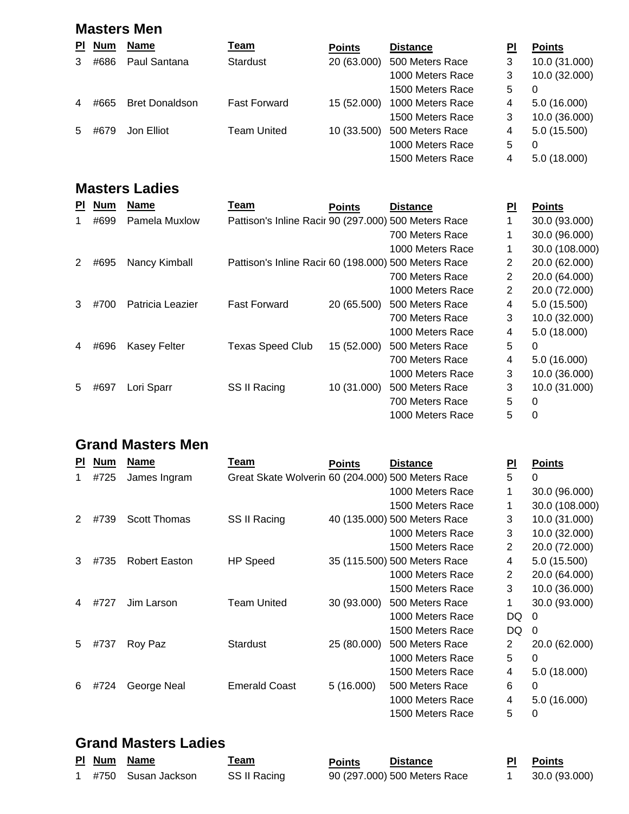#### **Masters Men**

| PI. | <b>Num</b> | <b>Name</b>           | <u>Team</u>         | <b>Points</b> | <b>Distance</b>  | PI | <b>Points</b> |
|-----|------------|-----------------------|---------------------|---------------|------------------|----|---------------|
| 3   | #686       | Paul Santana          | Stardust            | 20 (63.000)   | 500 Meters Race  | 3  | 10.0 (31.000) |
|     |            |                       |                     |               | 1000 Meters Race | 3  | 10.0 (32.000) |
|     |            |                       |                     |               | 1500 Meters Race | 5  | 0             |
| 4   | #665       | <b>Bret Donaldson</b> | <b>Fast Forward</b> | 15 (52,000)   | 1000 Meters Race | 4  | 5.0(16.000)   |
|     |            |                       |                     |               | 1500 Meters Race | 3  | 10.0 (36.000) |
| 5   | #679       | Jon Elliot            | <b>Team United</b>  | 10 (33.500)   | 500 Meters Race  | 4  | 5.0(15.500)   |
|     |            |                       |                     |               | 1000 Meters Race | 5  | $\Omega$      |
|     |            |                       |                     |               | 1500 Meters Race | 4  | 5.0(18.000)   |

#### **Masters Ladies**

| ΡI | <b>Num</b> | <b>Name</b>         | Team                                                 | <b>Points</b> | <b>Distance</b>  | ΡI | <b>Points</b>  |
|----|------------|---------------------|------------------------------------------------------|---------------|------------------|----|----------------|
|    | #699       | Pamela Muxlow       | Pattison's Inline Racir 90 (297.000) 500 Meters Race |               |                  |    | 30.0 (93.000)  |
|    |            |                     |                                                      |               | 700 Meters Race  |    | 30.0 (96.000)  |
|    |            |                     |                                                      |               | 1000 Meters Race | 1  | 30.0 (108.000) |
|    | #695       | Nancy Kimball       | Pattison's Inline Racir 60 (198.000) 500 Meters Race |               |                  | 2  | 20.0 (62.000)  |
|    |            |                     |                                                      |               | 700 Meters Race  | 2  | 20.0 (64.000)  |
|    |            |                     |                                                      |               | 1000 Meters Race | 2  | 20.0 (72.000)  |
| 3  | #700       | Patricia Leazier    | <b>Fast Forward</b>                                  | 20 (65.500)   | 500 Meters Race  | 4  | 5.0 (15.500)   |
|    |            |                     |                                                      |               | 700 Meters Race  | 3  | 10.0 (32.000)  |
|    |            |                     |                                                      |               | 1000 Meters Race | 4  | 5.0 (18.000)   |
| 4  | #696       | <b>Kasey Felter</b> | <b>Texas Speed Club</b>                              | 15 (52.000)   | 500 Meters Race  | 5  | 0              |
|    |            |                     |                                                      |               | 700 Meters Race  | 4  | 5.0(16.000)    |
|    |            |                     |                                                      |               | 1000 Meters Race | 3  | 10.0 (36.000)  |
| 5  | #697       | Lori Sparr          | SS II Racing                                         | 10 (31.000)   | 500 Meters Race  | 3  | 10.0 (31.000)  |
|    |            |                     |                                                      |               | 700 Meters Race  | 5  | 0              |
|    |            |                     |                                                      |               | 1000 Meters Race | 5  | 0              |

### **Grand Masters Men**

| <b>PI</b> | <b>Num</b> | <b>Name</b>          | Team                                              | <b>Points</b> | <b>Distance</b>              | ΡI | <b>Points</b>  |
|-----------|------------|----------------------|---------------------------------------------------|---------------|------------------------------|----|----------------|
|           | #725       | James Ingram         | Great Skate Wolverin 60 (204.000) 500 Meters Race |               |                              | 5  | 0              |
|           |            |                      |                                                   |               | 1000 Meters Race             | 1  | 30.0 (96.000)  |
|           |            |                      |                                                   |               | 1500 Meters Race             |    | 30.0 (108.000) |
| 2         | #739       | Scott Thomas         | SS II Racing                                      |               | 40 (135.000) 500 Meters Race | 3  | 10.0 (31.000)  |
|           |            |                      |                                                   |               | 1000 Meters Race             | 3  | 10.0 (32.000)  |
|           |            |                      |                                                   |               | 1500 Meters Race             | 2  | 20.0 (72.000)  |
| 3         | #735       | <b>Robert Easton</b> | <b>HP</b> Speed                                   |               | 35 (115.500) 500 Meters Race | 4  | 5.0 (15.500)   |
|           |            |                      |                                                   |               | 1000 Meters Race             | 2  | 20.0 (64.000)  |
|           |            |                      |                                                   |               | 1500 Meters Race             | 3  | 10.0 (36.000)  |
| 4         | #727       | Jim Larson           | <b>Team United</b>                                | 30 (93.000)   | 500 Meters Race              | 1  | 30.0 (93.000)  |
|           |            |                      |                                                   |               | 1000 Meters Race             | DQ | 0              |
|           |            |                      |                                                   |               | 1500 Meters Race             | DQ | 0              |
| 5         | #737       | Roy Paz              | Stardust                                          | 25 (80.000)   | 500 Meters Race              | 2  | 20.0 (62.000)  |
|           |            |                      |                                                   |               | 1000 Meters Race             | 5  | 0              |
|           |            |                      |                                                   |               | 1500 Meters Race             | 4  | 5.0 (18.000)   |
| 6         | #724       | George Neal          | <b>Emerald Coast</b>                              | 5(16.000)     | 500 Meters Race              | 6  | 0              |
|           |            |                      |                                                   |               | 1000 Meters Race             | 4  | 5.0 (16.000)   |
|           |            |                      |                                                   |               | 1500 Meters Race             | 5  | 0              |

#### **Grand Masters Ladies**

|  | PI Num Name          | ream         | <b>Points</b> | <b>Distance</b>              | <b>PI</b> Points |
|--|----------------------|--------------|---------------|------------------------------|------------------|
|  | 1 #750 Susan Jackson | SS II Racing |               | 90 (297.000) 500 Meters Race | 30.0 (93.000)    |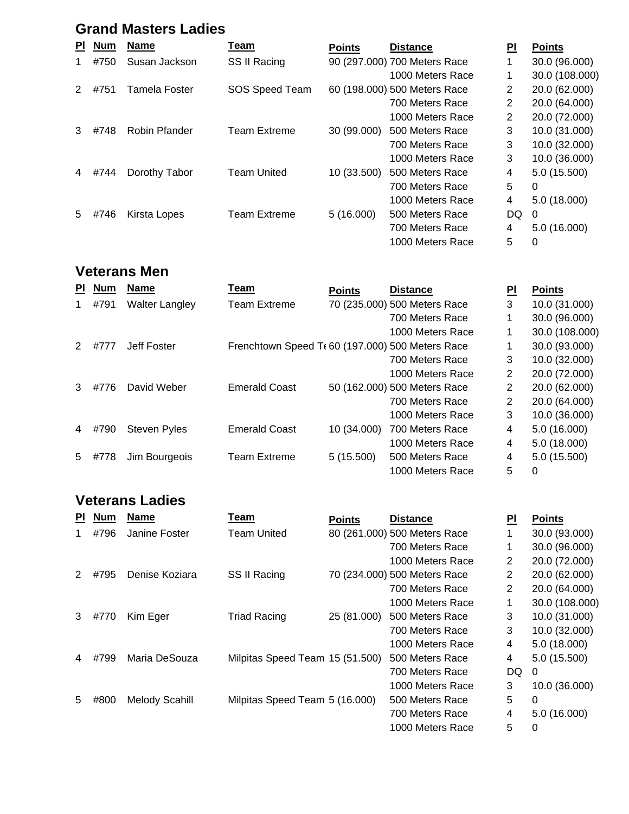### **Grand Masters Ladies**

| <b>PI</b> | <b>Num</b> | <b>Name</b>   | Team                | <b>Points</b> | <b>Distance</b>              | $\overline{\mathsf{PL}}$ | <b>Points</b>  |
|-----------|------------|---------------|---------------------|---------------|------------------------------|--------------------------|----------------|
|           | #750       | Susan Jackson | SS II Racing        |               | 90 (297.000) 700 Meters Race | 1                        | 30.0 (96.000)  |
|           |            |               |                     |               | 1000 Meters Race             | 1                        | 30.0 (108.000) |
| 2         | #751       | Tamela Foster | SOS Speed Team      |               | 60 (198.000) 500 Meters Race | 2                        | 20.0 (62.000)  |
|           |            |               |                     |               | 700 Meters Race              | 2                        | 20.0 (64.000)  |
|           |            |               |                     |               | 1000 Meters Race             | 2                        | 20.0 (72.000)  |
| 3         | #748       | Robin Pfander | <b>Team Extreme</b> | 30 (99.000)   | 500 Meters Race              | 3                        | 10.0 (31.000)  |
|           |            |               |                     |               | 700 Meters Race              | 3                        | 10.0 (32.000)  |
|           |            |               |                     |               | 1000 Meters Race             | 3                        | 10.0 (36.000)  |
|           | #744       | Dorothy Tabor | <b>Team United</b>  | 10 (33.500)   | 500 Meters Race              | 4                        | 5.0(15.500)    |
|           |            |               |                     |               | 700 Meters Race              | 5                        | 0              |
|           |            |               |                     |               | 1000 Meters Race             | 4                        | 5.0(18.000)    |
| 5         | #746       | Kirsta Lopes  | <b>Team Extreme</b> | 5(16.000)     | 500 Meters Race              | DQ                       | 0              |
|           |            |               |                     |               | 700 Meters Race              | 4                        | 5.0(16.000)    |
|           |            |               |                     |               | 1000 Meters Race             | 5                        | 0              |

#### **Veterans Men**

| <b>PI</b>     | <b>Num</b> | <b>Name</b>           | Team                                            | <b>Points</b> | <b>Distance</b>              | <b>PI</b> | <b>Points</b>  |
|---------------|------------|-----------------------|-------------------------------------------------|---------------|------------------------------|-----------|----------------|
|               | #791       | <b>Walter Langley</b> | <b>Team Extreme</b>                             |               | 70 (235.000) 500 Meters Race | 3         | 10.0 (31.000)  |
|               |            |                       |                                                 |               | 700 Meters Race              | 1         | 30.0 (96.000)  |
|               |            |                       |                                                 |               | 1000 Meters Race             |           | 30.0 (108.000) |
| $\mathcal{P}$ | #777       | Jeff Foster           | Frenchtown Speed T(60 (197.000) 500 Meters Race |               |                              | 1         | 30.0 (93.000)  |
|               |            |                       |                                                 |               | 700 Meters Race              | 3         | 10.0 (32.000)  |
|               |            |                       |                                                 |               | 1000 Meters Race             | 2         | 20.0 (72.000)  |
| 3             | #776       | David Weber           | <b>Emerald Coast</b>                            |               | 50 (162.000) 500 Meters Race | 2         | 20.0 (62.000)  |
|               |            |                       |                                                 |               | 700 Meters Race              | 2         | 20.0 (64.000)  |
|               |            |                       |                                                 |               | 1000 Meters Race             | 3         | 10.0 (36.000)  |
| 4             | #790       | <b>Steven Pyles</b>   | <b>Emerald Coast</b>                            | 10 (34.000)   | 700 Meters Race              | 4         | 5.0(16.000)    |
|               |            |                       |                                                 |               | 1000 Meters Race             | 4         | 5.0(18.000)    |
| 5             | #778       | Jim Bourgeois         | <b>Team Extreme</b>                             | 5(15.500)     | 500 Meters Race              | 4         | 5.0 (15.500)   |
|               |            |                       |                                                 |               | 1000 Meters Race             | 5         | 0              |

### **Veterans Ladies**

| ΡI | <b>Num</b> | <b>Name</b>    | Team                            | <b>Points</b> | <b>Distance</b>              | <b>PI</b> | <b>Points</b>  |
|----|------------|----------------|---------------------------------|---------------|------------------------------|-----------|----------------|
|    | #796       | Janine Foster  | <b>Team United</b>              |               | 80 (261.000) 500 Meters Race | 1         | 30.0 (93.000)  |
|    |            |                |                                 |               | 700 Meters Race              |           | 30.0 (96.000)  |
|    |            |                |                                 |               | 1000 Meters Race             | 2         | 20.0 (72.000)  |
|    | #795       | Denise Koziara | SS II Racing                    |               | 70 (234.000) 500 Meters Race | 2         | 20.0 (62.000)  |
|    |            |                |                                 |               | 700 Meters Race              | 2         | 20.0 (64.000)  |
|    |            |                |                                 |               | 1000 Meters Race             | 1         | 30.0 (108.000) |
| 3  | #770       | Kim Eger       | <b>Triad Racing</b>             | 25 (81.000)   | 500 Meters Race              | 3         | 10.0 (31.000)  |
|    |            |                |                                 |               | 700 Meters Race              | 3         | 10.0 (32.000)  |
|    |            |                |                                 |               | 1000 Meters Race             | 4         | 5.0 (18.000)   |
| 4  | #799       | Maria DeSouza  | Milpitas Speed Team 15 (51.500) |               | 500 Meters Race              | 4         | 5.0 (15.500)   |
|    |            |                |                                 |               | 700 Meters Race              | DQ        | $\Omega$       |
|    |            |                |                                 |               | 1000 Meters Race             | 3         | 10.0 (36.000)  |
| 5  | #800       | Melody Scahill | Milpitas Speed Team 5 (16.000)  |               | 500 Meters Race              | 5         | 0              |
|    |            |                |                                 |               | 700 Meters Race              | 4         | 5.0 (16.000)   |
|    |            |                |                                 |               | 1000 Meters Race             | 5         | 0              |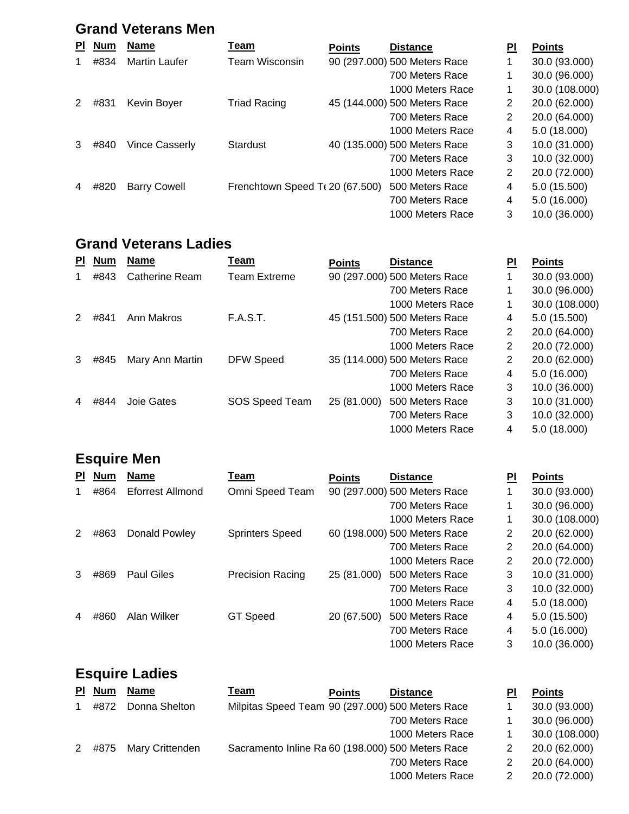### **Grand Veterans Men**

| PI. | <b>Num</b> | <b>Name</b>           | Team                              | <b>Points</b> | <b>Distance</b>              | ΡI | <b>Points</b>  |
|-----|------------|-----------------------|-----------------------------------|---------------|------------------------------|----|----------------|
|     | #834       | Martin Laufer         | Team Wisconsin                    |               | 90 (297.000) 500 Meters Race |    | 30.0 (93.000)  |
|     |            |                       |                                   |               | 700 Meters Race              |    | 30.0 (96.000)  |
|     |            |                       |                                   |               | 1000 Meters Race             | 1  | 30.0 (108.000) |
| 2   | #831       | Kevin Boyer           | <b>Triad Racing</b>               |               | 45 (144.000) 500 Meters Race | 2  | 20.0 (62.000)  |
|     |            |                       |                                   |               | 700 Meters Race              | 2  | 20.0 (64.000)  |
|     |            |                       |                                   |               | 1000 Meters Race             | 4  | 5.0(18.000)    |
| 3   | #840       | <b>Vince Casserly</b> | Stardust                          |               | 40 (135.000) 500 Meters Race | 3  | 10.0 (31.000)  |
|     |            |                       |                                   |               | 700 Meters Race              | 3  | 10.0 (32.000)  |
|     |            |                       |                                   |               | 1000 Meters Race             | 2  | 20.0 (72.000)  |
| 4   | #820       | <b>Barry Cowell</b>   | Frenchtown Speed T $(20)(67.500)$ |               | 500 Meters Race              | 4  | 5.0 (15.500)   |
|     |            |                       |                                   |               | 700 Meters Race              | 4  | 5.0 (16.000)   |
|     |            |                       |                                   |               | 1000 Meters Race             | 3  | 10.0 (36.000)  |

#### **Grand Veterans Ladies**

| <b>PI</b> | <b>Num</b> | <b>Name</b>     | Team             | <b>Points</b> | <b>Distance</b>              | ΡI | <b>Points</b>  |
|-----------|------------|-----------------|------------------|---------------|------------------------------|----|----------------|
|           | #843       | Catherine Ream  | Team Extreme     |               | 90 (297.000) 500 Meters Race | 1  | 30.0 (93.000)  |
|           |            |                 |                  |               | 700 Meters Race              | 1  | 30.0 (96.000)  |
|           |            |                 |                  |               | 1000 Meters Race             | 1  | 30.0 (108.000) |
|           | #841       | Ann Makros      | <b>F.A.S.T.</b>  |               | 45 (151.500) 500 Meters Race | 4  | 5.0 (15.500)   |
|           |            |                 |                  |               | 700 Meters Race              | 2  | 20.0 (64.000)  |
|           |            |                 |                  |               | 1000 Meters Race             | 2  | 20.0 (72.000)  |
| 3         | #845       | Mary Ann Martin | <b>DFW Speed</b> |               | 35 (114.000) 500 Meters Race | 2  | 20.0 (62.000)  |
|           |            |                 |                  |               | 700 Meters Race              | 4  | 5.0(16.000)    |
|           |            |                 |                  |               | 1000 Meters Race             | 3  | 10.0 (36.000)  |
|           | #844       | Joie Gates      | SOS Speed Team   | 25 (81.000)   | 500 Meters Race              | 3  | 10.0 (31.000)  |
|           |            |                 |                  |               | 700 Meters Race              | 3  | 10.0 (32.000)  |
|           |            |                 |                  |               | 1000 Meters Race             | 4  | 5.0 (18.000)   |

### **Esquire Men**

| <b>PI</b>     | <b>Num</b> | <b>Name</b>             | Team                    | <b>Points</b> | <b>Distance</b>              | ΡI | <b>Points</b>  |
|---------------|------------|-------------------------|-------------------------|---------------|------------------------------|----|----------------|
|               | #864       | <b>Eforrest Allmond</b> | Omni Speed Team         |               | 90 (297.000) 500 Meters Race |    | 30.0 (93.000)  |
|               |            |                         |                         |               | 700 Meters Race              | 1  | 30.0 (96.000)  |
|               |            |                         |                         |               | 1000 Meters Race             | 1  | 30.0 (108.000) |
| $\mathcal{P}$ | #863       | Donald Powley           | <b>Sprinters Speed</b>  |               | 60 (198.000) 500 Meters Race | 2  | 20.0 (62.000)  |
|               |            |                         |                         |               | 700 Meters Race              | 2  | 20.0 (64.000)  |
|               |            |                         |                         |               | 1000 Meters Race             | 2  | 20.0 (72.000)  |
| 3             | #869       | <b>Paul Giles</b>       | <b>Precision Racing</b> | 25 (81.000)   | 500 Meters Race              | 3  | 10.0 (31.000)  |
|               |            |                         |                         |               | 700 Meters Race              | 3  | 10.0 (32.000)  |
|               |            |                         |                         |               | 1000 Meters Race             | 4  | 5.0 (18.000)   |
|               | #860       | Alan Wilker             | <b>GT Speed</b>         | 20 (67.500)   | 500 Meters Race              | 4  | 5.0 (15.500)   |
|               |            |                         |                         |               | 700 Meters Race              | 4  | 5.0 (16.000)   |
|               |            |                         |                         |               | 1000 Meters Race             | 3  | 10.0 (36.000)  |

# **Esquire Ladies**

|   | PI Num | <b>Name</b>     | Team                                              | <b>Points</b> | <b>Distance</b>  | ΡI | <b>Points</b>  |
|---|--------|-----------------|---------------------------------------------------|---------------|------------------|----|----------------|
|   | #872   | Donna Shelton   | Milpitas Speed Team 90 (297.000) 500 Meters Race  |               |                  |    | 30.0 (93.000)  |
|   |        |                 |                                                   |               | 700 Meters Race  |    | 30.0 (96.000)  |
|   |        |                 |                                                   |               | 1000 Meters Race |    | 30.0 (108.000) |
| 2 | #875   | Mary Crittenden | Sacramento Inline Ra 60 (198.000) 500 Meters Race |               |                  |    | 20.0 (62.000)  |
|   |        |                 |                                                   |               | 700 Meters Race  |    | 20.0 (64.000)  |
|   |        |                 |                                                   |               | 1000 Meters Race |    | 20.0 (72.000)  |
|   |        |                 |                                                   |               |                  |    |                |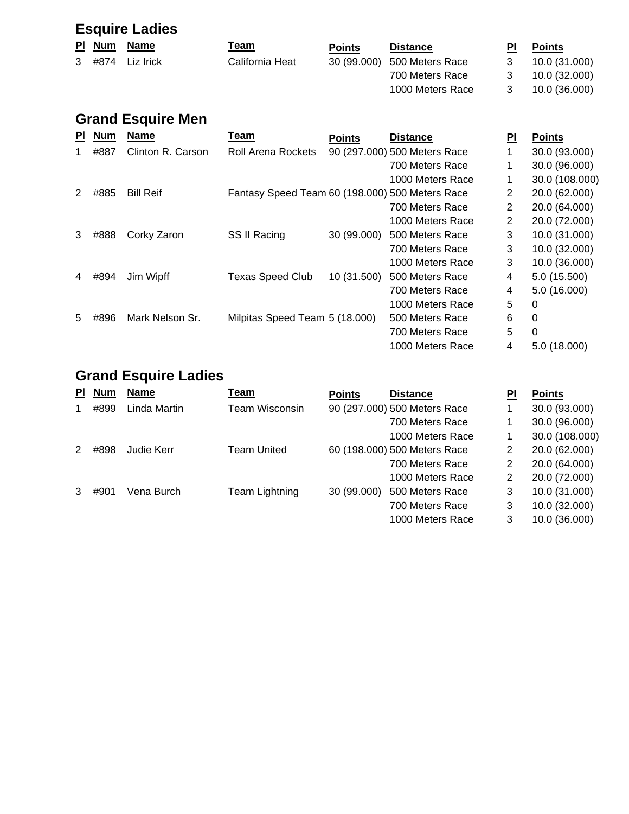## **Esquire Ladies**

|  | PI Num Name        | <u>Team</u>     | <b>Points</b> | <b>Distance</b>             | ΡI | <b>Points</b> |
|--|--------------------|-----------------|---------------|-----------------------------|----|---------------|
|  | $3$ #874 Liz Irick | California Heat |               | 30 (99.000) 500 Meters Race |    | 10.0 (31.000) |
|  |                    |                 |               | 700 Meters Race             | 3  | 10.0 (32.000) |
|  |                    |                 |               | 1000 Meters Race            | 3  | 10.0 (36.000) |
|  |                    |                 |               |                             |    |               |

## **Grand Esquire Men**

| <b>PI</b> | <b>Num</b> | <b>Name</b>       | Team                                            | <b>Points</b> | <b>Distance</b>              | PI             | <b>Points</b>  |
|-----------|------------|-------------------|-------------------------------------------------|---------------|------------------------------|----------------|----------------|
|           | #887       | Clinton R. Carson | <b>Roll Arena Rockets</b>                       |               | 90 (297.000) 500 Meters Race |                | 30.0 (93.000)  |
|           |            |                   |                                                 |               | 700 Meters Race              |                | 30.0 (96.000)  |
|           |            |                   |                                                 |               | 1000 Meters Race             | 1              | 30.0 (108.000) |
| 2         | #885       | <b>Bill Reif</b>  | Fantasy Speed Team 60 (198.000) 500 Meters Race |               |                              | 2              | 20.0 (62.000)  |
|           |            |                   |                                                 |               | 700 Meters Race              | 2              | 20.0 (64.000)  |
|           |            |                   |                                                 |               | 1000 Meters Race             | $\overline{2}$ | 20.0 (72.000)  |
| 3         | #888       | Corky Zaron       | SS II Racing                                    | 30 (99.000)   | 500 Meters Race              | 3              | 10.0 (31.000)  |
|           |            |                   |                                                 |               | 700 Meters Race              | 3              | 10.0 (32.000)  |
|           |            |                   |                                                 |               | 1000 Meters Race             | 3              | 10.0 (36.000)  |
|           | #894       | Jim Wipff         | <b>Texas Speed Club</b>                         | 10 (31.500)   | 500 Meters Race              | 4              | 5.0 (15.500)   |
|           |            |                   |                                                 |               | 700 Meters Race              | 4              | 5.0 (16.000)   |
|           |            |                   |                                                 |               | 1000 Meters Race             | 5              | 0              |
| 5         | #896       | Mark Nelson Sr.   | Milpitas Speed Team 5 (18.000)                  |               | 500 Meters Race              | 6              | 0              |
|           |            |                   |                                                 |               | 700 Meters Race              | 5              | 0              |
|           |            |                   |                                                 |               | 1000 Meters Race             | 4              | 5.0 (18.000)   |

### **Grand Esquire Ladies**

| ΡI | <b>Num</b> | <b>Name</b>  | Team           | <b>Points</b> | <b>Distance</b>              | ΡI | <b>Points</b>  |
|----|------------|--------------|----------------|---------------|------------------------------|----|----------------|
|    | #899       | Linda Martin | Team Wisconsin |               | 90 (297.000) 500 Meters Race |    | 30.0 (93.000)  |
|    |            |              |                |               | 700 Meters Race              |    | 30.0 (96.000)  |
|    |            |              |                |               | 1000 Meters Race             |    | 30.0 (108.000) |
|    | #898       | Judie Kerr   | Team United    |               | 60 (198.000) 500 Meters Race | 2  | 20.0 (62.000)  |
|    |            |              |                |               | 700 Meters Race              | 2  | 20.0 (64.000)  |
|    |            |              |                |               | 1000 Meters Race             | 2  | 20.0 (72.000)  |
|    | #901       | Vena Burch   | Team Lightning | 30 (99.000)   | 500 Meters Race              | 3  | 10.0 (31.000)  |
|    |            |              |                |               | 700 Meters Race              | 3  | 10.0 (32.000)  |
|    |            |              |                |               | 1000 Meters Race             | 3  | 10.0 (36.000)  |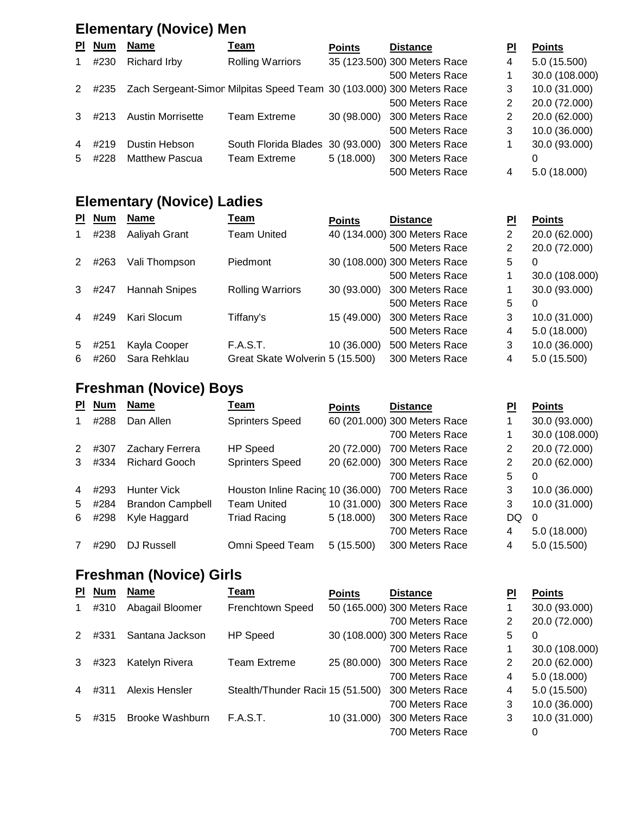### **Elementary (Novice) Men**

| PI.            | <b>Num</b> | <b>Name</b>                                                          | <u>Team</u>                      | <b>Points</b> | <b>Distance</b>              | ΡI | <b>Points</b>  |
|----------------|------------|----------------------------------------------------------------------|----------------------------------|---------------|------------------------------|----|----------------|
|                | #230       | Richard Irby                                                         | <b>Rolling Warriors</b>          |               | 35 (123.500) 300 Meters Race | 4  | 5.0(15.500)    |
|                |            |                                                                      |                                  |               | 500 Meters Race              |    | 30.0 (108.000) |
| 2              | #235       | Zach Sergeant-Simor Milpitas Speed Team 30 (103.000) 300 Meters Race |                                  |               |                              | 3  | 10.0 (31.000)  |
|                |            |                                                                      |                                  |               | 500 Meters Race              | 2  | 20.0 (72.000)  |
|                | #213       | <b>Austin Morrisette</b>                                             | <b>Team Extreme</b>              | 30 (98.000)   | 300 Meters Race              | 2  | 20.0 (62.000)  |
|                |            |                                                                      |                                  |               | 500 Meters Race              | 3  | 10.0 (36.000)  |
| $\overline{4}$ | #219       | Dustin Hebson                                                        | South Florida Blades 30 (93.000) |               | 300 Meters Race              |    | 30.0 (93.000)  |
| 5              | #228       | <b>Matthew Pascua</b>                                                | <b>Team Extreme</b>              | 5(18.000)     | 300 Meters Race              |    | 0              |
|                |            |                                                                      |                                  |               | 500 Meters Race              | 4  | 5.0 (18.000)   |

### **Elementary (Novice) Ladies**

| <b>PI</b> | <b>Num</b> | <b>Name</b>   | <u>Team</u>                     | <b>Points</b> | <b>Distance</b>              | PI | <b>Points</b>  |
|-----------|------------|---------------|---------------------------------|---------------|------------------------------|----|----------------|
|           | #238       | Aaliyah Grant | <b>Team United</b>              |               | 40 (134.000) 300 Meters Race | 2  | 20.0 (62.000)  |
|           |            |               |                                 |               | 500 Meters Race              | 2  | 20.0 (72.000)  |
| 2         | #263       | Vali Thompson | <b>Piedmont</b>                 |               | 30 (108.000) 300 Meters Race | 5  | 0              |
|           |            |               |                                 |               | 500 Meters Race              | 1  | 30.0 (108.000) |
| 3         | #247       | Hannah Snipes | <b>Rolling Warriors</b>         | 30 (93.000)   | 300 Meters Race              |    | 30.0 (93.000)  |
|           |            |               |                                 |               | 500 Meters Race              | 5  | 0              |
| 4         | #249       | Kari Slocum   | Tiffany's                       | 15 (49.000)   | 300 Meters Race              | 3  | 10.0 (31.000)  |
|           |            |               |                                 |               | 500 Meters Race              | 4  | 5.0(18.000)    |
| 5         | #251       | Kayla Cooper  | <b>F.A.S.T.</b>                 | 10 (36.000)   | 500 Meters Race              | 3  | 10.0 (36.000)  |
| 6         | #260       | Sara Rehklau  | Great Skate Wolverin 5 (15.500) |               | 300 Meters Race              | 4  | 5.0(15.500)    |

### **Freshman (Novice) Boys**

| 30.0 (93.000)  |
|----------------|
|                |
| 30.0 (108.000) |
| 20.0 (72.000)  |
| 20.0 (62.000)  |
| $\Omega$       |
| 10.0 (36.000)  |
| 10.0 (31.000)  |
| DQ<br>$\Omega$ |
| 5.0(18.000)    |
| 5.0 (15.500)   |
|                |

### **Freshman (Novice) Girls**

| ΡI             | <b>Num</b> | <b>Name</b>     | Team                              | <b>Points</b> | <b>Distance</b>              | PI | <b>Points</b>  |
|----------------|------------|-----------------|-----------------------------------|---------------|------------------------------|----|----------------|
|                | #310       | Abagail Bloomer | Frenchtown Speed                  |               | 50 (165.000) 300 Meters Race |    | 30.0 (93.000)  |
|                |            |                 |                                   |               | 700 Meters Race              | 2  | 20.0 (72.000)  |
| $\mathcal{P}$  | #331       | Santana Jackson | HP Speed                          |               | 30 (108.000) 300 Meters Race | 5  | 0              |
|                |            |                 |                                   |               | 700 Meters Race              | 1  | 30.0 (108.000) |
| 3              | #323       | Katelyn Rivera  | <b>Team Extreme</b>               | 25 (80.000)   | 300 Meters Race              | 2  | 20.0 (62.000)  |
|                |            |                 |                                   |               | 700 Meters Race              | 4  | 5.0 (18.000)   |
| 4              | #311       | Alexis Hensler  | Stealth/Thunder Racir 15 (51.500) |               | 300 Meters Race              | 4  | 5.0 (15.500)   |
|                |            |                 |                                   |               | 700 Meters Race              | 3  | 10.0 (36.000)  |
| 5 <sup>5</sup> | #315       | Brooke Washburn | <b>F.A.S.T.</b>                   | 10 (31.000)   | 300 Meters Race              | 3  | 10.0 (31.000)  |
|                |            |                 |                                   |               | 700 Meters Race              |    | 0              |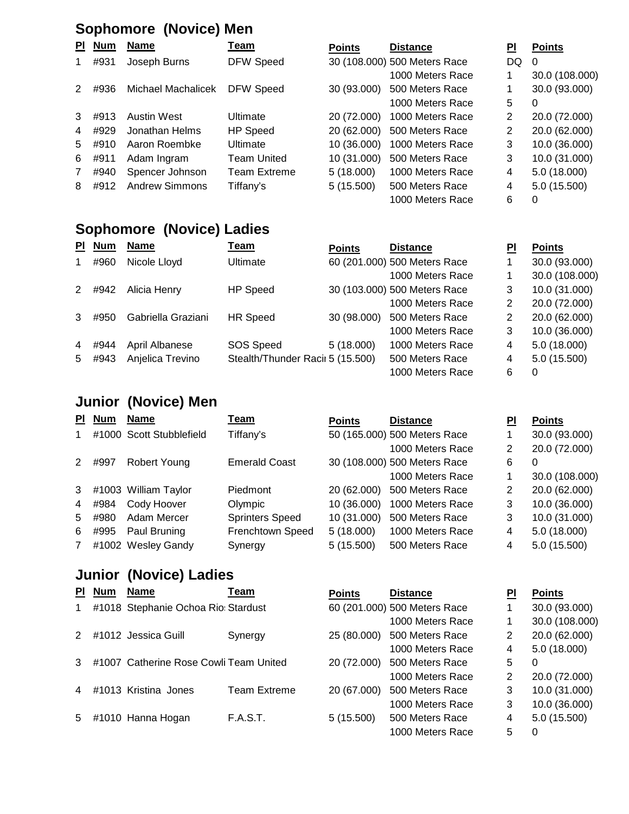### **Sophomore (Novice) Men**

| PI. | <u>Num</u> | <b>Name</b>           | <u>Team</u>         | <b>Points</b> | <b>Distance</b>              | ΡI             | <b>Points</b>  |
|-----|------------|-----------------------|---------------------|---------------|------------------------------|----------------|----------------|
|     | #931       | Joseph Burns          | <b>DFW Speed</b>    |               | 30 (108.000) 500 Meters Race | DQ             | $\Omega$       |
|     |            |                       |                     |               | 1000 Meters Race             |                | 30.0 (108.000) |
| 2   | #936       | Michael Machalicek    | DFW Speed           | 30 (93.000)   | 500 Meters Race              |                | 30.0 (93.000)  |
|     |            |                       |                     |               | 1000 Meters Race             | 5              | 0              |
| 3   | #913       | Austin West           | Ultimate            | 20 (72.000)   | 1000 Meters Race             | 2              | 20.0 (72.000)  |
| 4   | #929       | Jonathan Helms        | <b>HP Speed</b>     | 20 (62.000)   | 500 Meters Race              | $\overline{2}$ | 20.0 (62.000)  |
| 5   | #910       | Aaron Roembke         | Ultimate            | 10 (36,000)   | 1000 Meters Race             | 3              | 10.0 (36.000)  |
| 6   | #911       | Adam Ingram           | Team United         | 10 (31.000)   | 500 Meters Race              | 3              | 10.0 (31.000)  |
|     | #940       | Spencer Johnson       | <b>Team Extreme</b> | 5(18.000)     | 1000 Meters Race             | 4              | 5.0(18.000)    |
| 8   | #912       | <b>Andrew Simmons</b> | Tiffany's           | 5(15.500)     | 500 Meters Race              | 4              | 5.0 (15.500)   |
|     |            |                       |                     |               | 1000 Meters Race             | 6              | 0              |

### **Sophomore (Novice) Ladies**

| <b>PI</b>      | <b>Num</b> | <b>Name</b>        | <u>Team</u>                      | <b>Points</b> | <b>Distance</b>              | ΡI | <b>Points</b>  |
|----------------|------------|--------------------|----------------------------------|---------------|------------------------------|----|----------------|
| 1              | #960       | Nicole Lloyd       | Ultimate                         |               | 60 (201.000) 500 Meters Race |    | 30.0 (93.000)  |
|                |            |                    |                                  |               | 1000 Meters Race             |    | 30.0 (108.000) |
| 2              | #942       | Alicia Henry       | <b>HP</b> Speed                  |               | 30 (103.000) 500 Meters Race | 3  | 10.0 (31.000)  |
|                |            |                    |                                  |               | 1000 Meters Race             | 2  | 20.0 (72.000)  |
| 3              | #950       | Gabriella Graziani | <b>HR Speed</b>                  | 30 (98.000)   | 500 Meters Race              | 2  | 20.0 (62.000)  |
|                |            |                    |                                  |               | 1000 Meters Race             | 3  | 10.0 (36.000)  |
| $\overline{4}$ | #944       | April Albanese     | SOS Speed                        | 5(18.000)     | 1000 Meters Race             | 4  | 5.0(18.000)    |
| 5              | #943       | Anjelica Trevino   | Stealth/Thunder Racii 5 (15.500) |               | 500 Meters Race              | 4  | 5.0(15.500)    |
|                |            |                    |                                  |               | 1000 Meters Race             | 6  | 0              |

### **Junior (Novice) Men**

| PI.         | <b>Num</b> | Name                     | <u>Team</u>            | <b>Points</b> | <b>Distance</b>              | PI | <b>Points</b>  |
|-------------|------------|--------------------------|------------------------|---------------|------------------------------|----|----------------|
| 1           |            | #1000 Scott Stubblefield | Tiffany's              |               | 50 (165.000) 500 Meters Race |    | 30.0 (93.000)  |
|             |            |                          |                        |               | 1000 Meters Race             | 2  | 20.0 (72.000)  |
| 2           | #997       | Robert Young             | <b>Emerald Coast</b>   |               | 30 (108.000) 500 Meters Race | 6  | 0              |
|             |            |                          |                        |               | 1000 Meters Race             |    | 30.0 (108.000) |
| 3           |            | #1003 William Taylor     | Piedmont               | 20 (62.000)   | 500 Meters Race              | 2  | 20.0 (62.000)  |
| 4           | #984       | Cody Hoover              | Olympic                | 10 (36.000)   | 1000 Meters Race             | 3  | 10.0 (36.000)  |
| 5           | #980       | Adam Mercer              | <b>Sprinters Speed</b> | 10 (31.000)   | 500 Meters Race              | 3  | 10.0 (31.000)  |
| 6           | #995       | Paul Bruning             | Frenchtown Speed       | 5(18.000)     | 1000 Meters Race             | 4  | 5.0(18.000)    |
| $7^{\circ}$ |            | #1002 Wesley Gandy       | Synergy                | 5(15.500)     | 500 Meters Race              | 4  | 5.0(15.500)    |

#### **Junior (Novice) Ladies**

| <b>PI</b>      | <b>Num</b> | <b>Name</b>                            | Team                | <b>Points</b> | <b>Distance</b>              | PI             | <b>Points</b>  |
|----------------|------------|----------------------------------------|---------------------|---------------|------------------------------|----------------|----------------|
| $\mathbf 1$    |            | #1018 Stephanie Ochoa Rio: Stardust    |                     |               | 60 (201.000) 500 Meters Race |                | 30.0 (93.000)  |
|                |            |                                        |                     |               | 1000 Meters Race             |                | 30.0 (108.000) |
| 2              |            | #1012 Jessica Guill                    | Synergy             | 25 (80.000)   | 500 Meters Race              | 2              | 20.0 (62.000)  |
|                |            |                                        |                     |               | 1000 Meters Race             | 4              | 5.0(18.000)    |
| 3              |            | #1007 Catherine Rose Cowli Team United |                     | 20 (72.000)   | 500 Meters Race              | 5.             | $\Omega$       |
|                |            |                                        |                     |               | 1000 Meters Race             | $\overline{2}$ | 20.0 (72.000)  |
| $\overline{4}$ |            | #1013 Kristina Jones                   | <b>Team Extreme</b> | 20 (67.000)   | 500 Meters Race              | 3              | 10.0 (31.000)  |
|                |            |                                        |                     |               | 1000 Meters Race             | 3              | 10.0 (36.000)  |
| 5              |            | #1010 Hanna Hogan                      | <b>F.A.S.T.</b>     | 5(15.500)     | 500 Meters Race              | 4              | 5.0 (15.500)   |
|                |            |                                        |                     |               | 1000 Meters Race             | 5              | 0              |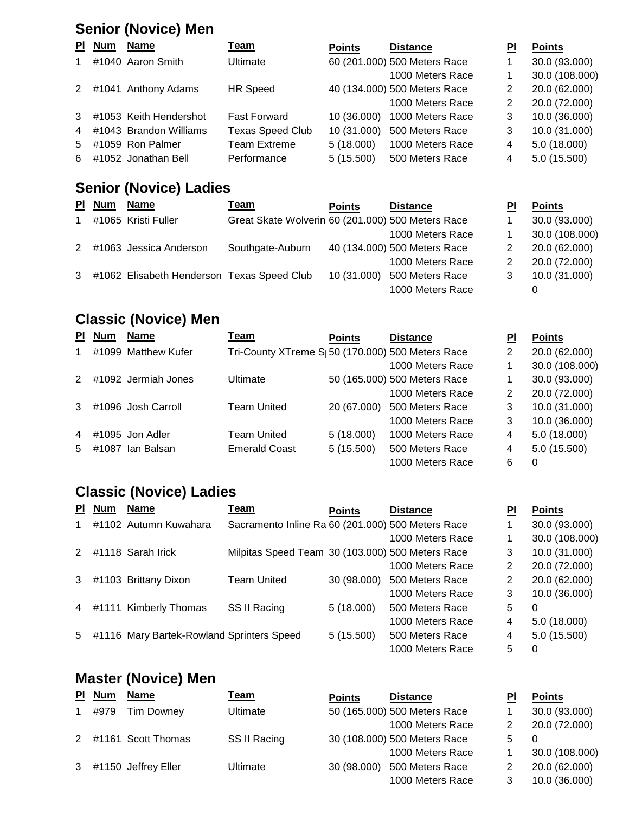### **Senior (Novice) Men**

|                | PI Num | Name                   | <u>Team</u>             | <b>Points</b> | <b>Distance</b>              | ΡI | <b>Points</b>  |
|----------------|--------|------------------------|-------------------------|---------------|------------------------------|----|----------------|
| 1              |        | #1040 Aaron Smith      | <b>Ultimate</b>         |               | 60 (201.000) 500 Meters Race |    | 30.0 (93.000)  |
|                |        |                        |                         |               | 1000 Meters Race             |    | 30.0 (108.000) |
| 2              |        | #1041 Anthony Adams    | <b>HR Speed</b>         |               | 40 (134.000) 500 Meters Race | 2  | 20.0 (62.000)  |
|                |        |                        |                         |               | 1000 Meters Race             | 2  | 20.0 (72.000)  |
| 3 <sup>1</sup> |        | #1053 Keith Hendershot | <b>Fast Forward</b>     | 10 (36.000)   | 1000 Meters Race             | 3  | 10.0 (36.000)  |
| $\overline{4}$ |        | #1043 Brandon Williams | <b>Texas Speed Club</b> | 10 (31.000)   | 500 Meters Race              | 3  | 10.0 (31.000)  |
| 5              |        | #1059 Ron Palmer       | <b>Team Extreme</b>     | 5(18.000)     | 1000 Meters Race             | 4  | 5.0(18.000)    |
|                |        | 6 #1052 Jonathan Bell  | Performance             | 5(15.500)     | 500 Meters Race              | 4  | 5.0(15.500)    |

### **Senior (Novice) Ladies**

|              | <b>PI</b> Num | Name                                       | Геаm                                              | <b>Points</b> | <b>Distance</b>              | ΡI | <b>Points</b>  |
|--------------|---------------|--------------------------------------------|---------------------------------------------------|---------------|------------------------------|----|----------------|
| $\mathbf{1}$ |               | #1065 Kristi Fuller                        | Great Skate Wolverin 60 (201.000) 500 Meters Race |               |                              |    | 30.0 (93.000)  |
|              |               |                                            |                                                   |               | 1000 Meters Race             |    | 30.0 (108.000) |
|              |               | 2 #1063 Jessica Anderson                   | Southgate-Auburn                                  |               | 40 (134.000) 500 Meters Race |    | 20.0 (62.000)  |
|              |               |                                            |                                                   |               | 1000 Meters Race             |    | 20.0 (72.000)  |
| 3            |               | #1062 Elisabeth Henderson Texas Speed Club |                                                   | 10 (31.000)   | 500 Meters Race              |    | 10.0 (31.000)  |
|              |               |                                            |                                                   |               | 1000 Meters Race             |    |                |

### **Classic (Novice) Men**

| PI.           | <b>Num</b> | <b>Name</b>         | <u>Team</u>                                                   | <b>Points</b> | <b>Distance</b>              | ΡI | <b>Points</b>  |
|---------------|------------|---------------------|---------------------------------------------------------------|---------------|------------------------------|----|----------------|
|               |            | #1099 Matthew Kufer | Tri-County XTreme S <sub>1</sub> 50 (170.000) 500 Meters Race |               |                              | 2  | 20.0 (62.000)  |
|               |            |                     |                                                               |               | 1000 Meters Race             |    | 30.0 (108.000) |
| $\mathcal{P}$ |            | #1092 Jermiah Jones | <b>Ultimate</b>                                               |               | 50 (165.000) 500 Meters Race |    | 30.0 (93.000)  |
|               |            |                     |                                                               |               | 1000 Meters Race             | 2  | 20.0 (72.000)  |
| 3             |            | #1096 Josh Carroll  | <b>Team United</b>                                            | 20 (67.000)   | 500 Meters Race              | 3  | 10.0 (31.000)  |
|               |            |                     |                                                               |               | 1000 Meters Race             | 3  | 10.0 (36.000)  |
| 4             |            | #1095 Jon Adler     | Team United                                                   | 5(18.000)     | 1000 Meters Race             | 4  | 5.0(18.000)    |
| 5             |            | #1087 Ian Balsan    | <b>Emerald Coast</b>                                          | 5(15.500)     | 500 Meters Race              | 4  | 5.0(15.500)    |
|               |            |                     |                                                               |               | 1000 Meters Race             | 6  | 0              |

### **Classic (Novice) Ladies**

| ΡI             | <b>Num</b> | <b>Name</b>                               | Team                                              | <b>Points</b> | <b>Distance</b>  | PI | <b>Points</b>  |
|----------------|------------|-------------------------------------------|---------------------------------------------------|---------------|------------------|----|----------------|
|                |            | #1102 Autumn Kuwahara                     | Sacramento Inline Ra 60 (201.000) 500 Meters Race |               |                  |    | 30.0 (93.000)  |
|                |            |                                           |                                                   |               | 1000 Meters Race |    | 30.0 (108.000) |
|                |            | #1118 Sarah Irick                         | Milpitas Speed Team 30 (103.000) 500 Meters Race  |               |                  | 3  | 10.0 (31.000)  |
|                |            |                                           |                                                   |               | 1000 Meters Race | 2  | 20.0 (72.000)  |
| 3              |            | #1103 Brittany Dixon                      | <b>Team United</b>                                | 30 (98.000)   | 500 Meters Race  | 2  | 20.0 (62.000)  |
|                |            |                                           |                                                   |               | 1000 Meters Race | 3  | 10.0 (36.000)  |
| $\overline{4}$ |            | #1111 Kimberly Thomas                     | SS II Racing                                      | 5 (18.000)    | 500 Meters Race  | 5  | 0              |
|                |            |                                           |                                                   |               | 1000 Meters Race | 4  | 5.0 (18.000)   |
| 5              |            | #1116 Mary Bartek-Rowland Sprinters Speed |                                                   | 5(15.500)     | 500 Meters Race  | 4  | 5.0 (15.500)   |
|                |            |                                           |                                                   |               | 1000 Meters Race | 5  | 0              |

### **Master (Novice) Men**

|              | PI Num | <b>Name</b>           | <u>Team</u>  | <b>Points</b> | <b>Distance</b>              | ΡI | <b>Points</b>  |
|--------------|--------|-----------------------|--------------|---------------|------------------------------|----|----------------|
| $\mathbf{1}$ | #979   | Tim Downey            | Ultimate     |               | 50 (165.000) 500 Meters Race |    | 30.0 (93.000)  |
|              |        |                       |              |               | 1000 Meters Race             |    | 20.0 (72.000)  |
|              |        | 2 #1161 Scott Thomas  | SS II Racing |               | 30 (108.000) 500 Meters Race | 5  | 0              |
|              |        |                       |              |               | 1000 Meters Race             |    | 30.0 (108.000) |
|              |        | 3 #1150 Jeffrey Eller | Ultimate     | 30 (98.000)   | 500 Meters Race              |    | 20.0 (62.000)  |
|              |        |                       |              |               | 1000 Meters Race             |    | 10.0 (36.000)  |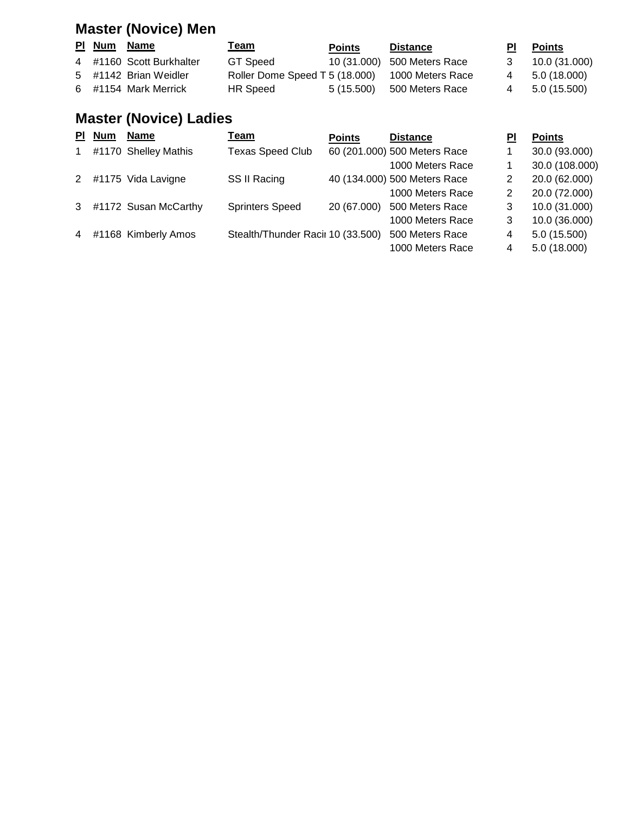## **Master (Novice) Men**

| PI Num Name |                          | <u> Team</u>                                    | <b>Points</b> | <b>Distance</b>             | PI – | <u>Points</u> |
|-------------|--------------------------|-------------------------------------------------|---------------|-----------------------------|------|---------------|
|             | 4 #1160 Scott Burkhalter | GT Speed                                        |               | 10 (31.000) 500 Meters Race |      | 10.0 (31.000) |
|             | 5 #1142 Brian Weidler    | Roller Dome Speed T 5 (18.000) 1000 Meters Race |               |                             | 4    | 5.0 (18.000)  |
|             | 6 #1154 Mark Merrick     | <b>HR</b> Speed                                 |               | 5 (15.500) 500 Meters Race  | 4    | 5.0 (15.500)  |

## **Master (Novice) Ladies**

| <b>PI</b> | <b>Num</b> | <b>Name</b>           | Team                              | <b>Points</b> | <b>Distance</b>              | PI | <b>Points</b>  |
|-----------|------------|-----------------------|-----------------------------------|---------------|------------------------------|----|----------------|
| 1         |            | #1170 Shelley Mathis  | <b>Texas Speed Club</b>           |               | 60 (201.000) 500 Meters Race |    | 30.0 (93.000)  |
|           |            |                       |                                   |               | 1000 Meters Race             |    | 30.0 (108.000) |
| 2         |            | #1175 Vida Lavigne    | SS II Racing                      |               | 40 (134.000) 500 Meters Race | 2  | 20.0 (62.000)  |
|           |            |                       |                                   |               | 1000 Meters Race             | 2  | 20.0 (72.000)  |
| 3         |            | #1172 Susan McCarthy  | <b>Sprinters Speed</b>            | 20 (67.000)   | 500 Meters Race              | 3  | 10.0 (31.000)  |
|           |            |                       |                                   |               | 1000 Meters Race             | 3  | 10.0 (36.000)  |
|           |            | 4 #1168 Kimberly Amos | Stealth/Thunder Racii 10 (33.500) |               | 500 Meters Race              | 4  | 5.0(15.500)    |
|           |            |                       |                                   |               | 1000 Meters Race             | 4  | 5.0(18.000)    |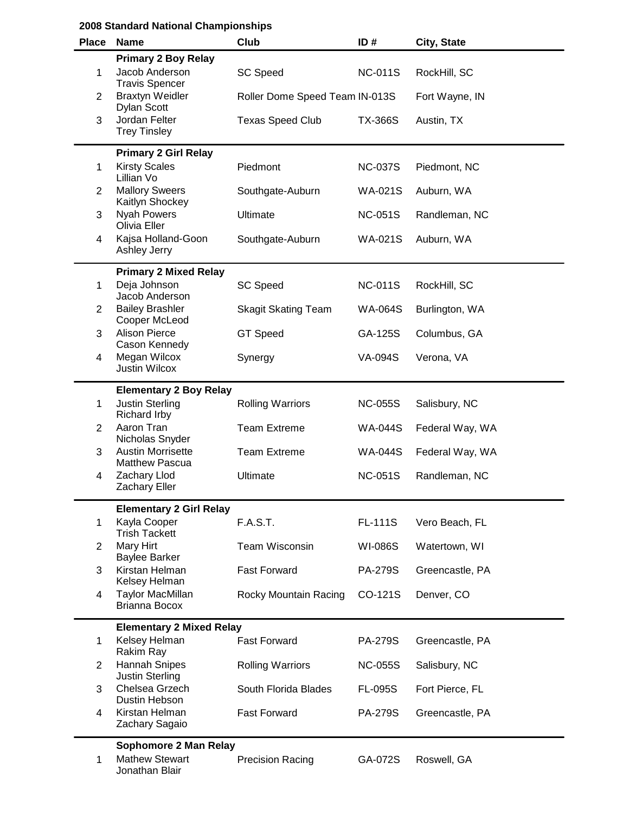| <b>Place</b>   | <b>Name</b>                                       | Club                           | ID#            | City, State     |
|----------------|---------------------------------------------------|--------------------------------|----------------|-----------------|
|                | <b>Primary 2 Boy Relay</b>                        |                                |                |                 |
| 1              | Jacob Anderson<br><b>Travis Spencer</b>           | <b>SC Speed</b>                | <b>NC-011S</b> | RockHill, SC    |
| $\overline{2}$ | <b>Braxtyn Weidler</b><br><b>Dylan Scott</b>      | Roller Dome Speed Team IN-013S |                | Fort Wayne, IN  |
| 3              | Jordan Felter<br><b>Trey Tinsley</b>              | <b>Texas Speed Club</b>        | <b>TX-366S</b> | Austin, TX      |
|                | <b>Primary 2 Girl Relay</b>                       |                                |                |                 |
| 1              | <b>Kirsty Scales</b><br>Lillian Vo                | Piedmont                       | <b>NC-037S</b> | Piedmont, NC    |
| 2              | <b>Mallory Sweers</b><br>Kaitlyn Shockey          | Southgate-Auburn               | <b>WA-021S</b> | Auburn, WA      |
| 3              | <b>Nyah Powers</b><br>Olivia Eller                | Ultimate                       | <b>NC-051S</b> | Randleman, NC   |
| 4              | Kajsa Holland-Goon<br>Ashley Jerry                | Southgate-Auburn               | WA-021S        | Auburn, WA      |
|                | <b>Primary 2 Mixed Relay</b>                      |                                |                |                 |
| 1              | Deja Johnson<br>Jacob Anderson                    | <b>SC Speed</b>                | <b>NC-011S</b> | RockHill, SC    |
| $\overline{2}$ | <b>Bailey Brashler</b><br>Cooper McLeod           | <b>Skagit Skating Team</b>     | <b>WA-064S</b> | Burlington, WA  |
| 3              | <b>Alison Pierce</b><br>Cason Kennedy             | <b>GT Speed</b>                | GA-125S        | Columbus, GA    |
| 4              | Megan Wilcox<br><b>Justin Wilcox</b>              | Synergy                        | <b>VA-094S</b> | Verona, VA      |
|                | <b>Elementary 2 Boy Relay</b>                     |                                |                |                 |
| 1              | <b>Justin Sterling</b><br><b>Richard Irby</b>     | <b>Rolling Warriors</b>        | <b>NC-055S</b> | Salisbury, NC   |
| $\overline{2}$ | Aaron Tran<br>Nicholas Snyder                     | <b>Team Extreme</b>            | <b>WA-044S</b> | Federal Way, WA |
| 3              | <b>Austin Morrisette</b><br><b>Matthew Pascua</b> | <b>Team Extreme</b>            | <b>WA-044S</b> | Federal Way, WA |
| 4              | Zachary Llod<br><b>Zachary Eller</b>              | Ultimate                       | <b>NC-051S</b> | Randleman, NC   |
|                | <b>Elementary 2 Girl Relay</b>                    |                                |                |                 |
| 1              | Kayla Cooper<br><b>Trish Tackett</b>              | <b>F.A.S.T.</b>                | <b>FL-111S</b> | Vero Beach, FL  |
| $\overline{2}$ | Mary Hirt<br><b>Baylee Barker</b>                 | <b>Team Wisconsin</b>          | <b>WI-086S</b> | Watertown, WI   |
| 3              | Kirstan Helman<br>Kelsey Helman                   | <b>Fast Forward</b>            | <b>PA-279S</b> | Greencastle, PA |
| 4              | <b>Taylor MacMillan</b><br>Brianna Bocox          | Rocky Mountain Racing          | CO-121S        | Denver, CO      |
|                | <b>Elementary 2 Mixed Relay</b>                   |                                |                |                 |
| 1              | Kelsey Helman<br>Rakim Ray                        | <b>Fast Forward</b>            | <b>PA-279S</b> | Greencastle, PA |
| $\overline{c}$ | Hannah Snipes<br><b>Justin Sterling</b>           | <b>Rolling Warriors</b>        | <b>NC-055S</b> | Salisbury, NC   |
| 3              | Chelsea Grzech<br>Dustin Hebson                   | South Florida Blades           | <b>FL-095S</b> | Fort Pierce, FL |
| 4              | Kirstan Helman<br>Zachary Sagaio                  | <b>Fast Forward</b>            | <b>PA-279S</b> | Greencastle, PA |
|                | Sophomore 2 Man Relay                             |                                |                |                 |
| 1              | <b>Mathew Stewart</b><br>Jonathan Blair           | <b>Precision Racing</b>        | GA-072S        | Roswell, GA     |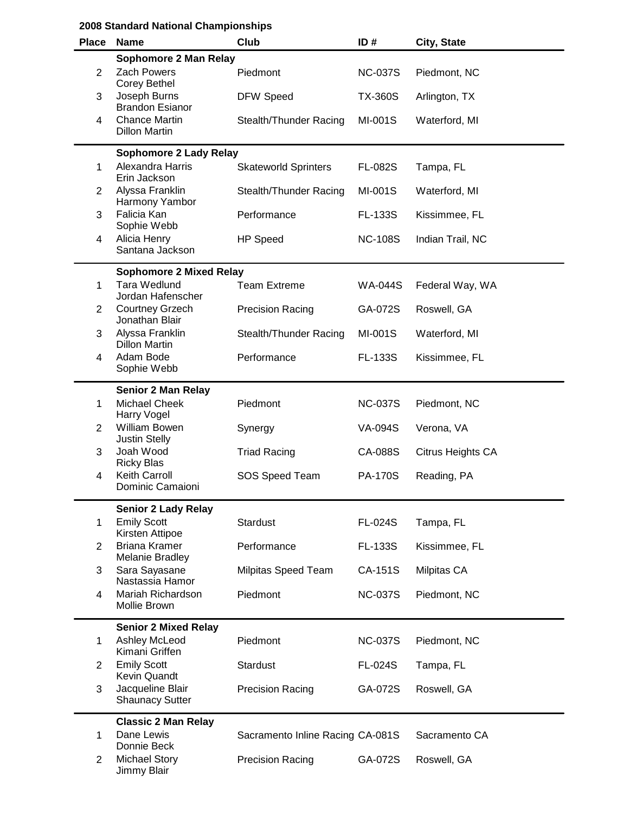|                | 2008 Standard National Championships                        |                                  |                |                   |  |  |
|----------------|-------------------------------------------------------------|----------------------------------|----------------|-------------------|--|--|
| <b>Place</b>   | <b>Name</b>                                                 | <b>Club</b>                      | ID#            | City, State       |  |  |
| $\overline{2}$ | Sophomore 2 Man Relay<br><b>Zach Powers</b><br>Corey Bethel | Piedmont                         | <b>NC-037S</b> | Piedmont, NC      |  |  |
| 3              | Joseph Burns<br><b>Brandon Esianor</b>                      | <b>DFW Speed</b>                 | <b>TX-360S</b> | Arlington, TX     |  |  |
| 4              | <b>Chance Martin</b><br><b>Dillon Martin</b>                | Stealth/Thunder Racing           | MI-001S        | Waterford, MI     |  |  |
|                | <b>Sophomore 2 Lady Relay</b>                               |                                  |                |                   |  |  |
| 1              | Alexandra Harris<br>Erin Jackson                            | <b>Skateworld Sprinters</b>      | <b>FL-082S</b> | Tampa, FL         |  |  |
| $\overline{2}$ | Alyssa Franklin<br>Harmony Yambor                           | Stealth/Thunder Racing           | MI-001S        | Waterford, MI     |  |  |
| 3              | Falicia Kan<br>Sophie Webb                                  | Performance                      | <b>FL-133S</b> | Kissimmee, FL     |  |  |
| 4              | Alicia Henry<br>Santana Jackson                             | <b>HP Speed</b>                  | <b>NC-108S</b> | Indian Trail, NC  |  |  |
|                | <b>Sophomore 2 Mixed Relay</b>                              |                                  |                |                   |  |  |
| 1              | Tara Wedlund<br>Jordan Hafenscher                           | <b>Team Extreme</b>              | <b>WA-044S</b> | Federal Way, WA   |  |  |
| $\overline{2}$ | <b>Courtney Grzech</b><br>Jonathan Blair                    | <b>Precision Racing</b>          | GA-072S        | Roswell, GA       |  |  |
| 3              | Alyssa Franklin<br><b>Dillon Martin</b>                     | Stealth/Thunder Racing           | MI-001S        | Waterford, MI     |  |  |
| 4              | Adam Bode<br>Sophie Webb                                    | Performance                      | FL-133S        | Kissimmee, FL     |  |  |
|                | <b>Senior 2 Man Relay</b>                                   |                                  |                |                   |  |  |
| 1              | <b>Michael Cheek</b><br>Harry Vogel                         | Piedmont                         | <b>NC-037S</b> | Piedmont, NC      |  |  |
| $\overline{2}$ | William Bowen<br><b>Justin Stelly</b>                       | Synergy                          | <b>VA-094S</b> | Verona, VA        |  |  |
| 3              | Joah Wood<br><b>Ricky Blas</b>                              | <b>Triad Racing</b>              | CA-088S        | Citrus Heights CA |  |  |
| 4              | Keith Carroll<br>Dominic Camaioni                           | SOS Speed Team                   | <b>PA-170S</b> | Reading, PA       |  |  |
|                | <b>Senior 2 Lady Relay</b>                                  |                                  |                |                   |  |  |
| 1              | <b>Emily Scott</b><br>Kirsten Attipoe                       | <b>Stardust</b>                  | <b>FL-024S</b> | Tampa, FL         |  |  |
| $\overline{2}$ | <b>Briana Kramer</b><br><b>Melanie Bradley</b>              | Performance                      | <b>FL-133S</b> | Kissimmee, FL     |  |  |
| 3              | Sara Sayasane<br>Nastassia Hamor                            | Milpitas Speed Team              | CA-151S        | Milpitas CA       |  |  |
| 4              | Mariah Richardson<br>Mollie Brown                           | Piedmont                         | <b>NC-037S</b> | Piedmont, NC      |  |  |
| 1              | <b>Senior 2 Mixed Relay</b><br>Ashley McLeod                | Piedmont                         | <b>NC-037S</b> | Piedmont, NC      |  |  |
| $\overline{2}$ | Kimani Griffen<br><b>Emily Scott</b>                        | <b>Stardust</b>                  | <b>FL-024S</b> | Tampa, FL         |  |  |
| 3              | <b>Kevin Quandt</b><br>Jacqueline Blair                     | <b>Precision Racing</b>          | GA-072S        | Roswell, GA       |  |  |
|                | <b>Shaunacy Sutter</b>                                      |                                  |                |                   |  |  |
| 1              | <b>Classic 2 Man Relay</b><br>Dane Lewis                    | Sacramento Inline Racing CA-081S |                | Sacramento CA     |  |  |
|                | Donnie Beck                                                 |                                  |                |                   |  |  |
| $\overline{2}$ | <b>Michael Story</b><br>Jimmy Blair                         | <b>Precision Racing</b>          | GA-072S        | Roswell, GA       |  |  |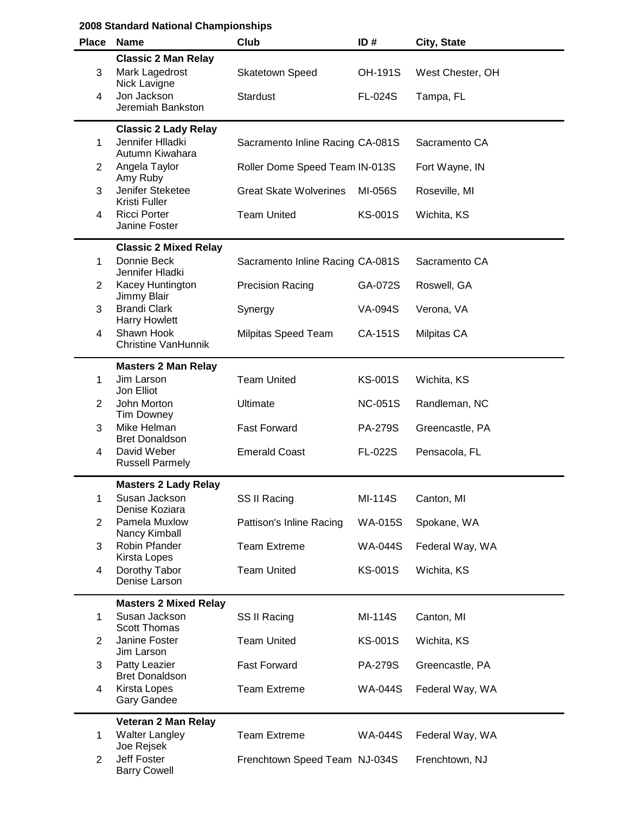| <b>Place</b>   | <b>Name</b>                                                        | Club                             | ID#            | City, State      |
|----------------|--------------------------------------------------------------------|----------------------------------|----------------|------------------|
| 3              | <b>Classic 2 Man Relay</b><br>Mark Lagedrost<br>Nick Lavigne       | <b>Skatetown Speed</b>           | <b>OH-191S</b> | West Chester, OH |
| 4              | Jon Jackson<br>Jeremiah Bankston                                   | <b>Stardust</b>                  | <b>FL-024S</b> | Tampa, FL        |
| 1              | <b>Classic 2 Lady Relay</b><br>Jennifer Hlladki<br>Autumn Kiwahara | Sacramento Inline Racing CA-081S |                | Sacramento CA    |
| $\overline{2}$ | Angela Taylor<br>Amy Ruby                                          | Roller Dome Speed Team IN-013S   |                | Fort Wayne, IN   |
| 3              | Jenifer Steketee<br>Kristi Fuller                                  | <b>Great Skate Wolverines</b>    | MI-056S        | Roseville, MI    |
| 4              | <b>Ricci Porter</b><br>Janine Foster                               | <b>Team United</b>               | <b>KS-001S</b> | Wichita, KS      |
|                | <b>Classic 2 Mixed Relay</b>                                       |                                  |                |                  |
| 1              | Donnie Beck<br>Jennifer Hladki                                     | Sacramento Inline Racing CA-081S |                | Sacramento CA    |
| $\overline{2}$ | Kacey Huntington<br>Jimmy Blair                                    | <b>Precision Racing</b>          | GA-072S        | Roswell, GA      |
| 3              | <b>Brandi Clark</b><br><b>Harry Howlett</b>                        | Synergy                          | <b>VA-094S</b> | Verona, VA       |
| 4              | Shawn Hook<br><b>Christine VanHunnik</b>                           | Milpitas Speed Team              | CA-151S        | Milpitas CA      |
|                | <b>Masters 2 Man Relay</b>                                         |                                  |                |                  |
| 1              | Jim Larson<br>Jon Elliot                                           | <b>Team United</b>               | <b>KS-001S</b> | Wichita, KS      |
| $\overline{2}$ | John Morton<br><b>Tim Downey</b>                                   | Ultimate                         | <b>NC-051S</b> | Randleman, NC    |
| 3              | Mike Helman<br><b>Bret Donaldson</b>                               | <b>Fast Forward</b>              | <b>PA-279S</b> | Greencastle, PA  |
| 4              | David Weber<br><b>Russell Parmely</b>                              | <b>Emerald Coast</b>             | <b>FL-022S</b> | Pensacola, FL    |
|                | <b>Masters 2 Lady Relay</b>                                        |                                  |                |                  |
| 1              | Susan Jackson<br>Denise Koziara                                    | SS II Racing                     | MI-114S        | Canton, MI       |
| $\overline{2}$ | Pamela Muxlow<br>Nancy Kimball                                     | Pattison's Inline Racing         | <b>WA-015S</b> | Spokane, WA      |
| 3              | Robin Pfander<br>Kirsta Lopes                                      | <b>Team Extreme</b>              | <b>WA-044S</b> | Federal Way, WA  |
| 4              | Dorothy Tabor<br>Denise Larson                                     | <b>Team United</b>               | <b>KS-001S</b> | Wichita, KS      |
|                | <b>Masters 2 Mixed Relay</b>                                       |                                  |                |                  |
| 1              | Susan Jackson<br><b>Scott Thomas</b>                               | SS II Racing                     | MI-114S        | Canton, MI       |
| $\overline{2}$ | Janine Foster<br>Jim Larson                                        | <b>Team United</b>               | <b>KS-001S</b> | Wichita, KS      |
| 3              | Patty Leazier<br><b>Bret Donaldson</b>                             | <b>Fast Forward</b>              | <b>PA-279S</b> | Greencastle, PA  |
| 4              | Kirsta Lopes<br><b>Gary Gandee</b>                                 | <b>Team Extreme</b>              | <b>WA-044S</b> | Federal Way, WA  |
|                | Veteran 2 Man Relay                                                |                                  |                |                  |
| 1              | <b>Walter Langley</b><br>Joe Rejsek                                | <b>Team Extreme</b>              | <b>WA-044S</b> | Federal Way, WA  |
| $\overline{2}$ | Jeff Foster<br><b>Barry Cowell</b>                                 | Frenchtown Speed Team NJ-034S    |                | Frenchtown, NJ   |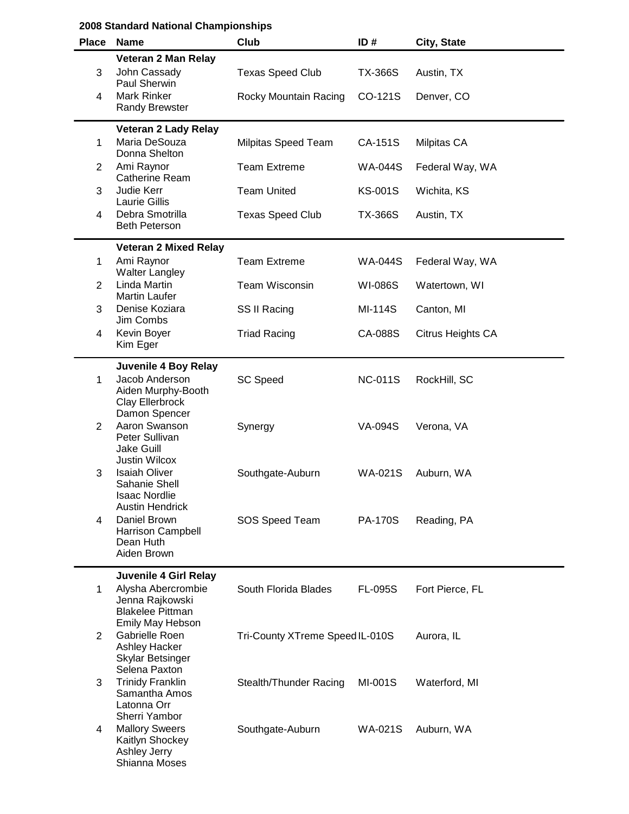| <b>Place</b> | <b>Name</b>                                                                             | Club                            | ID#            | City, State       |
|--------------|-----------------------------------------------------------------------------------------|---------------------------------|----------------|-------------------|
| 3            | Veteran 2 Man Relay<br>John Cassady<br>Paul Sherwin                                     | <b>Texas Speed Club</b>         | <b>TX-366S</b> | Austin, TX        |
| 4            | Mark Rinker<br><b>Randy Brewster</b>                                                    | Rocky Mountain Racing           | CO-121S        | Denver, CO        |
|              | Veteran 2 Lady Relay                                                                    |                                 |                |                   |
| 1            | Maria DeSouza<br>Donna Shelton                                                          | Milpitas Speed Team             | CA-151S        | Milpitas CA       |
| 2            | Ami Raynor<br><b>Catherine Ream</b>                                                     | <b>Team Extreme</b>             | <b>WA-044S</b> | Federal Way, WA   |
| 3            | Judie Kerr<br>Laurie Gillis                                                             | <b>Team United</b>              | <b>KS-001S</b> | Wichita, KS       |
| 4            | Debra Smotrilla<br><b>Beth Peterson</b>                                                 | <b>Texas Speed Club</b>         | <b>TX-366S</b> | Austin, TX        |
|              | <b>Veteran 2 Mixed Relay</b>                                                            |                                 |                |                   |
| 1            | Ami Raynor<br><b>Walter Langley</b>                                                     | <b>Team Extreme</b>             | <b>WA-044S</b> | Federal Way, WA   |
| 2            | <b>Linda Martin</b><br><b>Martin Laufer</b>                                             | <b>Team Wisconsin</b>           | WI-086S        | Watertown, WI     |
| 3            | Denise Koziara<br>Jim Combs                                                             | SS II Racing                    | MI-114S        | Canton, MI        |
| 4            | Kevin Boyer<br>Kim Eger                                                                 | <b>Triad Racing</b>             | CA-088S        | Citrus Heights CA |
|              | Juvenile 4 Boy Relay                                                                    |                                 |                |                   |
| 1            | Jacob Anderson<br>Aiden Murphy-Booth<br>Clay Ellerbrock<br>Damon Spencer                | <b>SC Speed</b>                 | <b>NC-011S</b> | RockHill, SC      |
| 2            | Aaron Swanson<br>Peter Sullivan<br><b>Jake Guill</b><br><b>Justin Wilcox</b>            | Synergy                         | VA-094S        | Verona, VA        |
| 3            | <b>Isaiah Oliver</b><br>Sahanie Shell<br><b>Isaac Nordlie</b><br><b>Austin Hendrick</b> | Southgate-Auburn                | <b>WA-021S</b> | Auburn, WA        |
| 4            | Daniel Brown<br><b>Harrison Campbell</b><br>Dean Huth<br>Aiden Brown                    | SOS Speed Team                  | <b>PA-170S</b> | Reading, PA       |
|              | Juvenile 4 Girl Relay                                                                   |                                 |                |                   |
| 1            | Alysha Abercrombie<br>Jenna Rajkowski<br><b>Blakelee Pittman</b><br>Emily May Hebson    | South Florida Blades            | <b>FL-095S</b> | Fort Pierce, FL   |
| 2            | Gabrielle Roen<br><b>Ashley Hacker</b><br><b>Skylar Betsinger</b><br>Selena Paxton      | Tri-County XTreme Speed IL-010S |                | Aurora, IL        |
| 3            | <b>Trinidy Franklin</b><br>Samantha Amos<br>Latonna Orr<br>Sherri Yambor                | Stealth/Thunder Racing          | MI-001S        | Waterford, MI     |
| 4            | <b>Mallory Sweers</b><br>Kaitlyn Shockey<br>Ashley Jerry<br>Shianna Moses               | Southgate-Auburn                | <b>WA-021S</b> | Auburn, WA        |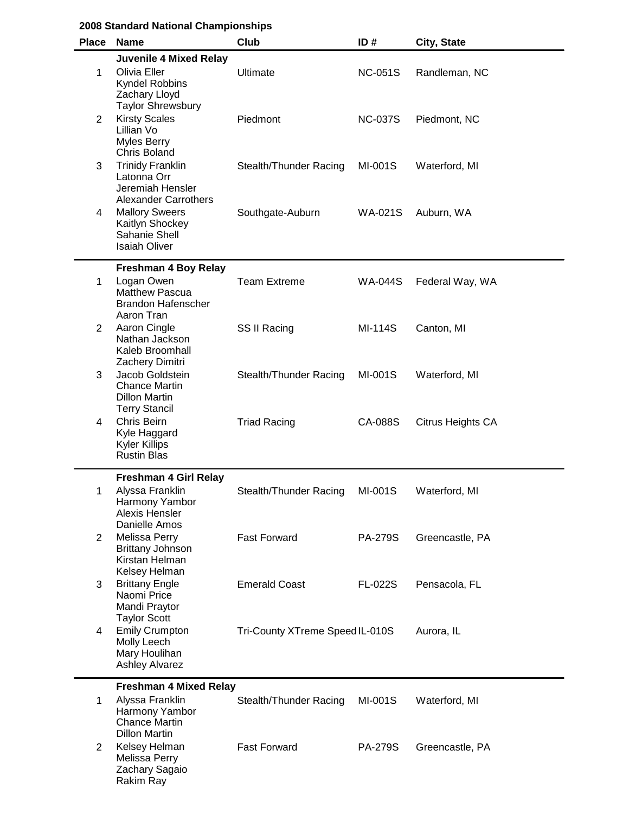| <b>Place</b>   | <b>Name</b>                                                                                                         | Club                            | ID#            | City, State       |
|----------------|---------------------------------------------------------------------------------------------------------------------|---------------------------------|----------------|-------------------|
| $\mathbf 1$    | <b>Juvenile 4 Mixed Relay</b><br>Olivia Eller<br><b>Kyndel Robbins</b><br>Zachary Lloyd<br><b>Taylor Shrewsbury</b> | Ultimate                        | <b>NC-051S</b> | Randleman, NC     |
| $\overline{2}$ | <b>Kirsty Scales</b><br>Lillian Vo<br>Myles Berry<br><b>Chris Boland</b>                                            | Piedmont                        | <b>NC-037S</b> | Piedmont, NC      |
| 3              | <b>Trinidy Franklin</b><br>Latonna Orr<br>Jeremiah Hensler<br><b>Alexander Carrothers</b>                           | Stealth/Thunder Racing          | MI-001S        | Waterford, MI     |
| 4              | <b>Mallory Sweers</b><br>Kaitlyn Shockey<br>Sahanie Shell<br><b>Isaiah Oliver</b>                                   | Southgate-Auburn                | <b>WA-021S</b> | Auburn, WA        |
| 1              | <b>Freshman 4 Boy Relay</b><br>Logan Owen<br><b>Matthew Pascua</b><br><b>Brandon Hafenscher</b><br>Aaron Tran       | <b>Team Extreme</b>             | <b>WA-044S</b> | Federal Way, WA   |
| $\overline{2}$ | Aaron Cingle<br>Nathan Jackson<br>Kaleb Broomhall<br>Zachery Dimitri                                                | SS II Racing                    | MI-114S        | Canton, MI        |
| 3              | Jacob Goldstein<br><b>Chance Martin</b><br><b>Dillon Martin</b><br><b>Terry Stancil</b>                             | Stealth/Thunder Racing          | MI-001S        | Waterford, MI     |
| 4              | Chris Beirn<br>Kyle Haggard<br><b>Kyler Killips</b><br><b>Rustin Blas</b>                                           | <b>Triad Racing</b>             | CA-088S        | Citrus Heights CA |
| 1              | <b>Freshman 4 Girl Relay</b><br>Alyssa Franklin<br>Harmony Yambor<br>Alexis Hensler<br>Danielle Amos                | Stealth/Thunder Racing          | MI-001S        | Waterford, MI     |
| 2              | Melissa Perry<br><b>Brittany Johnson</b><br>Kirstan Helman<br>Kelsey Helman                                         | <b>Fast Forward</b>             | <b>PA-279S</b> | Greencastle, PA   |
| 3              | <b>Brittany Engle</b><br>Naomi Price<br>Mandi Praytor<br><b>Taylor Scott</b>                                        | <b>Emerald Coast</b>            | <b>FL-022S</b> | Pensacola, FL     |
| 4              | <b>Emily Crumpton</b><br>Molly Leech<br>Mary Houlihan<br><b>Ashley Alvarez</b>                                      | Tri-County XTreme Speed IL-010S |                | Aurora, IL        |
| 1              | <b>Freshman 4 Mixed Relay</b><br>Alyssa Franklin<br>Harmony Yambor<br><b>Chance Martin</b><br><b>Dillon Martin</b>  | Stealth/Thunder Racing          | MI-001S        | Waterford, MI     |
| $\overline{2}$ | Kelsey Helman<br>Melissa Perry<br>Zachary Sagaio<br>Rakim Ray                                                       | <b>Fast Forward</b>             | <b>PA-279S</b> | Greencastle, PA   |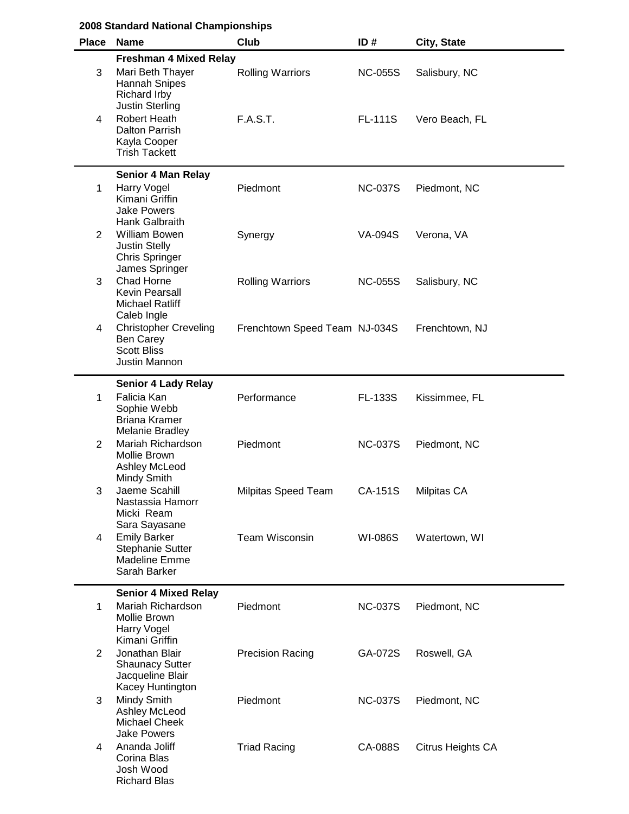|                | 2008 Standard National Championships                                                                           |                               |                |                   |
|----------------|----------------------------------------------------------------------------------------------------------------|-------------------------------|----------------|-------------------|
| <b>Place</b>   | <b>Name</b>                                                                                                    | Club                          | ID#            | City, State       |
| 3              | <b>Freshman 4 Mixed Relay</b><br>Mari Beth Thayer<br><b>Hannah Snipes</b><br>Richard Irby                      | <b>Rolling Warriors</b>       | <b>NC-055S</b> | Salisbury, NC     |
| 4              | <b>Justin Sterling</b><br><b>Robert Heath</b><br><b>Dalton Parrish</b><br>Kayla Cooper<br><b>Trish Tackett</b> | F.A.S.T.                      | <b>FL-111S</b> | Vero Beach, FL    |
|                | <b>Senior 4 Man Relay</b>                                                                                      |                               |                |                   |
| $\mathbf 1$    | <b>Harry Vogel</b><br>Kimani Griffin<br><b>Jake Powers</b><br><b>Hank Galbraith</b>                            | Piedmont                      | <b>NC-037S</b> | Piedmont, NC      |
| $\overline{2}$ | <b>William Bowen</b><br><b>Justin Stelly</b><br><b>Chris Springer</b><br>James Springer                        | Synergy                       | <b>VA-094S</b> | Verona, VA        |
| 3              | Chad Horne<br><b>Kevin Pearsall</b><br><b>Michael Ratliff</b><br>Caleb Ingle                                   | <b>Rolling Warriors</b>       | <b>NC-055S</b> | Salisbury, NC     |
| 4              | <b>Christopher Creveling</b><br>Ben Carey<br><b>Scott Bliss</b><br>Justin Mannon                               | Frenchtown Speed Team NJ-034S |                | Frenchtown, NJ    |
|                | <b>Senior 4 Lady Relay</b>                                                                                     |                               |                |                   |
| 1              | Falicia Kan<br>Sophie Webb<br><b>Briana Kramer</b><br>Melanie Bradley                                          | Performance                   | FL-133S        | Kissimmee, FL     |
| 2              | Mariah Richardson<br>Mollie Brown<br>Ashley McLeod<br>Mindy Smith                                              | Piedmont                      | <b>NC-037S</b> | Piedmont, NC      |
| 3              | Jaeme Scahill<br>Nastassia Hamorr<br>Micki Ream<br>Sara Sayasane                                               | Milpitas Speed Team           | CA-151S        | Milpitas CA       |
| 4              | <b>Emily Barker</b><br><b>Stephanie Sutter</b><br><b>Madeline Emme</b><br>Sarah Barker                         | <b>Team Wisconsin</b>         | <b>WI-086S</b> | Watertown, WI     |
|                | <b>Senior 4 Mixed Relay</b>                                                                                    |                               |                |                   |
| 1              | Mariah Richardson<br>Mollie Brown<br>Harry Vogel<br>Kimani Griffin                                             | Piedmont                      | <b>NC-037S</b> | Piedmont, NC      |
| 2              | Jonathan Blair<br><b>Shaunacy Sutter</b><br>Jacqueline Blair<br>Kacey Huntington                               | <b>Precision Racing</b>       | GA-072S        | Roswell, GA       |
| 3              | Mindy Smith<br>Ashley McLeod<br><b>Michael Cheek</b><br><b>Jake Powers</b>                                     | Piedmont                      | <b>NC-037S</b> | Piedmont, NC      |
| 4              | Ananda Joliff<br>Corina Blas<br>Josh Wood<br><b>Richard Blas</b>                                               | <b>Triad Racing</b>           | CA-088S        | Citrus Heights CA |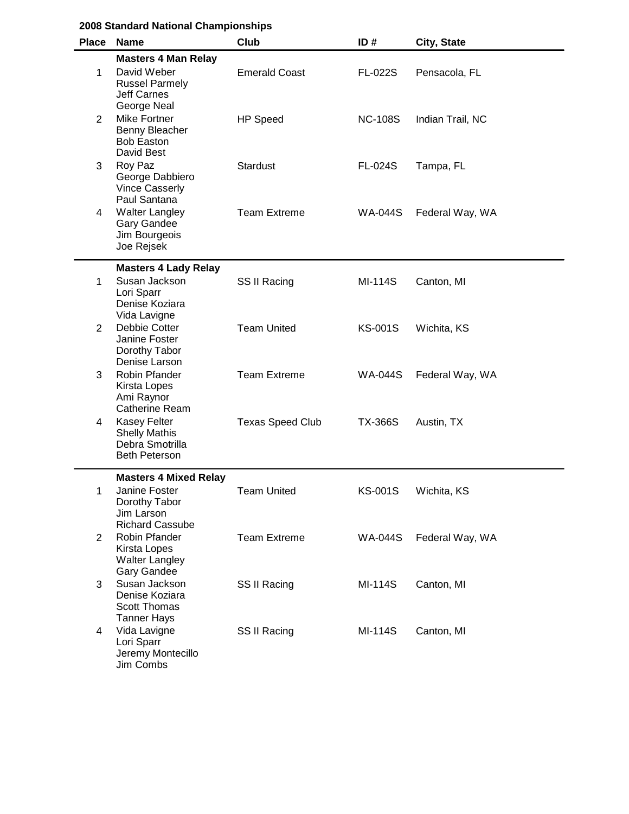|                | 2008 Standard National Championships                                                                    |                         |                |                  |  |  |
|----------------|---------------------------------------------------------------------------------------------------------|-------------------------|----------------|------------------|--|--|
|                | Place Name                                                                                              | Club                    | ID#            | City, State      |  |  |
| 1              | <b>Masters 4 Man Relay</b><br>David Weber<br><b>Russel Parmely</b><br><b>Jeff Carnes</b><br>George Neal | <b>Emerald Coast</b>    | <b>FL-022S</b> | Pensacola, FL    |  |  |
| 2              | Mike Fortner<br>Benny Bleacher<br><b>Bob Easton</b><br>David Best                                       | <b>HP Speed</b>         | <b>NC-108S</b> | Indian Trail, NC |  |  |
| 3              | Roy Paz<br>George Dabbiero<br><b>Vince Casserly</b><br>Paul Santana                                     | <b>Stardust</b>         | <b>FL-024S</b> | Tampa, FL        |  |  |
| 4              | <b>Walter Langley</b><br><b>Gary Gandee</b><br>Jim Bourgeois<br>Joe Rejsek                              | <b>Team Extreme</b>     | <b>WA-044S</b> | Federal Way, WA  |  |  |
|                | <b>Masters 4 Lady Relay</b>                                                                             |                         |                |                  |  |  |
| 1              | Susan Jackson<br>Lori Sparr<br>Denise Koziara<br>Vida Lavigne                                           | SS II Racing            | MI-114S        | Canton, MI       |  |  |
| $\overline{2}$ | Debbie Cotter<br>Janine Foster<br>Dorothy Tabor<br>Denise Larson                                        | <b>Team United</b>      | <b>KS-001S</b> | Wichita, KS      |  |  |
| 3              | Robin Pfander<br>Kirsta Lopes<br>Ami Raynor<br><b>Catherine Ream</b>                                    | <b>Team Extreme</b>     | <b>WA-044S</b> | Federal Way, WA  |  |  |
| 4              | <b>Kasey Felter</b><br><b>Shelly Mathis</b><br>Debra Smotrilla<br><b>Beth Peterson</b>                  | <b>Texas Speed Club</b> | <b>TX-366S</b> | Austin, TX       |  |  |
| 1              | <b>Masters 4 Mixed Relay</b><br>Janine Foster<br>Dorothy Tabor<br>Jim Larson<br><b>Richard Cassube</b>  | <b>Team United</b>      | <b>KS-001S</b> | Wichita, KS      |  |  |
| 2              | Robin Pfander<br>Kirsta Lopes<br><b>Walter Langley</b><br><b>Gary Gandee</b>                            | <b>Team Extreme</b>     | <b>WA-044S</b> | Federal Way, WA  |  |  |
| 3              | Susan Jackson<br>Denise Koziara<br><b>Scott Thomas</b><br><b>Tanner Hays</b>                            | SS II Racing            | MI-114S        | Canton, MI       |  |  |
| 4              | Vida Lavigne<br>Lori Sparr<br>Jeremy Montecillo<br>Jim Combs                                            | SS II Racing            | MI-114S        | Canton, MI       |  |  |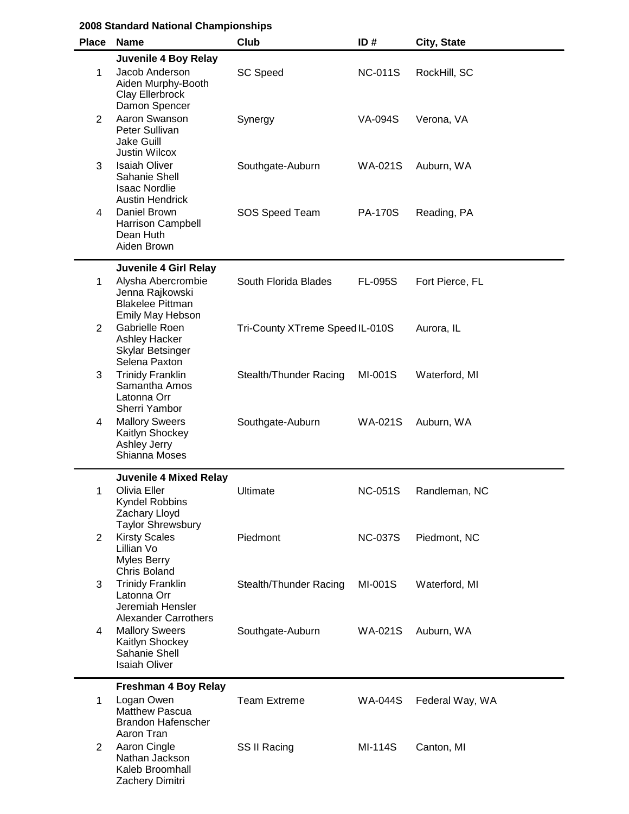| <b>Place</b>   | <b>Name</b>                                                                               | Club                            | ID#            | City, State     |
|----------------|-------------------------------------------------------------------------------------------|---------------------------------|----------------|-----------------|
|                | Juvenile 4 Boy Relay                                                                      |                                 |                |                 |
| 1              | Jacob Anderson<br>Aiden Murphy-Booth<br>Clay Ellerbrock<br>Damon Spencer                  | <b>SC Speed</b>                 | <b>NC-011S</b> | RockHill, SC    |
| 2              | Aaron Swanson<br>Peter Sullivan<br>Jake Guill<br><b>Justin Wilcox</b>                     | Synergy                         | VA-094S        | Verona, VA      |
| 3              | <b>Isaiah Oliver</b><br>Sahanie Shell<br><b>Isaac Nordlie</b><br><b>Austin Hendrick</b>   | Southgate-Auburn                | <b>WA-021S</b> | Auburn, WA      |
| 4              | Daniel Brown<br><b>Harrison Campbell</b><br>Dean Huth<br>Aiden Brown                      | SOS Speed Team                  | <b>PA-170S</b> | Reading, PA     |
|                | Juvenile 4 Girl Relay                                                                     |                                 |                |                 |
| 1              | Alysha Abercrombie<br>Jenna Rajkowski<br><b>Blakelee Pittman</b><br>Emily May Hebson      | South Florida Blades            | <b>FL-095S</b> | Fort Pierce, FL |
| 2              | Gabrielle Roen<br><b>Ashley Hacker</b><br>Skylar Betsinger<br>Selena Paxton               | Tri-County XTreme Speed IL-010S |                | Aurora, IL      |
| 3              | <b>Trinidy Franklin</b><br>Samantha Amos<br>Latonna Orr<br>Sherri Yambor                  | Stealth/Thunder Racing          | MI-001S        | Waterford, MI   |
| 4              | <b>Mallory Sweers</b><br>Kaitlyn Shockey<br>Ashley Jerry<br>Shianna Moses                 | Southgate-Auburn                | <b>WA-021S</b> | Auburn, WA      |
|                | <b>Juvenile 4 Mixed Relay</b>                                                             |                                 |                |                 |
| 1              | Olivia Eller<br>Kyndel Robbins<br>Zachary Lloyd<br><b>Taylor Shrewsbury</b>               | Ultimate                        | <b>NC-051S</b> | Randleman, NC   |
| $\overline{2}$ | <b>Kirsty Scales</b><br>Lillian Vo<br><b>Myles Berry</b><br><b>Chris Boland</b>           | Piedmont                        | <b>NC-037S</b> | Piedmont, NC    |
| 3              | <b>Trinidy Franklin</b><br>Latonna Orr<br>Jeremiah Hensler<br><b>Alexander Carrothers</b> | Stealth/Thunder Racing          | MI-001S        | Waterford, MI   |
| 4              | <b>Mallory Sweers</b><br>Kaitlyn Shockey<br>Sahanie Shell<br><b>Isaiah Oliver</b>         | Southgate-Auburn                | <b>WA-021S</b> | Auburn, WA      |
|                | <b>Freshman 4 Boy Relay</b>                                                               |                                 |                |                 |
| 1              | Logan Owen<br><b>Matthew Pascua</b><br><b>Brandon Hafenscher</b><br>Aaron Tran            | <b>Team Extreme</b>             | <b>WA-044S</b> | Federal Way, WA |
| $\overline{2}$ | Aaron Cingle<br>Nathan Jackson<br>Kaleb Broomhall<br>Zachery Dimitri                      | SS II Racing                    | <b>MI-114S</b> | Canton, MI      |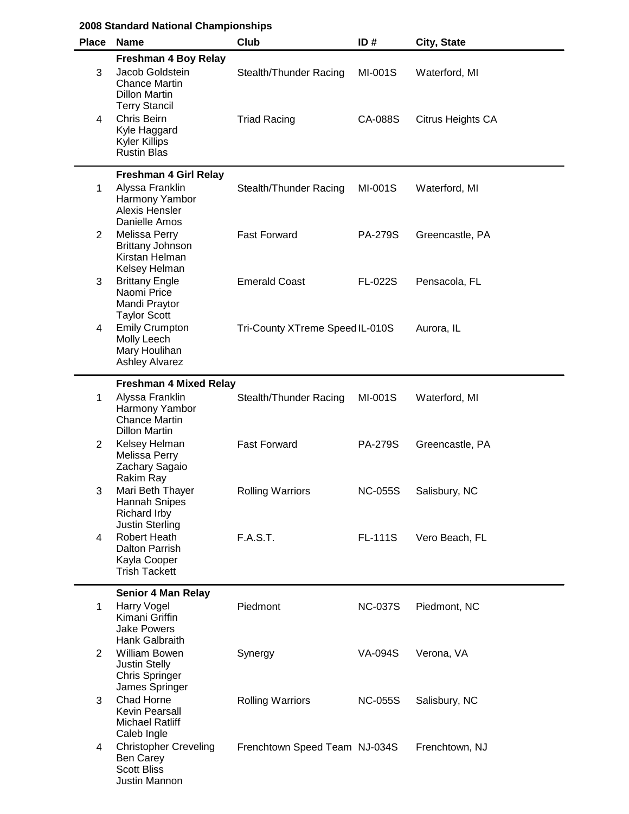|                | 2008 Standard National Championships                                                                     |                                 |                |                   |  |  |
|----------------|----------------------------------------------------------------------------------------------------------|---------------------------------|----------------|-------------------|--|--|
| <b>Place</b>   | <b>Name</b>                                                                                              | Club                            | ID#            | City, State       |  |  |
| 3              | <b>Freshman 4 Boy Relay</b><br>Jacob Goldstein<br><b>Chance Martin</b><br><b>Dillon Martin</b>           | Stealth/Thunder Racing          | MI-001S        | Waterford, MI     |  |  |
| 4              | <b>Terry Stancil</b><br><b>Chris Beirn</b><br>Kyle Haggard<br><b>Kyler Killips</b><br><b>Rustin Blas</b> | <b>Triad Racing</b>             | CA-088S        | Citrus Heights CA |  |  |
|                | <b>Freshman 4 Girl Relay</b>                                                                             |                                 |                |                   |  |  |
| 1              | Alyssa Franklin<br>Harmony Yambor<br>Alexis Hensler<br>Danielle Amos                                     | Stealth/Thunder Racing          | MI-001S        | Waterford, MI     |  |  |
| 2              | <b>Melissa Perry</b><br><b>Brittany Johnson</b><br>Kirstan Helman<br>Kelsey Helman                       | <b>Fast Forward</b>             | <b>PA-279S</b> | Greencastle, PA   |  |  |
| 3              | <b>Brittany Engle</b><br>Naomi Price<br>Mandi Praytor<br><b>Taylor Scott</b>                             | <b>Emerald Coast</b>            | <b>FL-022S</b> | Pensacola, FL     |  |  |
| 4              | <b>Emily Crumpton</b><br>Molly Leech<br>Mary Houlihan<br><b>Ashley Alvarez</b>                           | Tri-County XTreme Speed IL-010S |                | Aurora, IL        |  |  |
|                | <b>Freshman 4 Mixed Relay</b>                                                                            |                                 |                |                   |  |  |
| 1              | Alyssa Franklin<br>Harmony Yambor<br><b>Chance Martin</b><br><b>Dillon Martin</b>                        | Stealth/Thunder Racing          | MI-001S        | Waterford, MI     |  |  |
| $\overline{c}$ | Kelsey Helman<br>Melissa Perry<br>Zachary Sagaio<br>Rakim Ray                                            | <b>Fast Forward</b>             | <b>PA-279S</b> | Greencastle, PA   |  |  |
| 3              | Mari Beth Thayer<br><b>Hannah Snipes</b><br><b>Richard Irby</b><br><b>Justin Sterling</b>                | <b>Rolling Warriors</b>         | <b>NC-055S</b> | Salisbury, NC     |  |  |
| 4              | Robert Heath<br>Dalton Parrish<br>Kayla Cooper<br><b>Trish Tackett</b>                                   | <b>F.A.S.T.</b>                 | <b>FL-111S</b> | Vero Beach, FL    |  |  |
| 1              | <b>Senior 4 Man Relay</b><br><b>Harry Vogel</b>                                                          | Piedmont                        | <b>NC-037S</b> | Piedmont, NC      |  |  |
|                | Kimani Griffin<br><b>Jake Powers</b><br>Hank Galbraith                                                   |                                 |                |                   |  |  |
| $\overline{2}$ | <b>William Bowen</b><br><b>Justin Stelly</b><br><b>Chris Springer</b><br>James Springer                  | Synergy                         | <b>VA-094S</b> | Verona, VA        |  |  |
| 3              | Chad Horne<br>Kevin Pearsall<br><b>Michael Ratliff</b><br>Caleb Ingle                                    | <b>Rolling Warriors</b>         | <b>NC-055S</b> | Salisbury, NC     |  |  |
| 4              | <b>Christopher Creveling</b><br>Ben Carey<br><b>Scott Bliss</b><br>Justin Mannon                         | Frenchtown Speed Team NJ-034S   |                | Frenchtown, NJ    |  |  |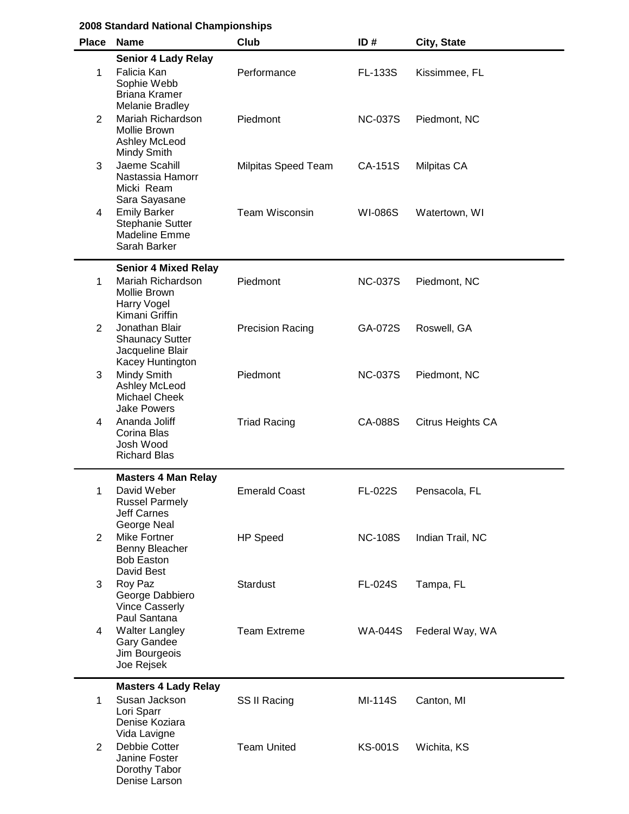| 2008 Standard National Championships |  |
|--------------------------------------|--|
|--------------------------------------|--|

| <b>Place</b>   | <b>Name</b>                                                                                              | Club                       | ID#            | City, State       |
|----------------|----------------------------------------------------------------------------------------------------------|----------------------------|----------------|-------------------|
| 1              | <b>Senior 4 Lady Relay</b><br>Falicia Kan<br>Sophie Webb<br><b>Briana Kramer</b><br>Melanie Bradley      | Performance                | <b>FL-133S</b> | Kissimmee, FL     |
| $\overline{2}$ | Mariah Richardson<br>Mollie Brown<br>Ashley McLeod<br>Mindy Smith                                        | Piedmont                   | <b>NC-037S</b> | Piedmont, NC      |
| 3              | Jaeme Scahill<br>Nastassia Hamorr<br>Micki Ream<br>Sara Sayasane                                         | <b>Milpitas Speed Team</b> | CA-151S        | Milpitas CA       |
| 4              | <b>Emily Barker</b><br><b>Stephanie Sutter</b><br><b>Madeline Emme</b><br>Sarah Barker                   | <b>Team Wisconsin</b>      | <b>WI-086S</b> | Watertown, WI     |
| 1              | <b>Senior 4 Mixed Relay</b><br>Mariah Richardson<br>Mollie Brown<br><b>Harry Vogel</b><br>Kimani Griffin | Piedmont                   | <b>NC-037S</b> | Piedmont, NC      |
| 2              | Jonathan Blair<br><b>Shaunacy Sutter</b><br>Jacqueline Blair<br>Kacey Huntington                         | <b>Precision Racing</b>    | GA-072S        | Roswell, GA       |
| 3              | Mindy Smith<br>Ashley McLeod<br><b>Michael Cheek</b><br><b>Jake Powers</b>                               | Piedmont                   | <b>NC-037S</b> | Piedmont, NC      |
| 4              | Ananda Joliff<br>Corina Blas<br>Josh Wood<br><b>Richard Blas</b>                                         | <b>Triad Racing</b>        | CA-088S        | Citrus Heights CA |
| 1              | <b>Masters 4 Man Relay</b><br>David Weber<br><b>Russel Parmely</b><br><b>Jeff Carnes</b><br>George Neal  | <b>Emerald Coast</b>       | FL-022S        | Pensacola, FL     |
| $\overline{2}$ | <b>Mike Fortner</b><br>Benny Bleacher<br><b>Bob Easton</b><br>David Best                                 | HP Speed                   | <b>NC-108S</b> | Indian Trail, NC  |
| 3              | Roy Paz<br>George Dabbiero<br><b>Vince Casserly</b><br>Paul Santana                                      | <b>Stardust</b>            | <b>FL-024S</b> | Tampa, FL         |
| 4              | <b>Walter Langley</b><br>Gary Gandee<br>Jim Bourgeois<br>Joe Rejsek                                      | <b>Team Extreme</b>        | <b>WA-044S</b> | Federal Way, WA   |
| $\mathbf{1}$   | <b>Masters 4 Lady Relay</b><br>Susan Jackson<br>Lori Sparr<br>Denise Koziara<br>Vida Lavigne             | SS II Racing               | MI-114S        | Canton, MI        |
| $\overline{2}$ | Debbie Cotter<br>Janine Foster<br>Dorothy Tabor<br>Denise Larson                                         | <b>Team United</b>         | <b>KS-001S</b> | Wichita, KS       |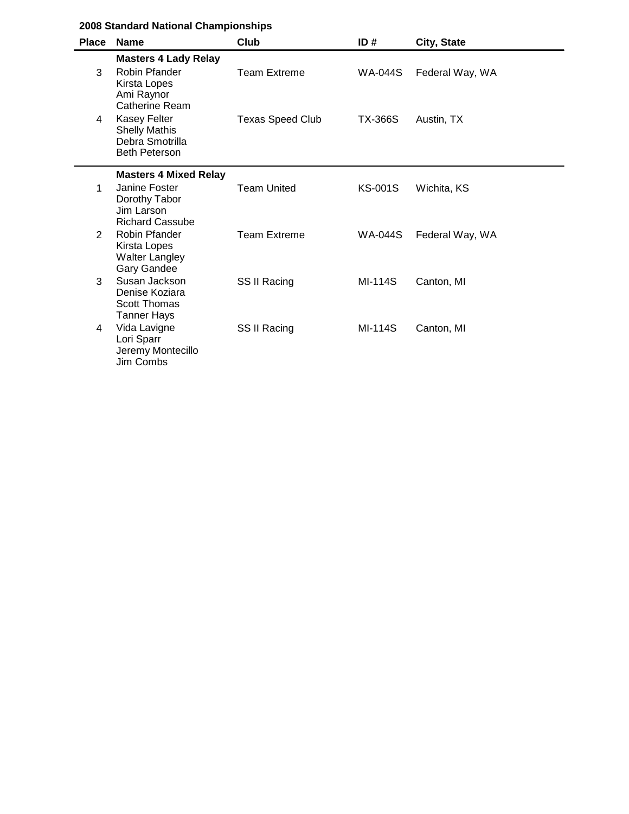|              | 2008 Standard National Championships                                                                            |                         |                |                 |
|--------------|-----------------------------------------------------------------------------------------------------------------|-------------------------|----------------|-----------------|
| <b>Place</b> | <b>Name</b>                                                                                                     | Club                    | ID#            | City, State     |
| 3            | <b>Masters 4 Lady Relay</b><br>Robin Pfander<br>Kirsta Lopes<br>Ami Raynor                                      | <b>Team Extreme</b>     | <b>WA-044S</b> | Federal Way, WA |
| 4            | <b>Catherine Ream</b><br><b>Kasey Felter</b><br><b>Shelly Mathis</b><br>Debra Smotrilla<br><b>Beth Peterson</b> | <b>Texas Speed Club</b> | <b>TX-366S</b> | Austin, TX      |
| 1            | <b>Masters 4 Mixed Relay</b><br>Janine Foster<br>Dorothy Tabor<br>Jim Larson                                    | <b>Team United</b>      | KS-001S        | Wichita, KS     |
| 2            | <b>Richard Cassube</b><br>Robin Pfander<br>Kirsta Lopes<br><b>Walter Langley</b><br><b>Gary Gandee</b>          | <b>Team Extreme</b>     | <b>WA-044S</b> | Federal Way, WA |
| 3            | Susan Jackson<br>Denise Koziara<br><b>Scott Thomas</b><br><b>Tanner Hays</b>                                    | SS II Racing            | <b>MI-114S</b> | Canton, MI      |
| 4            | Vida Lavigne<br>Lori Sparr<br>Jeremy Montecillo<br>Jim Combs                                                    | SS II Racing            | <b>MI-114S</b> | Canton, MI      |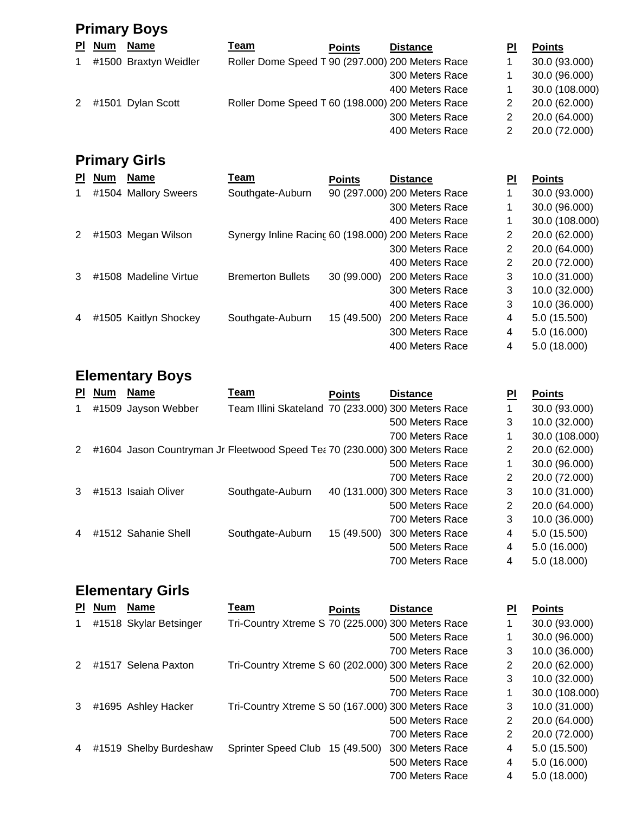|             | <b>Primary Boys</b> |                       |                                                  |               |                 |    |                |  |  |  |
|-------------|---------------------|-----------------------|--------------------------------------------------|---------------|-----------------|----|----------------|--|--|--|
|             | PI Num              | <b>Name</b>           | <u>Team</u>                                      | <b>Points</b> | <b>Distance</b> | ΡI | <b>Points</b>  |  |  |  |
| $\mathbf 1$ |                     | #1500 Braxtyn Weidler | Roller Dome Speed T 90 (297.000) 200 Meters Race |               |                 |    | 30.0 (93.000)  |  |  |  |
|             |                     |                       |                                                  |               | 300 Meters Race |    | 30.0 (96.000)  |  |  |  |
|             |                     |                       |                                                  |               | 400 Meters Race |    | 30.0 (108.000) |  |  |  |
|             |                     | 2 #1501 Dylan Scott   | Roller Dome Speed T 60 (198.000) 200 Meters Race |               |                 | 2  | 20.0 (62.000)  |  |  |  |
|             |                     |                       |                                                  |               | 300 Meters Race |    | 20.0 (64.000)  |  |  |  |
|             |                     |                       |                                                  |               | 400 Meters Race | 2  | 20.0 (72.000)  |  |  |  |
|             |                     |                       |                                                  |               |                 |    |                |  |  |  |

## **Primary Girls**

| <b>PI</b>      | <b>Num</b> | <b>Name</b>           | Team                                               | <b>Points</b> | <b>Distance</b>              | PI             | <b>Points</b>  |
|----------------|------------|-----------------------|----------------------------------------------------|---------------|------------------------------|----------------|----------------|
|                |            | #1504 Mallory Sweers  | Southgate-Auburn                                   |               | 90 (297.000) 200 Meters Race |                | 30.0 (93.000)  |
|                |            |                       |                                                    |               | 300 Meters Race              | 1              | 30.0 (96.000)  |
|                |            |                       |                                                    |               | 400 Meters Race              | 1              | 30.0 (108.000) |
| 2              |            | #1503 Megan Wilson    | Synergy Inline Racing 60 (198.000) 200 Meters Race |               |                              | $\overline{2}$ | 20.0 (62.000)  |
|                |            |                       |                                                    |               | 300 Meters Race              | 2              | 20.0 (64.000)  |
|                |            |                       |                                                    |               | 400 Meters Race              | 2              | 20.0 (72.000)  |
| 3              |            | #1508 Madeline Virtue | <b>Bremerton Bullets</b>                           | 30 (99.000)   | 200 Meters Race              | 3              | 10.0 (31.000)  |
|                |            |                       |                                                    |               | 300 Meters Race              | 3              | 10.0 (32.000)  |
|                |            |                       |                                                    |               | 400 Meters Race              | 3              | 10.0 (36.000)  |
| $\overline{4}$ |            | #1505 Kaitlyn Shockey | Southgate-Auburn                                   | 15 (49.500)   | 200 Meters Race              | 4              | 5.0 (15.500)   |
|                |            |                       |                                                    |               | 300 Meters Race              | 4              | 5.0 (16.000)   |
|                |            |                       |                                                    |               | 400 Meters Race              | 4              | 5.0 (18.000)   |

### **Elementary Boys**

| <b>PI</b> | <b>Num</b> | <b>Name</b>                                                                | Team                                               | <b>Points</b> | <b>Distance</b>              | ΡI             | <b>Points</b>  |
|-----------|------------|----------------------------------------------------------------------------|----------------------------------------------------|---------------|------------------------------|----------------|----------------|
| 1         |            | #1509 Jayson Webber                                                        | Team Illini Skateland 70 (233.000) 300 Meters Race |               |                              |                | 30.0 (93.000)  |
|           |            |                                                                            |                                                    |               | 500 Meters Race              | 3              | 10.0 (32.000)  |
|           |            |                                                                            |                                                    |               | 700 Meters Race              |                | 30.0 (108.000) |
| 2         |            | #1604 Jason Countryman Jr Fleetwood Speed Tea 70 (230.000) 300 Meters Race |                                                    |               |                              | 2              | 20.0 (62.000)  |
|           |            |                                                                            |                                                    |               | 500 Meters Race              |                | 30.0 (96.000)  |
|           |            |                                                                            |                                                    |               | 700 Meters Race              | $\overline{2}$ | 20.0 (72.000)  |
| 3         |            | #1513 Isaiah Oliver                                                        | Southgate-Auburn                                   |               | 40 (131.000) 300 Meters Race | 3              | 10.0 (31.000)  |
|           |            |                                                                            |                                                    |               | 500 Meters Race              | 2              | 20.0 (64.000)  |
|           |            |                                                                            |                                                    |               | 700 Meters Race              | 3              | 10.0 (36.000)  |
| 4         |            | #1512 Sahanie Shell                                                        | Southgate-Auburn                                   | 15 (49.500)   | 300 Meters Race              | 4              | 5.0(15.500)    |
|           |            |                                                                            |                                                    |               | 500 Meters Race              | 4              | 5.0 (16.000)   |
|           |            |                                                                            |                                                    |               | 700 Meters Race              | 4              | 5.0(18.000)    |
|           |            |                                                                            |                                                    |               |                              |                |                |

# **Elementary Girls**

| ΡI | <b>Num</b> | <b>Name</b>            | Team                                              | <b>Points</b> | <b>Distance</b> | PI | <b>Points</b>  |
|----|------------|------------------------|---------------------------------------------------|---------------|-----------------|----|----------------|
| 1  |            | #1518 Skylar Betsinger | Tri-Country Xtreme S 70 (225.000) 300 Meters Race |               |                 |    | 30.0 (93.000)  |
|    |            |                        |                                                   |               | 500 Meters Race |    | 30.0 (96.000)  |
|    |            |                        |                                                   |               | 700 Meters Race | 3  | 10.0 (36.000)  |
| 2  |            | #1517 Selena Paxton    | Tri-Country Xtreme S 60 (202.000) 300 Meters Race |               |                 | 2  | 20.0 (62.000)  |
|    |            |                        |                                                   |               | 500 Meters Race | 3  | 10.0 (32.000)  |
|    |            |                        |                                                   |               | 700 Meters Race | 1  | 30.0 (108.000) |
| 3  |            | #1695 Ashley Hacker    | Tri-Country Xtreme S 50 (167.000) 300 Meters Race |               |                 | 3  | 10.0 (31.000)  |
|    |            |                        |                                                   |               | 500 Meters Race | 2  | 20.0 (64.000)  |
|    |            |                        |                                                   |               | 700 Meters Race | 2  | 20.0 (72.000)  |
| 4  |            | #1519 Shelby Burdeshaw | <b>Sprinter Speed Club</b>                        | 15 (49.500)   | 300 Meters Race | 4  | 5.0 (15.500)   |
|    |            |                        |                                                   |               | 500 Meters Race | 4  | 5.0 (16.000)   |
|    |            |                        |                                                   |               | 700 Meters Race | 4  | 5.0(18.000)    |
|    |            |                        |                                                   |               |                 |    |                |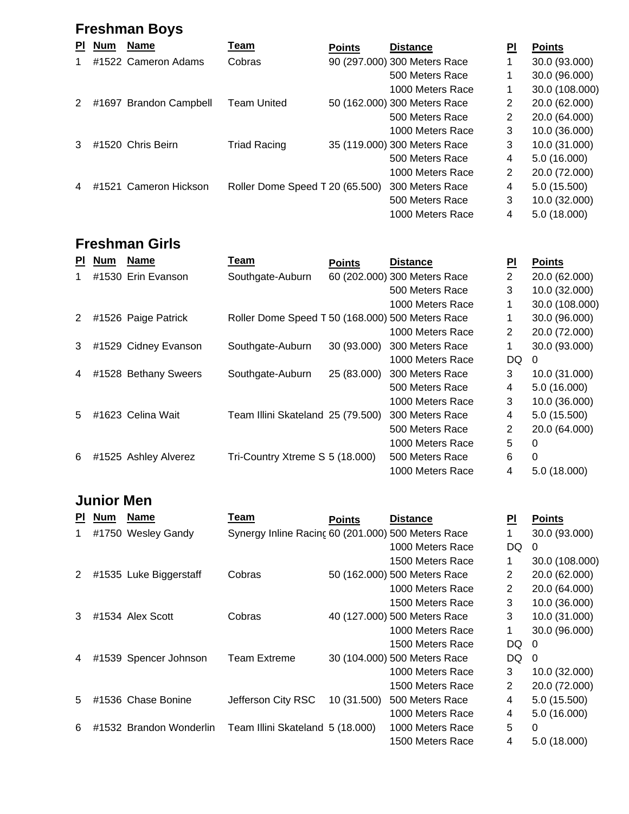## **Freshman Boys**

| <b>PI</b> | <b>Num</b> | <b>Name</b>            | Team                            | <b>Points</b> | <b>Distance</b>              | PI             | <b>Points</b>  |
|-----------|------------|------------------------|---------------------------------|---------------|------------------------------|----------------|----------------|
|           |            | #1522 Cameron Adams    | Cobras                          |               | 90 (297.000) 300 Meters Race |                | 30.0 (93.000)  |
|           |            |                        |                                 |               | 500 Meters Race              |                | 30.0 (96.000)  |
|           |            |                        |                                 |               | 1000 Meters Race             |                | 30.0 (108.000) |
| 2         |            | #1697 Brandon Campbell | <b>Team United</b>              |               | 50 (162.000) 300 Meters Race | $\overline{2}$ | 20.0 (62.000)  |
|           |            |                        |                                 |               | 500 Meters Race              | $\overline{2}$ | 20.0 (64.000)  |
|           |            |                        |                                 |               | 1000 Meters Race             | 3              | 10.0 (36.000)  |
| 3         |            | #1520 Chris Beirn      | <b>Triad Racing</b>             |               | 35 (119.000) 300 Meters Race | 3              | 10.0 (31.000)  |
|           |            |                        |                                 |               | 500 Meters Race              | 4              | 5.0 (16.000)   |
|           |            |                        |                                 |               | 1000 Meters Race             | 2              | 20.0 (72.000)  |
| 4         |            | #1521 Cameron Hickson  | Roller Dome Speed T 20 (65.500) |               | 300 Meters Race              | 4              | 5.0(15.500)    |
|           |            |                        |                                 |               | 500 Meters Race              | 3              | 10.0 (32.000)  |
|           |            |                        |                                 |               | 1000 Meters Race             | 4              | 5.0(18.000)    |

### **Freshman Girls**

| PI. | <b>Num</b> | <b>Name</b>          | Team                                             | <b>Points</b> | <b>Distance</b>              | <b>PI</b>    | <b>Points</b>  |
|-----|------------|----------------------|--------------------------------------------------|---------------|------------------------------|--------------|----------------|
| 1   |            | #1530 Erin Evanson   | Southgate-Auburn                                 |               | 60 (202.000) 300 Meters Race | 2            | 20.0 (62.000)  |
|     |            |                      |                                                  |               | 500 Meters Race              | 3            | 10.0 (32.000)  |
|     |            |                      |                                                  |               | 1000 Meters Race             | 1            | 30.0 (108.000) |
| 2   |            | #1526 Paige Patrick  | Roller Dome Speed T 50 (168.000) 500 Meters Race |               |                              |              | 30.0 (96.000)  |
|     |            |                      |                                                  |               | 1000 Meters Race             | 2            | 20.0 (72.000)  |
| 3   |            | #1529 Cidney Evanson | Southgate-Auburn                                 | 30 (93.000)   | 300 Meters Race              | $\mathbf{1}$ | 30.0 (93.000)  |
|     |            |                      |                                                  |               | 1000 Meters Race             | DQ.          | 0              |
| 4   |            | #1528 Bethany Sweers | Southgate-Auburn                                 | 25 (83.000)   | 300 Meters Race              | 3            | 10.0 (31.000)  |
|     |            |                      |                                                  |               | 500 Meters Race              | 4            | 5.0 (16.000)   |
|     |            |                      |                                                  |               | 1000 Meters Race             | 3            | 10.0 (36.000)  |
| 5   |            | #1623 Celina Wait    | Team Illini Skateland 25 (79.500)                |               | 300 Meters Race              | 4            | 5.0 (15.500)   |
|     |            |                      |                                                  |               | 500 Meters Race              | 2            | 20.0 (64.000)  |
|     |            |                      |                                                  |               | 1000 Meters Race             | 5            | 0              |
| 6   |            | #1525 Ashley Alverez | Tri-Country Xtreme S 5 (18.000)                  |               | 500 Meters Race              | 6            | $\Omega$       |
|     |            |                      |                                                  |               | 1000 Meters Race             | 4            | 5.0 (18.000)   |

#### **Junior Men**

| PI.            | <u>Num</u> | <b>Name</b>             | Team                                               | <b>Points</b> | <b>Distance</b>              | <b>PI</b> | <b>Points</b>  |
|----------------|------------|-------------------------|----------------------------------------------------|---------------|------------------------------|-----------|----------------|
| 1.             |            | #1750 Wesley Gandy      | Synergy Inline Racing 60 (201.000) 500 Meters Race |               |                              | 1         | 30.0 (93.000)  |
|                |            |                         |                                                    |               | 1000 Meters Race             | DQ.       | $\Omega$       |
|                |            |                         |                                                    |               | 1500 Meters Race             |           | 30.0 (108.000) |
| $\overline{2}$ |            | #1535 Luke Biggerstaff  | Cobras                                             |               | 50 (162.000) 500 Meters Race | 2         | 20.0 (62.000)  |
|                |            |                         |                                                    |               | 1000 Meters Race             | 2         | 20.0 (64.000)  |
|                |            |                         |                                                    |               | 1500 Meters Race             | 3         | 10.0 (36.000)  |
| 3              |            | #1534 Alex Scott        | Cobras                                             |               | 40 (127.000) 500 Meters Race | 3         | 10.0 (31.000)  |
|                |            |                         |                                                    |               | 1000 Meters Race             | 1         | 30.0 (96.000)  |
|                |            |                         |                                                    |               | 1500 Meters Race             | DQ.       | $\Omega$       |
| 4              |            | #1539 Spencer Johnson   | Team Extreme                                       |               | 30 (104.000) 500 Meters Race | DQ        | 0              |
|                |            |                         |                                                    |               | 1000 Meters Race             | 3         | 10.0 (32.000)  |
|                |            |                         |                                                    |               | 1500 Meters Race             | 2         | 20.0 (72.000)  |
| 5              |            | #1536 Chase Bonine      | Jefferson City RSC                                 | 10 (31.500)   | 500 Meters Race              | 4         | 5.0 (15.500)   |
|                |            |                         |                                                    |               | 1000 Meters Race             | 4         | 5.0(16.000)    |
| 6              |            | #1532 Brandon Wonderlin | Team Illini Skateland 5 (18.000)                   |               | 1000 Meters Race             | 5         | 0              |
|                |            |                         |                                                    |               | 1500 Meters Race             | 4         | 5.0 (18.000)   |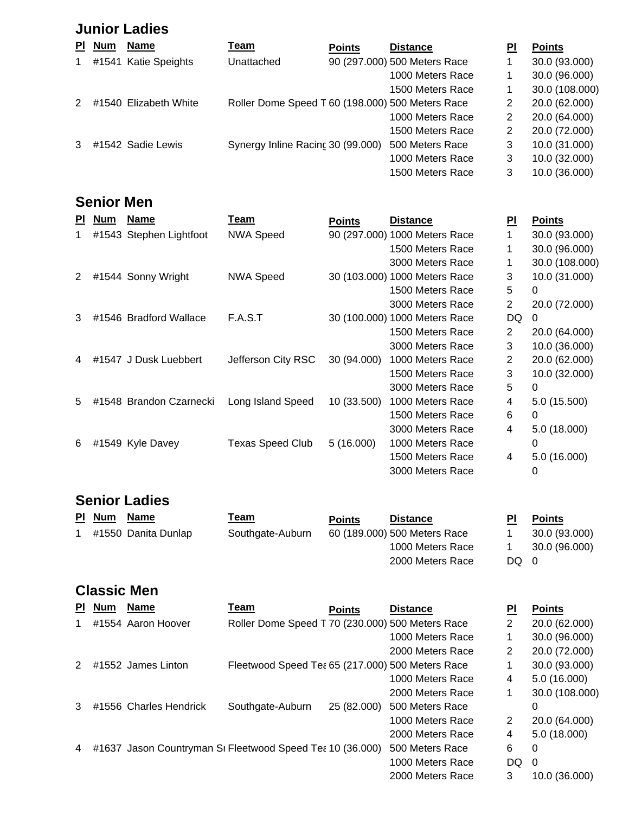#### **Junior Ladies**

| <b>PI</b>     | <b>Num</b> | <b>Name</b>           | <u>Team</u>                                      | <b>Points</b> | <b>Distance</b>              | PI                    | <b>Points</b>  |
|---------------|------------|-----------------------|--------------------------------------------------|---------------|------------------------------|-----------------------|----------------|
| $\mathbf{1}$  |            | #1541 Katie Speights  | Unattached                                       |               | 90 (297.000) 500 Meters Race |                       | 30.0 (93.000)  |
|               |            |                       |                                                  |               | 1000 Meters Race             |                       | 30.0 (96.000)  |
|               |            |                       |                                                  |               | 1500 Meters Race             |                       | 30.0 (108.000) |
| $\mathcal{P}$ |            | #1540 Elizabeth White | Roller Dome Speed T 60 (198.000) 500 Meters Race |               |                              | $\mathbf{2}^{\prime}$ | 20.0 (62.000)  |
|               |            |                       |                                                  |               | 1000 Meters Race             | 2                     | 20.0 (64.000)  |
|               |            |                       |                                                  |               | 1500 Meters Race             | 2                     | 20.0 (72.000)  |
| 3             |            | #1542 Sadie Lewis     | Synergy Inline Racing 30 (99.000)                |               | 500 Meters Race              | 3                     | 10.0 (31.000)  |
|               |            |                       |                                                  |               | 1000 Meters Race             | 3                     | 10.0 (32.000)  |
|               |            |                       |                                                  |               | 1500 Meters Race             | 3                     | 10.0 (36.000)  |

### **Senior Men**

| <b>PI</b> | <b>Num</b> | <b>Name</b>             | Team                    | <b>Points</b> | <b>Distance</b>               | <b>PI</b> | <b>Points</b>  |
|-----------|------------|-------------------------|-------------------------|---------------|-------------------------------|-----------|----------------|
| 1         |            | #1543 Stephen Lightfoot | <b>NWA Speed</b>        |               | 90 (297.000) 1000 Meters Race |           | 30.0 (93.000)  |
|           |            |                         |                         |               | 1500 Meters Race              |           | 30.0 (96.000)  |
|           |            |                         |                         |               | 3000 Meters Race              |           | 30.0 (108.000) |
| 2         |            | #1544 Sonny Wright      | <b>NWA Speed</b>        |               | 30 (103.000) 1000 Meters Race | 3         | 10.0 (31.000)  |
|           |            |                         |                         |               | 1500 Meters Race              | 5         | 0              |
|           |            |                         |                         |               | 3000 Meters Race              | 2         | 20.0 (72.000)  |
| 3         |            | #1546 Bradford Wallace  | F.A.S.T                 |               | 30 (100.000) 1000 Meters Race | DQ        | 0              |
|           |            |                         |                         |               | 1500 Meters Race              | 2         | 20.0 (64.000)  |
|           |            |                         |                         |               | 3000 Meters Race              | 3         | 10.0 (36.000)  |
| 4         |            | #1547 J Dusk Luebbert   | Jefferson City RSC      | 30 (94.000)   | 1000 Meters Race              | 2         | 20.0 (62.000)  |
|           |            |                         |                         |               | 1500 Meters Race              | 3         | 10.0 (32.000)  |
|           |            |                         |                         |               | 3000 Meters Race              | 5         | 0              |
| 5         |            | #1548 Brandon Czarnecki | Long Island Speed       | 10 (33.500)   | 1000 Meters Race              | 4         | 5.0 (15.500)   |
|           |            |                         |                         |               | 1500 Meters Race              | 6         | 0              |
|           |            |                         |                         |               | 3000 Meters Race              | 4         | 5.0 (18.000)   |
| 6         |            | #1549 Kyle Davey        | <b>Texas Speed Club</b> | 5(16.000)     | 1000 Meters Race              |           | 0              |
|           |            |                         |                         |               | 1500 Meters Race              | 4         | 5.0 (16.000)   |
|           |            |                         |                         |               | 3000 Meters Race              |           | 0              |

#### **Senior Ladies**

| PI Num | <b>Name</b>         | Team             | <b>Points</b> | <b>Distance</b>              | ΡI  | <b>Points</b> |
|--------|---------------------|------------------|---------------|------------------------------|-----|---------------|
|        | #1550 Danita Dunlap | Southgate-Auburn |               | 60 (189.000) 500 Meters Race |     | 30.0 (93.000) |
|        |                     |                  |               | 1000 Meters Race             |     | 30.0 (96.000) |
|        |                     |                  |               | 2000 Meters Race             | DQ. |               |

### **Classic Men**

| ΡI | <b>Num</b> | <b>Name</b>            | Team                                                      | <b>Points</b> | <b>Distance</b>  | PI             | <b>Points</b>  |
|----|------------|------------------------|-----------------------------------------------------------|---------------|------------------|----------------|----------------|
|    |            | #1554 Aaron Hoover     | Roller Dome Speed T 70 (230.000) 500 Meters Race          |               |                  | $\overline{2}$ | 20.0 (62.000)  |
|    |            |                        |                                                           |               | 1000 Meters Race |                | 30.0 (96.000)  |
|    |            |                        |                                                           |               | 2000 Meters Race | 2              | 20.0 (72.000)  |
| 2  |            | #1552 James Linton     | Fleetwood Speed Tea 65 (217.000) 500 Meters Race          |               |                  |                | 30.0 (93.000)  |
|    |            |                        |                                                           |               | 1000 Meters Race | 4              | 5.0(16.000)    |
|    |            |                        |                                                           |               | 2000 Meters Race |                | 30.0 (108.000) |
| 3  |            | #1556 Charles Hendrick | Southgate-Auburn                                          | 25 (82.000)   | 500 Meters Race  |                | 0              |
|    |            |                        |                                                           |               | 1000 Meters Race | $\overline{2}$ | 20.0 (64.000)  |
|    |            |                        |                                                           |               | 2000 Meters Race | 4              | 5.0(18.000)    |
| 4  |            |                        | #1637 Jason Countryman SI Fleetwood Speed Tea 10 (36.000) |               | 500 Meters Race  | 6              | 0              |
|    |            |                        |                                                           |               | 1000 Meters Race | DQ             | 0              |
|    |            |                        |                                                           |               | 2000 Meters Race | 3              | 10.0 (36.000)  |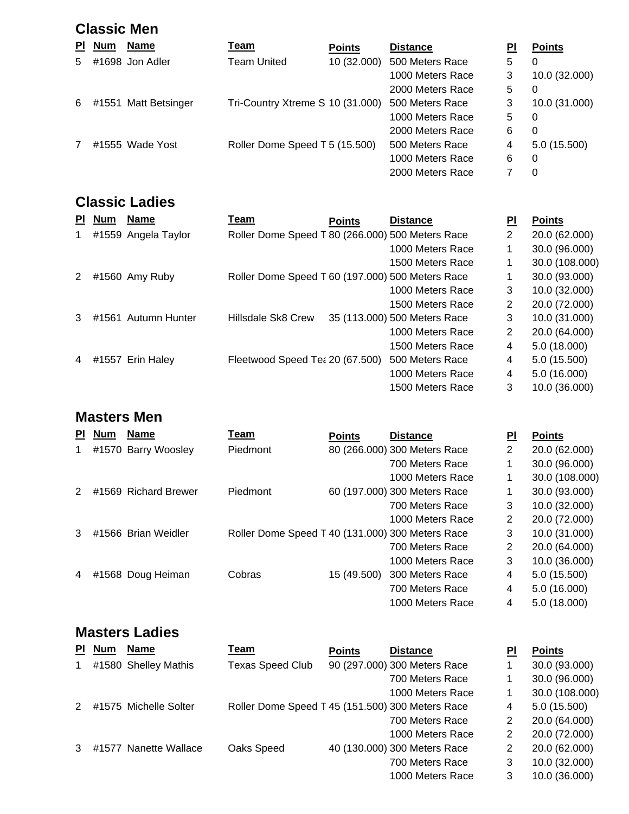|           | <b>Classic Men</b> |                      |                                  |               |                  |    |               |  |  |  |  |
|-----------|--------------------|----------------------|----------------------------------|---------------|------------------|----|---------------|--|--|--|--|
| <b>PI</b> | <b>Num</b>         | <b>Name</b>          | <u>Team</u>                      | <b>Points</b> | <b>Distance</b>  | ΡI | <b>Points</b> |  |  |  |  |
| 5.        |                    | #1698 Jon Adler      | Team United                      | 10 (32.000)   | 500 Meters Race  | 5  | 0             |  |  |  |  |
|           |                    |                      |                                  |               | 1000 Meters Race | 3  | 10.0 (32.000) |  |  |  |  |
|           |                    |                      |                                  |               | 2000 Meters Race | 5  | 0             |  |  |  |  |
| 6         |                    | #1551 Matt Betsinger | Tri-Country Xtreme S 10 (31.000) |               | 500 Meters Race  | 3  | 10.0 (31.000) |  |  |  |  |
|           |                    |                      |                                  |               | 1000 Meters Race | 5  | 0             |  |  |  |  |
|           |                    |                      |                                  |               | 2000 Meters Race | 6  | 0             |  |  |  |  |
|           |                    | #1555 Wade Yost      | Roller Dome Speed T 5 (15.500)   |               | 500 Meters Race  | 4  | 5.0(15.500)   |  |  |  |  |
|           |                    |                      |                                  |               | 1000 Meters Race | 6  | 0             |  |  |  |  |
|           |                    |                      |                                  |               | 2000 Meters Race |    | 0             |  |  |  |  |

### **Classic Ladies**

| <b>PI</b>      | <b>Num</b> | <b>Name</b>         | Team                                             | <b>Points</b> | <b>Distance</b>              | PI             | <b>Points</b>  |
|----------------|------------|---------------------|--------------------------------------------------|---------------|------------------------------|----------------|----------------|
| 1              |            | #1559 Angela Taylor | Roller Dome Speed T 80 (266.000) 500 Meters Race |               |                              | $\overline{2}$ | 20.0 (62.000)  |
|                |            |                     |                                                  |               | 1000 Meters Race             |                | 30.0 (96.000)  |
|                |            |                     |                                                  |               | 1500 Meters Race             |                | 30.0 (108.000) |
| 2              |            | #1560 Amy Ruby      | Roller Dome Speed T 60 (197.000) 500 Meters Race |               |                              |                | 30.0 (93.000)  |
|                |            |                     |                                                  |               | 1000 Meters Race             | 3              | 10.0 (32.000)  |
|                |            |                     |                                                  |               | 1500 Meters Race             | 2              | 20.0 (72.000)  |
| 3              |            | #1561 Autumn Hunter | Hillsdale Sk8 Crew                               |               | 35 (113.000) 500 Meters Race | 3              | 10.0 (31.000)  |
|                |            |                     |                                                  |               | 1000 Meters Race             | 2              | 20.0 (64.000)  |
|                |            |                     |                                                  |               | 1500 Meters Race             | 4              | 5.0(18.000)    |
| $\overline{4}$ |            | #1557 Erin Haley    | Fleetwood Speed Tea 20 (67.500)                  |               | 500 Meters Race              | 4              | 5.0 (15.500)   |
|                |            |                     |                                                  |               | 1000 Meters Race             | 4              | 5.0 (16.000)   |
|                |            |                     |                                                  |               | 1500 Meters Race             | 3              | 10.0 (36.000)  |
|                |            |                     |                                                  |               |                              |                |                |

#### **Masters Men**

| <b>PI</b> | <b>Num</b> | <b>Name</b>          | Team                                             | <b>Points</b> | <b>Distance</b>              | PI             | <b>Points</b>  |
|-----------|------------|----------------------|--------------------------------------------------|---------------|------------------------------|----------------|----------------|
|           |            | #1570 Barry Woosley  | Piedmont                                         |               | 80 (266.000) 300 Meters Race | $\overline{2}$ | 20.0 (62.000)  |
|           |            |                      |                                                  |               | 700 Meters Race              | 1              | 30.0 (96.000)  |
|           |            |                      |                                                  |               | 1000 Meters Race             |                | 30.0 (108.000) |
| 2         |            | #1569 Richard Brewer | Piedmont                                         |               | 60 (197.000) 300 Meters Race |                | 30.0 (93.000)  |
|           |            |                      |                                                  |               | 700 Meters Race              | 3              | 10.0 (32.000)  |
|           |            |                      |                                                  |               | 1000 Meters Race             | 2              | 20.0 (72.000)  |
| 3         |            | #1566 Brian Weidler  | Roller Dome Speed T 40 (131.000) 300 Meters Race |               |                              | 3              | 10.0 (31.000)  |
|           |            |                      |                                                  |               | 700 Meters Race              | 2              | 20.0 (64.000)  |
|           |            |                      |                                                  |               | 1000 Meters Race             | 3              | 10.0 (36.000)  |
| 4         |            | #1568 Doug Heiman    | Cobras                                           | 15 (49.500)   | 300 Meters Race              | 4              | 5.0 (15.500)   |
|           |            |                      |                                                  |               | 700 Meters Race              | 4              | 5.0 (16.000)   |
|           |            |                      |                                                  |               | 1000 Meters Race             | 4              | 5.0 (18.000)   |

### **Masters Ladies**

| ΡI          | <b>Num</b> | <b>Name</b>           | Team                                             | <b>Points</b> | <b>Distance</b>              | PI | <b>Points</b>  |
|-------------|------------|-----------------------|--------------------------------------------------|---------------|------------------------------|----|----------------|
| $\mathbf 1$ |            | #1580 Shelley Mathis  | <b>Texas Speed Club</b>                          |               | 90 (297.000) 300 Meters Race |    | 30.0 (93.000)  |
|             |            |                       |                                                  |               | 700 Meters Race              |    | 30.0 (96.000)  |
|             |            |                       |                                                  |               | 1000 Meters Race             |    | 30.0 (108.000) |
| 2           |            | #1575 Michelle Solter | Roller Dome Speed T 45 (151.500) 300 Meters Race |               |                              | 4  | 5.0(15.500)    |
|             |            |                       |                                                  |               | 700 Meters Race              | 2  | 20.0 (64.000)  |
|             |            |                       |                                                  |               | 1000 Meters Race             | 2  | 20.0 (72.000)  |
|             |            | #1577 Nanette Wallace | Oaks Speed                                       |               | 40 (130.000) 300 Meters Race | 2  | 20.0 (62.000)  |
|             |            |                       |                                                  |               | 700 Meters Race              | 3  | 10.0 (32.000)  |
|             |            |                       |                                                  |               | 1000 Meters Race             | 3  | 10.0 (36.000)  |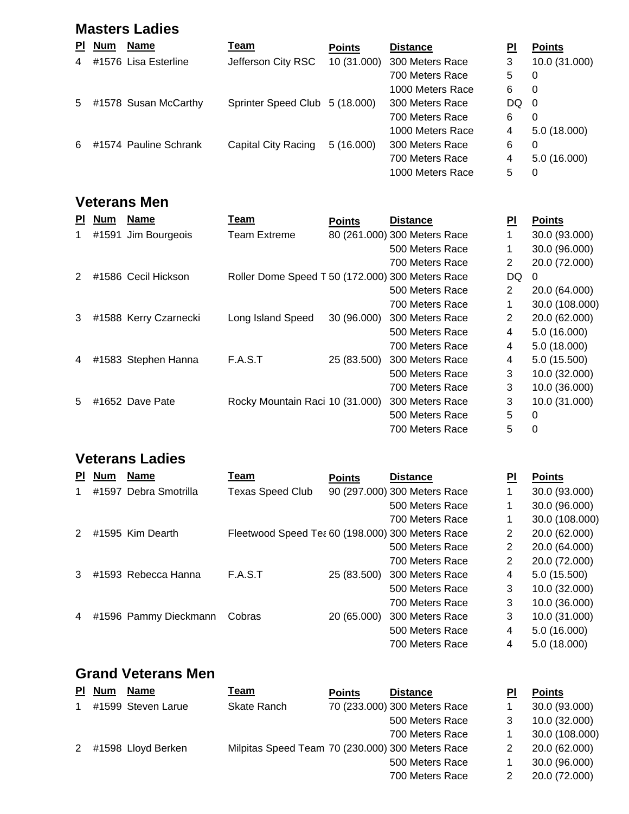#### **Masters Ladies**

| <b>PI</b>      | <b>Num</b> | <b>Name</b>           | Team                           | <b>Points</b> | <b>Distance</b>  | PI   | <b>Points</b> |
|----------------|------------|-----------------------|--------------------------------|---------------|------------------|------|---------------|
| $\overline{4}$ |            | #1576 Lisa Esterline  | Jefferson City RSC             | 10 (31.000)   | 300 Meters Race  | 3    | 10.0 (31.000) |
|                |            |                       |                                |               | 700 Meters Race  | 5    | 0             |
|                |            |                       |                                |               | 1000 Meters Race | 6    | 0             |
| 5              |            | #1578 Susan McCarthy  | Sprinter Speed Club 5 (18.000) |               | 300 Meters Race  | DQ 0 |               |
|                |            |                       |                                |               | 700 Meters Race  | 6    | 0             |
|                |            |                       |                                |               | 1000 Meters Race | 4    | 5.0(18.000)   |
| 6              |            | #1574 Pauline Schrank | Capital City Racing            | 5(16.000)     | 300 Meters Race  | 6    | 0             |
|                |            |                       |                                |               | 700 Meters Race  | 4    | 5.0(16.000)   |
|                |            |                       |                                |               | 1000 Meters Race | 5    | 0             |

#### **Veterans Men**

| <b>PI</b>     | <b>Num</b> | <b>Name</b>           | Team                                             | <b>Points</b> | <b>Distance</b>              | ΡI             | <b>Points</b>  |
|---------------|------------|-----------------------|--------------------------------------------------|---------------|------------------------------|----------------|----------------|
| 1             |            | #1591 Jim Bourgeois   | <b>Team Extreme</b>                              |               | 80 (261.000) 300 Meters Race |                | 30.0 (93.000)  |
|               |            |                       |                                                  |               | 500 Meters Race              |                | 30.0 (96.000)  |
|               |            |                       |                                                  |               | 700 Meters Race              | $\overline{2}$ | 20.0 (72.000)  |
| $\mathcal{P}$ |            | #1586 Cecil Hickson   | Roller Dome Speed T 50 (172.000) 300 Meters Race |               |                              | DQ             | 0              |
|               |            |                       |                                                  |               | 500 Meters Race              | $\overline{2}$ | 20.0 (64.000)  |
|               |            |                       |                                                  |               | 700 Meters Race              | 1              | 30.0 (108.000) |
| 3             |            | #1588 Kerry Czarnecki | Long Island Speed                                | 30 (96.000)   | 300 Meters Race              | $\overline{2}$ | 20.0 (62.000)  |
|               |            |                       |                                                  |               | 500 Meters Race              | 4              | 5.0 (16.000)   |
|               |            |                       |                                                  |               | 700 Meters Race              | 4              | 5.0(18.000)    |
| 4             |            | #1583 Stephen Hanna   | F.A.S.T                                          | 25 (83.500)   | 300 Meters Race              | 4              | 5.0 (15.500)   |
|               |            |                       |                                                  |               | 500 Meters Race              | 3              | 10.0 (32.000)  |
|               |            |                       |                                                  |               | 700 Meters Race              | 3              | 10.0 (36.000)  |
| 5             |            | #1652 Dave Pate       | Rocky Mountain Raci 10 (31.000)                  |               | 300 Meters Race              | 3              | 10.0 (31.000)  |
|               |            |                       |                                                  |               | 500 Meters Race              | 5              | 0              |
|               |            |                       |                                                  |               | 700 Meters Race              | 5              | 0              |

### **Veterans Ladies**

| ΡI            | <b>Num</b> | <b>Name</b>           | Team                                             | <b>Points</b> | <b>Distance</b>              | ΡI | <b>Points</b>  |
|---------------|------------|-----------------------|--------------------------------------------------|---------------|------------------------------|----|----------------|
|               |            | #1597 Debra Smotrilla | <b>Texas Speed Club</b>                          |               | 90 (297.000) 300 Meters Race |    | 30.0 (93.000)  |
|               |            |                       |                                                  |               | 500 Meters Race              |    | 30.0 (96.000)  |
|               |            |                       |                                                  |               | 700 Meters Race              |    | 30.0 (108.000) |
| $\mathcal{P}$ |            | #1595 Kim Dearth      | Fleetwood Speed Te: 60 (198.000) 300 Meters Race |               |                              | 2  | 20.0 (62.000)  |
|               |            |                       |                                                  |               | 500 Meters Race              | 2  | 20.0 (64.000)  |
|               |            |                       |                                                  |               | 700 Meters Race              | 2  | 20.0 (72.000)  |
| 3             |            | #1593 Rebecca Hanna   | F.A.S.T                                          | 25 (83.500)   | 300 Meters Race              | 4  | 5.0(15.500)    |
|               |            |                       |                                                  |               | 500 Meters Race              | 3  | 10.0 (32.000)  |
|               |            |                       |                                                  |               | 700 Meters Race              | 3  | 10.0 (36.000)  |
| 4             |            | #1596 Pammy Dieckmann | Cobras                                           | 20 (65.000)   | 300 Meters Race              | 3  | 10.0 (31.000)  |
|               |            |                       |                                                  |               | 500 Meters Race              | 4  | 5.0 (16.000)   |
|               |            |                       |                                                  |               | 700 Meters Race              | 4  | 5.0 (18.000)   |

# **Grand Veterans Men**

| PI | <b>Num</b> | <b>Name</b>        | Team                                             | <b>Points</b> | <b>Distance</b>              | ΡI | <b>Points</b>  |
|----|------------|--------------------|--------------------------------------------------|---------------|------------------------------|----|----------------|
|    |            | #1599 Steven Larue | Skate Ranch                                      |               | 70 (233.000) 300 Meters Race |    | 30.0 (93.000)  |
|    |            |                    |                                                  |               | 500 Meters Race              |    | 10.0 (32.000)  |
|    |            |                    |                                                  |               | 700 Meters Race              |    | 30.0 (108.000) |
| 2  |            | #1598 Lloyd Berken | Milpitas Speed Team 70 (230.000) 300 Meters Race |               |                              |    | 20.0 (62.000)  |
|    |            |                    |                                                  |               | 500 Meters Race              |    | 30.0 (96.000)  |
|    |            |                    |                                                  |               | 700 Meters Race              |    | 20.0 (72.000)  |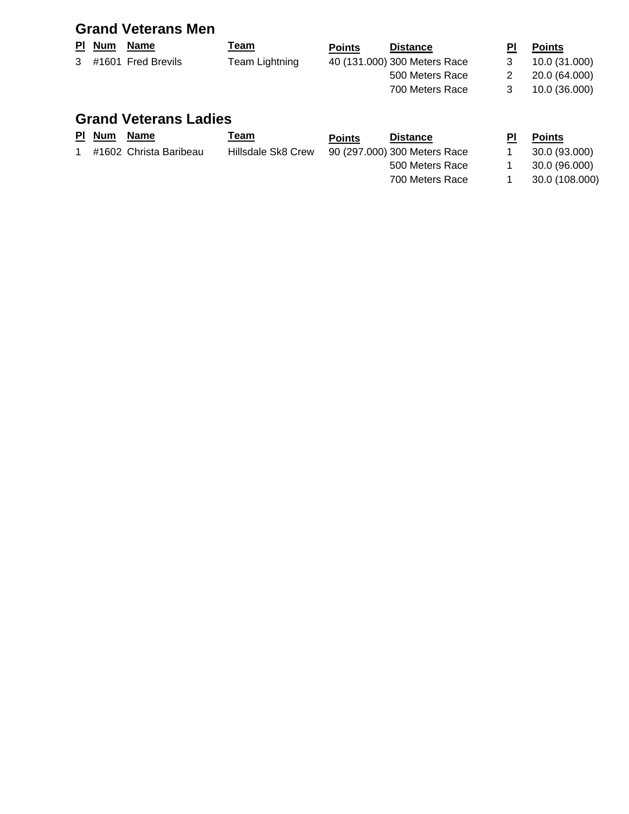### **Grand Veterans Men**

| <b>PI</b> Num | <u>Name</u>          | <u>Team</u>    | <b>Points</b> | <b>Distance</b>              | ΡI | <b>Points</b> |
|---------------|----------------------|----------------|---------------|------------------------------|----|---------------|
|               | 3 #1601 Fred Brevils | Team Lightning |               | 40 (131.000) 300 Meters Race |    | 10.0 (31.000) |
|               |                      |                |               | 500 Meters Race              |    | 20.0 (64.000) |
|               |                      |                |               | 700 Meters Race              |    | 10.0 (36.000) |
|               |                      |                |               |                              |    |               |

### **Grand Veterans Ladies**

| <u>PI Num</u> | Name                   | <u> Team</u>       | <b>Points</b> | <b>Distance</b>              | ΡI | <b>Points</b>  |
|---------------|------------------------|--------------------|---------------|------------------------------|----|----------------|
|               | #1602 Christa Baribeau | Hillsdale Sk8 Crew |               | 90 (297.000) 300 Meters Race |    | 30.0 (93.000)  |
|               |                        |                    |               | 500 Meters Race              |    | 30.0 (96.000)  |
|               |                        |                    |               | 700 Meters Race              |    | 30.0 (108.000) |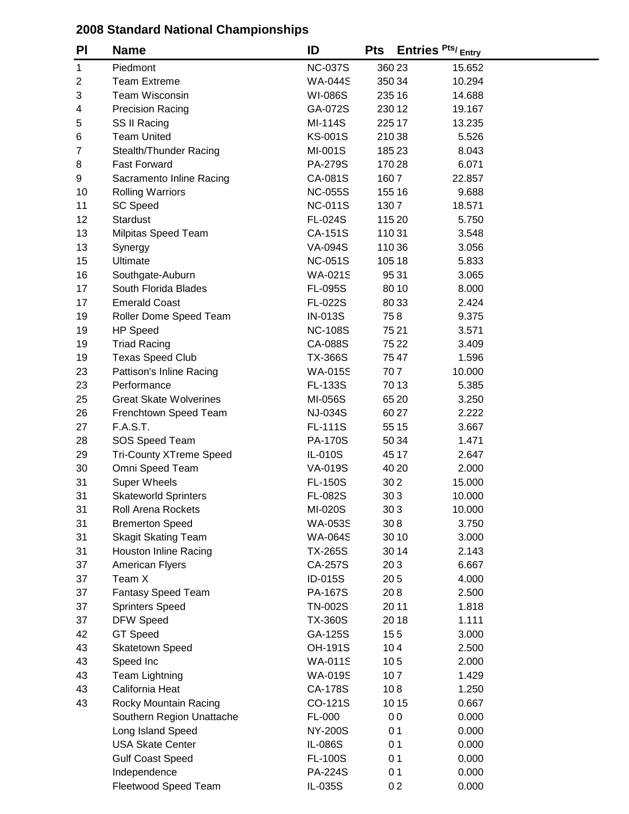| PI             | <b>Name</b>                    | ID             | <b>Pts</b> | Entries Pts/ <sub>Entry</sub> |  |
|----------------|--------------------------------|----------------|------------|-------------------------------|--|
| $\mathbf{1}$   | Piedmont                       | <b>NC-037S</b> |            | 360 23<br>15.652              |  |
| $\overline{c}$ | <b>Team Extreme</b>            | <b>WA-044S</b> |            | 350 34<br>10.294              |  |
| 3              | Team Wisconsin                 | <b>WI-086S</b> |            | 235 16<br>14.688              |  |
| 4              | <b>Precision Racing</b>        | GA-072S        |            | 230 12<br>19.167              |  |
| 5              | SS II Racing                   | MI-114S        |            | 225 17<br>13.235              |  |
| 6              | <b>Team United</b>             | <b>KS-001S</b> |            | 21038<br>5.526                |  |
| $\overline{7}$ | Stealth/Thunder Racing         | MI-001S        |            | 18523<br>8.043                |  |
| 8              | <b>Fast Forward</b>            | <b>PA-279S</b> |            | 170 28<br>6.071               |  |
| 9              | Sacramento Inline Racing       | CA-081S        | 1607       | 22.857                        |  |
| 10             | <b>Rolling Warriors</b>        | <b>NC-055S</b> |            | 155 16<br>9.688               |  |
| 11             | <b>SC Speed</b>                | <b>NC-011S</b> | 1307       | 18.571                        |  |
| 12             | Stardust                       | <b>FL-024S</b> |            | 115 20<br>5.750               |  |
| 13             | Milpitas Speed Team            | CA-151S        | 11031      | 3.548                         |  |
| 13             | Synergy                        | <b>VA-094S</b> |            | 110 36<br>3.056               |  |
| 15             | Ultimate                       | <b>NC-051S</b> |            | 105 18<br>5.833               |  |
| 16             | Southgate-Auburn               | WA-021S        |            | 9531<br>3.065                 |  |
| 17             | South Florida Blades           | <b>FL-095S</b> |            | 80 10<br>8.000                |  |
| 17             | <b>Emerald Coast</b>           | <b>FL-022S</b> |            | 80 33<br>2.424                |  |
| 19             | Roller Dome Speed Team         | IN-013S        |            | 758<br>9.375                  |  |
| 19             | <b>HP Speed</b>                | <b>NC-108S</b> |            | 7521<br>3.571                 |  |
| 19             | <b>Triad Racing</b>            | CA-088S        |            | 75 22<br>3.409                |  |
| 19             | <b>Texas Speed Club</b>        | <b>TX-366S</b> |            | 7547<br>1.596                 |  |
| 23             | Pattison's Inline Racing       | <b>WA-015S</b> |            | 707<br>10.000                 |  |
| 23             | Performance                    | <b>FL-133S</b> |            | 70 13<br>5.385                |  |
| 25             | <b>Great Skate Wolverines</b>  | MI-056S        |            | 65 20<br>3.250                |  |
| 26             | Frenchtown Speed Team          | <b>NJ-034S</b> |            | 60 27<br>2.222                |  |
| 27             | <b>F.A.S.T.</b>                | <b>FL-111S</b> |            | 55 15<br>3.667                |  |
| 28             | SOS Speed Team                 | <b>PA-170S</b> |            | 50 34<br>1.471                |  |
| 29             | <b>Tri-County XTreme Speed</b> | IL-010S        |            | 45 17<br>2.647                |  |
| 30             | Omni Speed Team                | VA-019S        |            | 40 20<br>2.000                |  |
| 31             | <b>Super Wheels</b>            | <b>FL-150S</b> |            | 302<br>15.000                 |  |
| 31             | <b>Skateworld Sprinters</b>    | <b>FL-082S</b> |            | 303<br>10.000                 |  |
| 31             | Roll Arena Rockets             | MI-020S        |            | 303<br>10.000                 |  |
| 31             | <b>Bremerton Speed</b>         | <b>WA-053S</b> |            | 308<br>3.750                  |  |
| 31             | <b>Skagit Skating Team</b>     | <b>WA-064S</b> |            | 30 10<br>3.000                |  |
| 31             | <b>Houston Inline Racing</b>   | <b>TX-265S</b> |            | 30 14<br>2.143                |  |
| 37             | <b>American Flyers</b>         | CA-257S        |            | 203<br>6.667                  |  |
| 37             | Team X                         | ID-015S        |            | 205<br>4.000                  |  |
| 37             | <b>Fantasy Speed Team</b>      | PA-167S        |            | 208<br>2.500                  |  |
| 37             | <b>Sprinters Speed</b>         | <b>TN-002S</b> |            | 2011<br>1.818                 |  |
| 37             | <b>DFW Speed</b>               | <b>TX-360S</b> |            | 2018<br>1.111                 |  |
| 42             | <b>GT Speed</b>                | GA-125S        |            | 155<br>3.000                  |  |
| 43             | Skatetown Speed                | OH-191S        |            | 104<br>2.500                  |  |
| 43             | Speed Inc                      | <b>WA-011S</b> |            | 105<br>2.000                  |  |
| 43             | Team Lightning                 | <b>WA-019S</b> |            | 107<br>1.429                  |  |
| 43             | California Heat                | CA-178S        |            | 108<br>1.250                  |  |
| 43             | Rocky Mountain Racing          | CO-121S        |            | 10 15<br>0.667                |  |
|                | Southern Region Unattache      | FL-000         |            | 0 <sub>0</sub><br>0.000       |  |
|                | Long Island Speed              | <b>NY-200S</b> |            | 0 <sub>1</sub><br>0.000       |  |
|                | <b>USA Skate Center</b>        | IL-086S        |            | 0 <sub>1</sub><br>0.000       |  |
|                | <b>Gulf Coast Speed</b>        | <b>FL-100S</b> |            | 0 <sub>1</sub><br>0.000       |  |
|                | Independence                   | PA-224S        |            | 0 <sub>1</sub><br>0.000       |  |
|                | Fleetwood Speed Team           | IL-035S        |            | 02<br>0.000                   |  |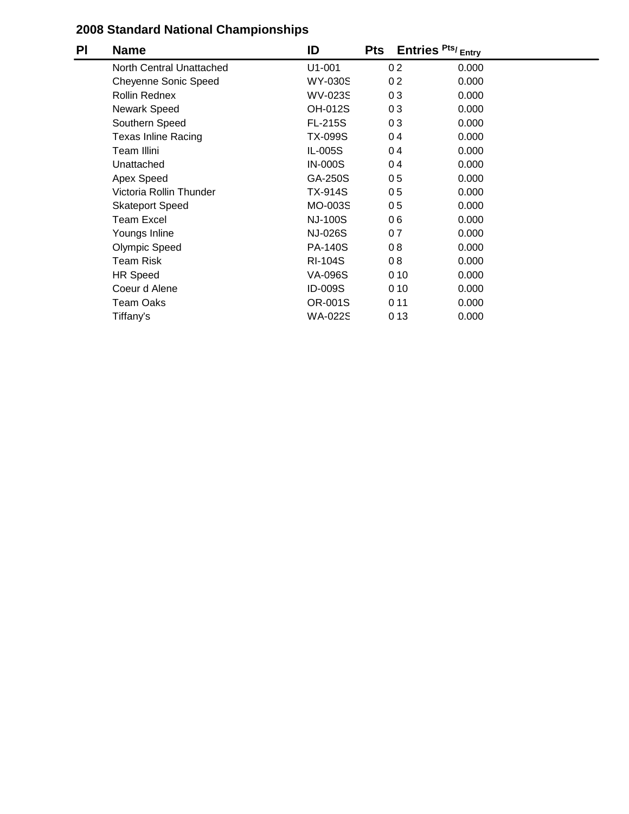| PI | <b>Name</b>                 | ID             | <b>Pts</b>     | Entries Pts/ <sub>Entry</sub> |  |
|----|-----------------------------|----------------|----------------|-------------------------------|--|
|    | North Central Unattached    | $U1-001$       | 0 <sub>2</sub> | 0.000                         |  |
|    | <b>Cheyenne Sonic Speed</b> | <b>WY-030S</b> | 0 <sub>2</sub> | 0.000                         |  |
|    | <b>Rollin Rednex</b>        | <b>WV-023S</b> | 03             | 0.000                         |  |
|    | <b>Newark Speed</b>         | <b>OH-012S</b> | 03             | 0.000                         |  |
|    | Southern Speed              | <b>FL-215S</b> | 03             | 0.000                         |  |
|    | <b>Texas Inline Racing</b>  | <b>TX-099S</b> | 04             | 0.000                         |  |
|    | Team Illini                 | IL-005S        | 04             | 0.000                         |  |
|    | Unattached                  | <b>IN-000S</b> | 04             | 0.000                         |  |
|    | Apex Speed                  | GA-250S        | 05             | 0.000                         |  |
|    | Victoria Rollin Thunder     | <b>TX-914S</b> | 05             | 0.000                         |  |
|    | <b>Skateport Speed</b>      | MO-003S        | 05             | 0.000                         |  |
|    | <b>Team Excel</b>           | <b>NJ-100S</b> | 06             | 0.000                         |  |
|    | Youngs Inline               | <b>NJ-026S</b> | 07             | 0.000                         |  |
|    | <b>Olympic Speed</b>        | <b>PA-140S</b> | 08             | 0.000                         |  |
|    | <b>Team Risk</b>            | <b>RI-104S</b> | 08             | 0.000                         |  |
|    | <b>HR Speed</b>             | <b>VA-096S</b> |                | 010<br>0.000                  |  |
|    | Coeur d Alene               | <b>ID-009S</b> |                | 010<br>0.000                  |  |
|    | <b>Team Oaks</b>            | OR-001S        |                | 011<br>0.000                  |  |
|    | Tiffany's                   | <b>WA-022S</b> |                | 013<br>0.000                  |  |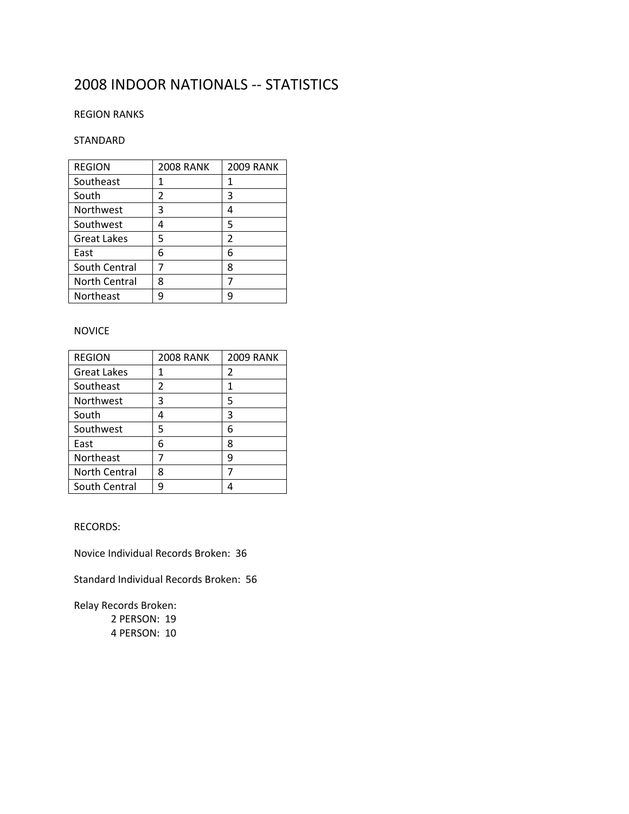### 2008 INDOOR NATIONALS -- STATISTICS

#### REGION RANKS

#### STANDARD

| <b>REGION</b>        | <b>2008 RANK</b> | <b>2009 RANK</b> |
|----------------------|------------------|------------------|
| Southeast            |                  |                  |
| South                | 2                | 3                |
| Northwest            | 3                | Δ                |
| Southwest            | 4                | 5                |
| <b>Great Lakes</b>   | 5                | 2                |
| East                 | 6                | 6                |
| South Central        |                  | 8                |
| <b>North Central</b> | 8                |                  |
| <b>Northeast</b>     |                  |                  |

#### NOVICE

| <b>REGION</b>        | <b>2008 RANK</b> | <b>2009 RANK</b> |
|----------------------|------------------|------------------|
| <b>Great Lakes</b>   | 1                | 2                |
| Southeast            | 2                | 1                |
| <b>Northwest</b>     | 3                | 5                |
| South                | 4                | 3                |
| Southwest            | 5                | 6                |
| East                 | 6                | 8                |
| Northeast            |                  | q                |
| <b>North Central</b> | 8                |                  |
| South Central        |                  |                  |

RECORDS:

Novice Individual Records Broken: 36

Standard Individual Records Broken: 56

Relay Records Broken: 2 PERSON: 19 4 PERSON: 10